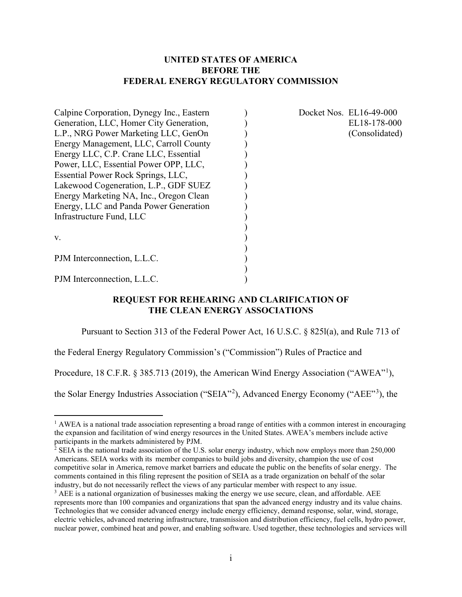### **UNITED STATES OF AMERICA BEFORE THE FEDERAL ENERGY REGULATORY COMMISSION**

| Calpine Corporation, Dynegy Inc., Eastern |  |
|-------------------------------------------|--|
| Generation, LLC, Homer City Generation,   |  |
| L.P., NRG Power Marketing LLC, GenOn      |  |
| Energy Management, LLC, Carroll County    |  |
| Energy LLC, C.P. Crane LLC, Essential     |  |
| Power, LLC, Essential Power OPP, LLC,     |  |
| Essential Power Rock Springs, LLC,        |  |
| Lakewood Cogeneration, L.P., GDF SUEZ     |  |
| Energy Marketing NA, Inc., Oregon Clean   |  |
| Energy, LLC and Panda Power Generation    |  |
| Infrastructure Fund, LLC                  |  |
|                                           |  |
| V.                                        |  |
|                                           |  |
| PJM Interconnection, L.L.C.               |  |
|                                           |  |
| PJM Interconnection, L.L.C.               |  |

Docket Nos. EL16-49-000 EL18-178-000 (Consolidated) (Consolidated)

### **REQUEST FOR REHEARING AND CLARIFICATION OF THE CLEAN ENERGY ASSOCIATIONS**

Pursuant to Section 313 of the Federal Power Act, 16 U.S.C. § 825l(a), and Rule 713 of

the Federal Energy Regulatory Commission's ("Commission") Rules of Practice and

Procedure, [1](#page-0-0)8 C.F.R. § 385.713 (2019), the American Wind Energy Association ("AWEA"<sup>1</sup>),

the Solar Energy Industries Association ("SEIA"<sup>[2](#page-0-1)</sup>), Advanced Energy Economy ("AEE"<sup>[3](#page-0-2)</sup>), the

<span id="page-0-0"></span> $<sup>1</sup>$  AWEA is a national trade association representing a broad range of entities with a common interest in encouraging</sup> the expansion and facilitation of wind energy resources in the United States. AWEA's members include active participants in the markets administered by PJM.

<span id="page-0-1"></span> $2$  SEIA is the national trade association of the U.S. solar energy industry, which now employs more than 250,000 Americans. SEIA works with its  member companies to build jobs and diversity, champion the use of cost competitive solar in America, remove market barriers and educate the public on the benefits of solar energy. The comments contained in this filing represent the position of SEIA as a trade organization on behalf of the solar industry, but do not necessarily reflect the views of any particular member with respect to any issue.

<span id="page-0-2"></span><sup>&</sup>lt;sup>3</sup> AEE is a national organization of businesses making the energy we use secure, clean, and affordable. AEE represents more than 100 companies and organizations that span the advanced energy industry and its value chains. Technologies that we consider advanced energy include energy efficiency, demand response, solar, wind, storage, electric vehicles, advanced metering infrastructure, transmission and distribution efficiency, fuel cells, hydro power, nuclear power, combined heat and power, and enabling software. Used together, these technologies and services will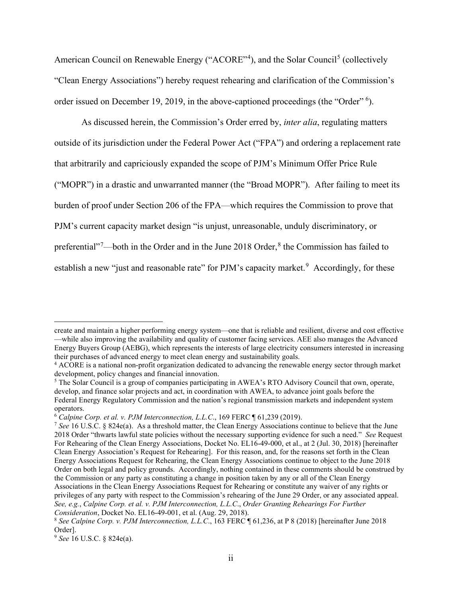American Council on Renewable Energy ("ACORE"<sup>[4](#page-1-0)</sup>), and the Solar Council<sup>[5](#page-1-1)</sup> (collectively "Clean Energy Associations") hereby request rehearing and clarification of the Commission's order issued on December 19, 2019, in the above-captioned proceedings (the "Order" <sup>[6](#page-1-2)</sup>).

As discussed herein, the Commission's Order erred by, *inter alia*, regulating matters outside of its jurisdiction under the Federal Power Act ("FPA") and ordering a replacement rate that arbitrarily and capriciously expanded the scope of PJM's Minimum Offer Price Rule ("MOPR") in a drastic and unwarranted manner (the "Broad MOPR"). After failing to meet its burden of proof under Section 206 of the FPA—which requires the Commission to prove that PJM's current capacity market design "is unjust, unreasonable, unduly discriminatory, or preferential"<sup>[7](#page-1-3)</sup>—both in the Order and in the June 201[8](#page-1-4) Order,<sup>8</sup> the Commission has failed to establish a new "just and reasonable rate" for PJM's capacity market.<sup>[9](#page-1-5)</sup> Accordingly, for these

<span id="page-1-2"></span><sup>6</sup> *Calpine Corp. et al. v. PJM Interconnection, L.L.C*., 169 FERC ¶ 61,239 (2019).

create and maintain a higher performing energy system—one that is reliable and resilient, diverse and cost effective —while also improving the availability and quality of customer facing services. AEE also manages the Advanced Energy Buyers Group (AEBG), which represents the interests of large electricity consumers interested in increasing their purchases of advanced energy to meet clean energy and sustainability goals.

<span id="page-1-0"></span><sup>4</sup> ACORE is a national non-profit organization dedicated to advancing the renewable energy sector through market development, policy changes and financial innovation.

<span id="page-1-1"></span><sup>&</sup>lt;sup>5</sup> The Solar Council is a group of companies participating in AWEA's RTO Advisory Council that own, operate, develop, and finance solar projects and act, in coordination with AWEA, to advance joint goals before the Federal Energy Regulatory Commission and the nation's regional transmission markets and independent system operators.

<span id="page-1-3"></span><sup>7</sup> *See* 16 U.S.C. § 824e(a). As a threshold matter, the Clean Energy Associations continue to believe that the June 2018 Order "thwarts lawful state policies without the necessary supporting evidence for such a need." *See* Request For Rehearing of the Clean Energy Associations, Docket No. EL16-49-000, et al., at 2 (Jul. 30, 2018) [hereinafter Clean Energy Association's Request for Rehearing]. For this reason, and, for the reasons set forth in the Clean Energy Associations Request for Rehearing, the Clean Energy Associations continue to object to the June 2018 Order on both legal and policy grounds. Accordingly, nothing contained in these comments should be construed by the Commission or any party as constituting a change in position taken by any or all of the Clean Energy Associations in the Clean Energy Associations Request for Rehearing or constitute any waiver of any rights or privileges of any party with respect to the Commission's rehearing of the June 29 Order, or any associated appeal. *See, e.g.*, *Calpine Corp. et al. v. PJM Interconnection, L.L.C*., *Order Granting Rehearings For Further Consideration*, Docket No. EL16-49-001, et al. (Aug. 29, 2018).

<span id="page-1-4"></span><sup>8</sup> *See Calpine Corp. v. PJM Interconnection, L.L.C*., 163 FERC ¶ 61,236, at P 8 (2018) [hereinafter June 2018 Order].

<span id="page-1-5"></span><sup>9</sup> *See* 16 U.S.C. § 824e(a).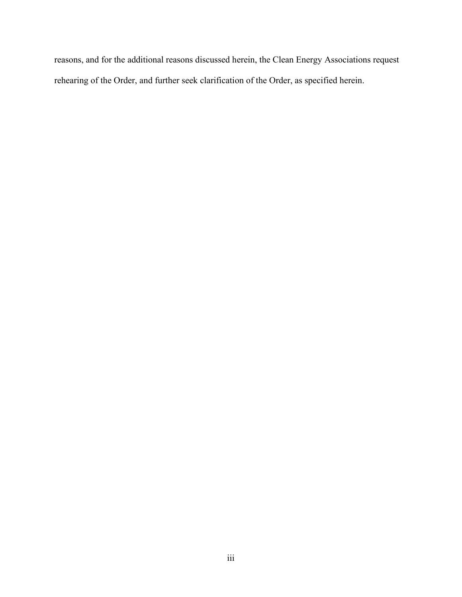reasons, and for the additional reasons discussed herein, the Clean Energy Associations request rehearing of the Order, and further seek clarification of the Order, as specified herein.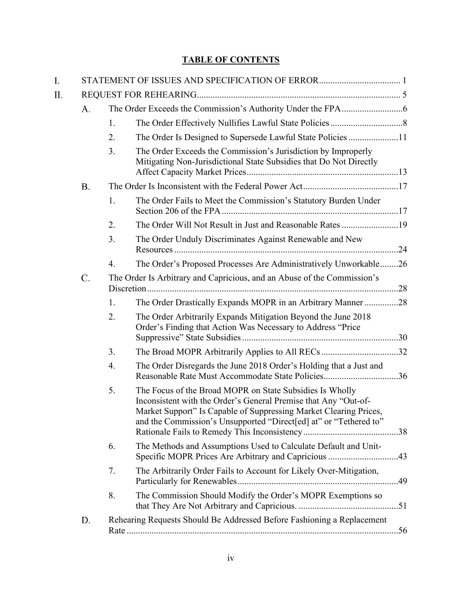# **TABLE OF CONTENTS**

| I. |    |    |                                                                                                                                                                                                                                                                       |  |  |  |  |
|----|----|----|-----------------------------------------------------------------------------------------------------------------------------------------------------------------------------------------------------------------------------------------------------------------------|--|--|--|--|
| Π. |    |    |                                                                                                                                                                                                                                                                       |  |  |  |  |
|    | A. |    |                                                                                                                                                                                                                                                                       |  |  |  |  |
|    |    | 1. |                                                                                                                                                                                                                                                                       |  |  |  |  |
|    |    | 2. | The Order Is Designed to Supersede Lawful State Policies 11                                                                                                                                                                                                           |  |  |  |  |
|    |    | 3. | The Order Exceeds the Commission's Jurisdiction by Improperly<br>Mitigating Non-Jurisdictional State Subsidies that Do Not Directly                                                                                                                                   |  |  |  |  |
|    | B. |    |                                                                                                                                                                                                                                                                       |  |  |  |  |
|    |    | 1. | The Order Fails to Meet the Commission's Statutory Burden Under                                                                                                                                                                                                       |  |  |  |  |
|    |    | 2. |                                                                                                                                                                                                                                                                       |  |  |  |  |
|    |    | 3. | The Order Unduly Discriminates Against Renewable and New                                                                                                                                                                                                              |  |  |  |  |
|    |    | 4. | The Order's Proposed Processes Are Administratively Unworkable26                                                                                                                                                                                                      |  |  |  |  |
|    | C. |    | The Order Is Arbitrary and Capricious, and an Abuse of the Commission's                                                                                                                                                                                               |  |  |  |  |
|    |    | 1. | The Order Drastically Expands MOPR in an Arbitrary Manner28                                                                                                                                                                                                           |  |  |  |  |
|    |    | 2. | The Order Arbitrarily Expands Mitigation Beyond the June 2018<br>Order's Finding that Action Was Necessary to Address "Price                                                                                                                                          |  |  |  |  |
|    |    | 3. | The Broad MOPR Arbitrarily Applies to All RECs32                                                                                                                                                                                                                      |  |  |  |  |
|    |    | 4. | The Order Disregards the June 2018 Order's Holding that a Just and                                                                                                                                                                                                    |  |  |  |  |
|    |    | 5. | The Focus of the Broad MOPR on State Subsidies Is Wholly<br>Inconsistent with the Order's General Premise that Any "Out-of-<br>Market Support" Is Capable of Suppressing Market Clearing Prices,<br>and the Commission's Unsupported "Direct[ed] at" or "Tethered to" |  |  |  |  |
|    |    | 6. | The Methods and Assumptions Used to Calculate Default and Unit-<br>Specific MOPR Prices Are Arbitrary and Capricious 43                                                                                                                                               |  |  |  |  |
|    |    | 7. | The Arbitrarily Order Fails to Account for Likely Over-Mitigation,                                                                                                                                                                                                    |  |  |  |  |
|    |    | 8. | The Commission Should Modify the Order's MOPR Exemptions so                                                                                                                                                                                                           |  |  |  |  |
|    | D. |    | Rehearing Requests Should Be Addressed Before Fashioning a Replacement                                                                                                                                                                                                |  |  |  |  |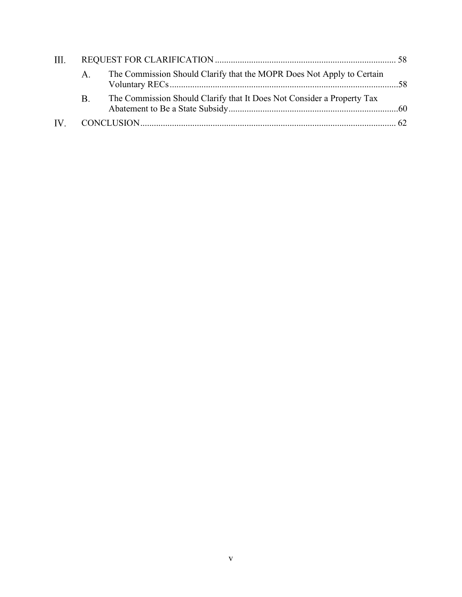| III. |             |                                                                        |  |  |
|------|-------------|------------------------------------------------------------------------|--|--|
|      | $A_{\cdot}$ | The Commission Should Clarify that the MOPR Does Not Apply to Certain  |  |  |
|      | <b>B.</b>   | The Commission Should Clarify that It Does Not Consider a Property Tax |  |  |
|      |             |                                                                        |  |  |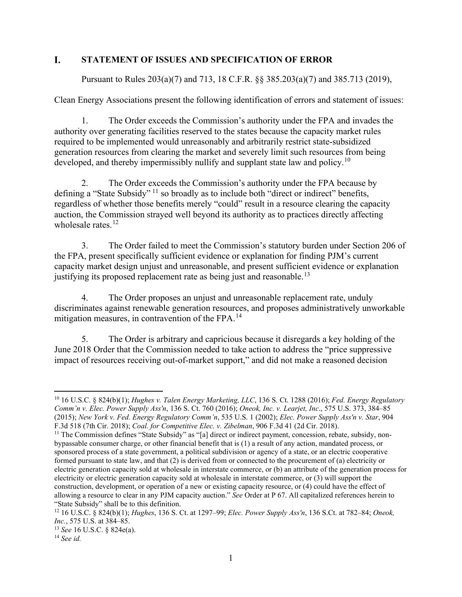#### <span id="page-5-0"></span>L. **STATEMENT OF ISSUES AND SPECIFICATION OF ERROR**

Pursuant to Rules 203(a)(7) and 713, 18 C.F.R. §§ 385.203(a)(7) and 385.713 (2019),

Clean Energy Associations present the following identification of errors and statement of issues:

1. The Order exceeds the Commission's authority under the FPA and invades the authority over generating facilities reserved to the states because the capacity market rules required to be implemented would unreasonably and arbitrarily restrict state-subsidized generation resources from clearing the market and severely limit such resources from being developed, and thereby impermissibly nullify and supplant state law and policy.<sup>10</sup>

2. The Order exceeds the Commission's authority under the FPA because by defining a "State Subsidy" <sup>[11](#page-5-2)</sup> so broadly as to include both "direct or indirect" benefits, regardless of whether those benefits merely "could" result in a resource clearing the capacity auction, the Commission strayed well beyond its authority as to practices directly affecting wholesale rates. $12$ 

3. The Order failed to meet the Commission's statutory burden under Section 206 of the FPA, present specifically sufficient evidence or explanation for finding PJM's current capacity market design unjust and unreasonable, and present sufficient evidence or explanation justifying its proposed replacement rate as being just and reasonable.<sup>[13](#page-5-4)</sup>

4. The Order proposes an unjust and unreasonable replacement rate, unduly discriminates against renewable generation resources, and proposes administratively unworkable mitigation measures, in contravention of the FPA.<sup>[14](#page-5-5)</sup>

5. The Order is arbitrary and capricious because it disregards a key holding of the June 2018 Order that the Commission needed to take action to address the "price suppressive impact of resources receiving out-of-market support," and did not make a reasoned decision

<span id="page-5-1"></span><sup>10</sup> 16 U.S.C. § 824(b)(1); *Hughes v. Talen Energy Marketing, LLC*, 136 S. Ct. 1288 (2016); *Fed. Energy Regulatory Comm'n v. Elec. Power Supply Ass'n*, 136 S. Ct. 760 (2016); *Oneok, Inc. v. Learjet, Inc*., 575 U.S. 373, 384–85 (2015); *New York v. Fed. Energy Regulatory Comm'n*, 535 U.S. 1 (2002); *Elec. Power Supply Ass'n v. Star*, 904

<span id="page-5-2"></span>F.3d 518 (7th Cir. 2018); *Coal. for Competitive Elec. v. Zibelman*, 906 F.3d 41 (2d Cir. 2018).<br><sup>11</sup> The Commission defines "State Subsidy" as "[a] direct or indirect payment, concession, rebate, subsidy, nonbypassable consumer charge, or other financial benefit that is (1) a result of any action, mandated process, or sponsored process of a state government, a political subdivision or agency of a state, or an electric cooperative formed pursuant to state law, and that (2) is derived from or connected to the procurement of (a) electricity or electric generation capacity sold at wholesale in interstate commerce, or (b) an attribute of the generation process for electricity or electric generation capacity sold at wholesale in interstate commerce, or (3) will support the construction, development, or operation of a new or existing capacity resource, or (4) could have the effect of allowing a resource to clear in any PJM capacity auction." *See* Order at P 67. All capitalized references herein to "State Subsidy" shall be to this definition.

<span id="page-5-3"></span><sup>12</sup> 16 U.S.C. § 824(b)(1); *Hughes*, 136 S. Ct. at 1297–99; *Elec. Power Supply Ass'n*, 136 S.Ct. at 782–84; *Oneok, Inc.*, 575 U.S. at 384–85.

<span id="page-5-5"></span><span id="page-5-4"></span><sup>13</sup> *See* 16 U.S.C. § 824e(a). 14 *See id.*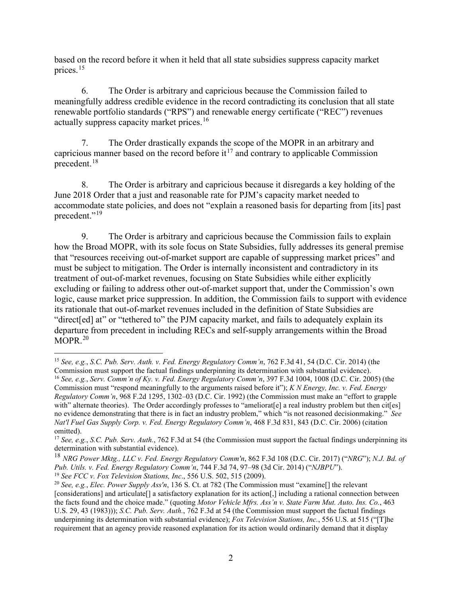based on the record before it when it held that all state subsidies suppress capacity market prices.[15](#page-6-0)

6. The Order is arbitrary and capricious because the Commission failed to meaningfully address credible evidence in the record contradicting its conclusion that all state renewable portfolio standards ("RPS") and renewable energy certificate ("REC") revenues actually suppress capacity market prices.<sup>16</sup>

7. The Order drastically expands the scope of the MOPR in an arbitrary and capricious manner based on the record before it<sup>[17](#page-6-2)</sup> and contrary to applicable Commission precedent.[18](#page-6-3)

8. The Order is arbitrary and capricious because it disregards a key holding of the June 2018 Order that a just and reasonable rate for PJM's capacity market needed to accommodate state policies, and does not "explain a reasoned basis for departing from [its] past precedent."<sup>19</sup>

9. The Order is arbitrary and capricious because the Commission fails to explain how the Broad MOPR, with its sole focus on State Subsidies, fully addresses its general premise that "resources receiving out-of-market support are capable of suppressing market prices" and must be subject to mitigation. The Order is internally inconsistent and contradictory in its treatment of out-of-market revenues, focusing on State Subsidies while either explicitly excluding or failing to address other out-of-market support that, under the Commission's own logic, cause market price suppression. In addition, the Commission fails to support with evidence its rationale that out-of-market revenues included in the definition of State Subsidies are "direct[ed] at" or "tethered to" the PJM capacity market, and fails to adequately explain its departure from precedent in including RECs and self-supply arrangements within the Broad  $MOPR.<sup>20</sup>$  $MOPR.<sup>20</sup>$  $MOPR.<sup>20</sup>$ 

<span id="page-6-1"></span><span id="page-6-0"></span><sup>15</sup> *See, e.g.*, *S.C. Pub. Serv. Auth. v. Fed. Energy Regulatory Comm'n*, 762 F.3d 41, 54 (D.C. Cir. 2014) (the Commission must support the factual findings underpinning its determination with substantial evidence). <sup>16</sup> *See, e.g.*, *Serv. Comm'n of Ky. v. Fed. Energy Regulatory Comm'n*, 397 F.3d 1004, 1008 (D.C. Cir. 2005) (the Commission must "respond meaningfully to the arguments raised before it"); *K N Energy, Inc. v. Fed. Energy Regulatory Comm'n*, 968 F.2d 1295, 1302–03 (D.C. Cir. 1992) (the Commission must make an "effort to grapple with" alternate theories). The Order accordingly professes to "ameliorat[e] a real industry problem but then cit[es] no evidence demonstrating that there is in fact an industry problem," which "is not reasoned decisionmaking." *See Nat'l Fuel Gas Supply Corp. v. Fed. Energy Regulatory Comm'n*, 468 F.3d 831, 843 (D.C. Cir. 2006) (citation omitted).

<span id="page-6-2"></span><sup>&</sup>lt;sup>17</sup> *See, e.g.*, *S.C. Pub. Serv. Auth.*, 762 F.3d at 54 (the Commission must support the factual findings underpinning its determination with substantial evidence).

<span id="page-6-3"></span><sup>18</sup> *NRG Power Mktg., LLC v. Fed. Energy Regulatory Comm'n*, 862 F.3d 108 (D.C. Cir. 2017) ("*NRG*"); *N.J. Bd. of Pub. Utils. v. Fed. Energy Regulatory Comm'n*, 744 F.3d 74, 97–98 (3d Cir. 2014) ("*NJBPU*"). <sup>19</sup> *See FCC v. Fox Television Stations, Inc*., 556 U.S. 502, 515 (2009).

<span id="page-6-4"></span>

<span id="page-6-5"></span><sup>20</sup> *See, e.g.*, *Elec. Power Supply Ass'n*, 136 S. Ct. at 782 (The Commission must "examine[] the relevant [considerations] and articulate[] a satisfactory explanation for its action[,] including a rational connection between the facts found and the choice made." (quoting *Motor Vehicle Mfrs. Ass'n v. State Farm Mut. Auto. Ins. Co.*, 463 U.S. 29, 43 (1983))); *S.C. Pub. Serv. Auth.*, 762 F.3d at 54 (the Commission must support the factual findings underpinning its determination with substantial evidence); *Fox Television Stations, Inc.*, 556 U.S. at 515 ("[T]he requirement that an agency provide reasoned explanation for its action would ordinarily demand that it display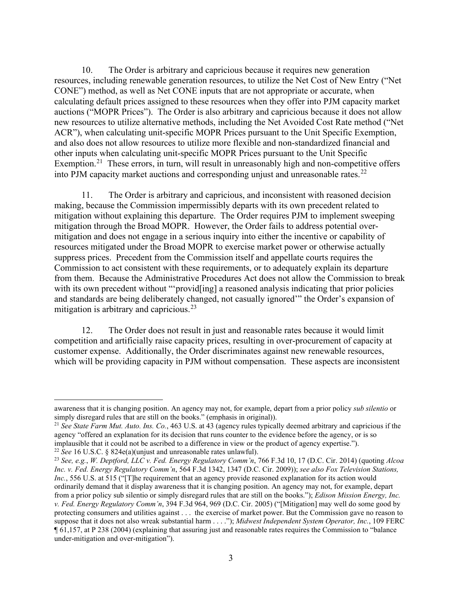10. The Order is arbitrary and capricious because it requires new generation resources, including renewable generation resources, to utilize the Net Cost of New Entry ("Net CONE") method, as well as Net CONE inputs that are not appropriate or accurate, when calculating default prices assigned to these resources when they offer into PJM capacity market auctions ("MOPR Prices"). The Order is also arbitrary and capricious because it does not allow new resources to utilize alternative methods, including the Net Avoided Cost Rate method ("Net ACR"), when calculating unit-specific MOPR Prices pursuant to the Unit Specific Exemption, and also does not allow resources to utilize more flexible and non-standardized financial and other inputs when calculating unit-specific MOPR Prices pursuant to the Unit Specific Exemption.<sup>[21](#page-7-0)</sup> These errors, in turn, will result in unreasonably high and non-competitive offers into PJM capacity market auctions and corresponding unjust and unreasonable rates.<sup>[22](#page-7-1)</sup>

11. The Order is arbitrary and capricious, and inconsistent with reasoned decision making, because the Commission impermissibly departs with its own precedent related to mitigation without explaining this departure. The Order requires PJM to implement sweeping mitigation through the Broad MOPR. However, the Order fails to address potential overmitigation and does not engage in a serious inquiry into either the incentive or capability of resources mitigated under the Broad MOPR to exercise market power or otherwise actually suppress prices. Precedent from the Commission itself and appellate courts requires the Commission to act consistent with these requirements, or to adequately explain its departure from them. Because the Administrative Procedures Act does not allow the Commission to break with its own precedent without "'provid[ing] a reasoned analysis indicating that prior policies and standards are being deliberately changed, not casually ignored'" the Order's expansion of mitigation is arbitrary and capricious.<sup>[23](#page-7-2)</sup>

12. The Order does not result in just and reasonable rates because it would limit competition and artificially raise capacity prices, resulting in over-procurement of capacity at customer expense. Additionally, the Order discriminates against new renewable resources, which will be providing capacity in PJM without compensation. These aspects are inconsistent

awareness that it is changing position. An agency may not, for example, depart from a prior policy *sub silentio* or simply disregard rules that are still on the books." (emphasis in original)).

<span id="page-7-0"></span><sup>21</sup> *See State Farm Mut. Auto. Ins. Co.*, 463 U.S. at 43 (agency rules typically deemed arbitrary and capricious if the agency "offered an explanation for its decision that runs counter to the evidence before the agency, or is so implausible that it could not be ascribed to a difference in view or the product of agency expertise.").

<span id="page-7-1"></span><sup>22</sup> *See* 16 U.S.C. § 824e(a)(unjust and unreasonable rates unlawful).

<span id="page-7-2"></span><sup>23</sup> *See, e.g.*, *W. Deptford, LLC v. Fed. Energy Regulatory Comm'n*, 766 F.3d 10, 17 (D.C. Cir. 2014) (quoting *Alcoa Inc. v. Fed. Energy Regulatory Comm'n*, 564 F.3d 1342, 1347 (D.C. Cir. 2009)); *see also Fox Television Stations, Inc.*, 556 U.S. at 515 ("[T]he requirement that an agency provide reasoned explanation for its action would ordinarily demand that it display awareness that it is changing position. An agency may not, for example, depart from a prior policy sub silentio or simply disregard rules that are still on the books."); *Edison Mission Energy, Inc. v. Fed. Energy Regulatory Comm'n*, 394 F.3d 964, 969 (D.C. Cir. 2005) ("[Mitigation] may well do some good by protecting consumers and utilities against . . . the exercise of market power. But the Commission gave no reason to suppose that it does not also wreak substantial harm . . . ."); *Midwest Independent System Operator, Inc.*, 109 FERC ¶ 61,157, at P 238 (2004) (explaining that assuring just and reasonable rates requires the Commission to "balance under-mitigation and over-mitigation").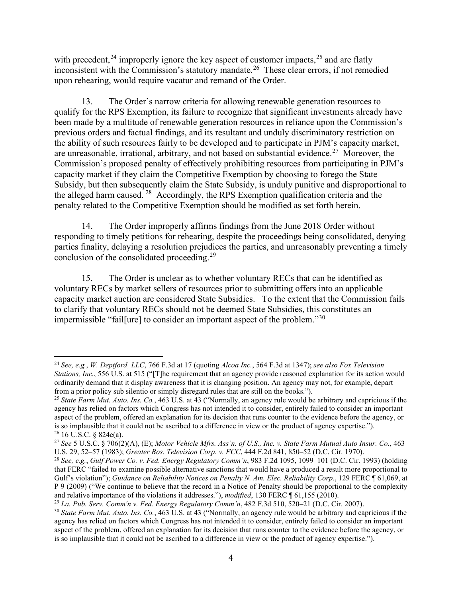with precedent,<sup>[24](#page-8-0)</sup> improperly ignore the key aspect of customer impacts,<sup>[25](#page-8-1)</sup> and are flatly inconsistent with the Commission's statutory mandate.<sup>26</sup> These clear errors, if not remedied upon rehearing, would require vacatur and remand of the Order.

13. The Order's narrow criteria for allowing renewable generation resources to qualify for the RPS Exemption, its failure to recognize that significant investments already have been made by a multitude of renewable generation resources in reliance upon the Commission's previous orders and factual findings, and its resultant and unduly discriminatory restriction on the ability of such resources fairly to be developed and to participate in PJM's capacity market, are unreasonable, irrational, arbitrary, and not based on substantial evidence.<sup>27</sup> Moreover, the Commission's proposed penalty of effectively prohibiting resources from participating in PJM's capacity market if they claim the Competitive Exemption by choosing to forego the State Subsidy, but then subsequently claim the State Subsidy, is unduly punitive and disproportional to the alleged harm caused. [28](#page-8-4) Accordingly, the RPS Exemption qualification criteria and the penalty related to the Competitive Exemption should be modified as set forth herein.

14. The Order improperly affirms findings from the June 2018 Order without responding to timely petitions for rehearing, despite the proceedings being consolidated, denying parties finality, delaying a resolution prejudices the parties, and unreasonably preventing a timely conclusion of the consolidated proceeding.<sup>[29](#page-8-5)</sup>

15. The Order is unclear as to whether voluntary RECs that can be identified as voluntary RECs by market sellers of resources prior to submitting offers into an applicable capacity market auction are considered State Subsidies. To the extent that the Commission fails to clarify that voluntary RECs should not be deemed State Subsidies, this constitutes an impermissible "fail[ure] to consider an important aspect of the problem."<sup>[30](#page-8-6)</sup>

<span id="page-8-0"></span><sup>24</sup> *See, e.g.*, *W. Deptford, LLC*, 766 F.3d at 17 (quoting *Alcoa Inc.*, 564 F.3d at 1347); *see also Fox Television Stations, Inc.*, 556 U.S. at 515 ("[T]he requirement that an agency provide reasoned explanation for its action would ordinarily demand that it display awareness that it is changing position. An agency may not, for example, depart from a prior policy sub silentio or simply disregard rules that are still on the books.").

<span id="page-8-1"></span><sup>25</sup> *State Farm Mut. Auto. Ins. Co.*, 463 U.S. at 43 ("Normally, an agency rule would be arbitrary and capricious if the agency has relied on factors which Congress has not intended it to consider, entirely failed to consider an important aspect of the problem, offered an explanation for its decision that runs counter to the evidence before the agency, or is so implausible that it could not be ascribed to a difference in view or the product of agency expertise.").  $26$  16 U.S.C. § 824e(a).

<span id="page-8-3"></span><span id="page-8-2"></span><sup>27</sup> *See* 5 U.S.C. § 706(2)(A), (E); *Motor Vehicle Mfrs. Ass'n. of U.S., Inc. v. State Farm Mutual Auto Insur. Co.*, 463 U.S. 29, 52–57 (1983); *Greater Bos. Television Corp. v. FCC*, 444 F.2d 841, 850–52 (D.C. Cir. 1970).

<span id="page-8-4"></span><sup>28</sup> *See, e.g.*, *Gulf Power Co. v. Fed. Energy Regulatory Comm'n*, 983 F.2d 1095, 1099–101 (D.C. Cir. 1993) (holding that FERC "failed to examine possible alternative sanctions that would have a produced a result more proportional to Gulf's violation"); *Guidance on Reliability Notices on Penalty N. Am. Elec. Reliability Corp.*, 129 FERC ¶ 61,069, at P 9 (2009) ("We continue to believe that the record in a Notice of Penalty should be proportional to the complexity and relative importance of the violations it addresses."), *modified*, 130 FERC ¶ 61,155 (2010).

<span id="page-8-6"></span><span id="page-8-5"></span><sup>&</sup>lt;sup>29</sup> La. Pub. Serv. Comm'n v. Fed. Energy Regulatory Comm'n, 482 F.3d 510, 520–21 (D.C. Cir. 2007).<br><sup>30</sup> State Farm Mut. Auto. Ins. Co., 463 U.S. at 43 ("Normally, an agency rule would be arbitrary and capricious if the agency has relied on factors which Congress has not intended it to consider, entirely failed to consider an important aspect of the problem, offered an explanation for its decision that runs counter to the evidence before the agency, or is so implausible that it could not be ascribed to a difference in view or the product of agency expertise.").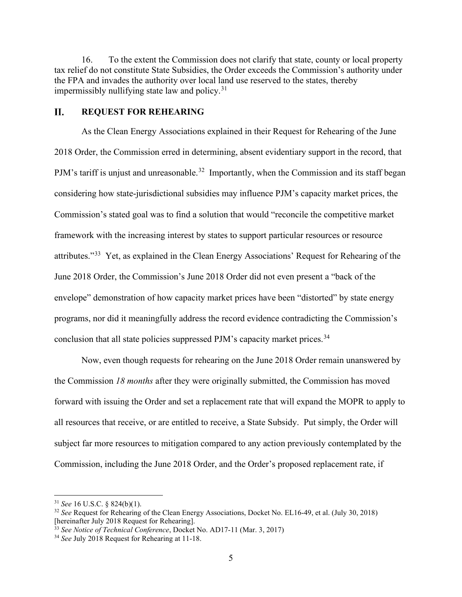16. To the extent the Commission does not clarify that state, county or local property tax relief do not constitute State Subsidies, the Order exceeds the Commission's authority under the FPA and invades the authority over local land use reserved to the states, thereby impermissibly nullifying state law and policy.<sup>[31](#page-9-1)</sup>

#### <span id="page-9-0"></span>II. **REQUEST FOR REHEARING**

As the Clean Energy Associations explained in their Request for Rehearing of the June 2018 Order, the Commission erred in determining, absent evidentiary support in the record, that PJM's tariff is unjust and unreasonable.<sup>[32](#page-9-2)</sup> Importantly, when the Commission and its staff began considering how state-jurisdictional subsidies may influence PJM's capacity market prices, the Commission's stated goal was to find a solution that would "reconcile the competitive market framework with the increasing interest by states to support particular resources or resource attributes."[33](#page-9-3) Yet, as explained in the Clean Energy Associations' Request for Rehearing of the June 2018 Order, the Commission's June 2018 Order did not even present a "back of the envelope" demonstration of how capacity market prices have been "distorted" by state energy programs, nor did it meaningfully address the record evidence contradicting the Commission's conclusion that all state policies suppressed PJM's capacity market prices.<sup>[34](#page-9-4)</sup>

Now, even though requests for rehearing on the June 2018 Order remain unanswered by the Commission *18 months* after they were originally submitted, the Commission has moved forward with issuing the Order and set a replacement rate that will expand the MOPR to apply to all resources that receive, or are entitled to receive, a State Subsidy. Put simply, the Order will subject far more resources to mitigation compared to any action previously contemplated by the Commission, including the June 2018 Order, and the Order's proposed replacement rate, if

<sup>31</sup> *See* 16 U.S.C. § 824(b)(1).

<span id="page-9-2"></span><span id="page-9-1"></span><sup>&</sup>lt;sup>32</sup> *See* Request for Rehearing of the Clean Energy Associations, Docket No. EL16-49, et al. (July 30, 2018) [hereinafter July 2018 Request for Rehearing].

<span id="page-9-3"></span><sup>[</sup>hereinafter July 2018 Request for Rehearing]. 33 *See Notice of Technical Conference*, Docket No. AD17-11 (Mar. 3, 2017)

<span id="page-9-4"></span><sup>34</sup> *See* July 2018 Request for Rehearing at 11-18.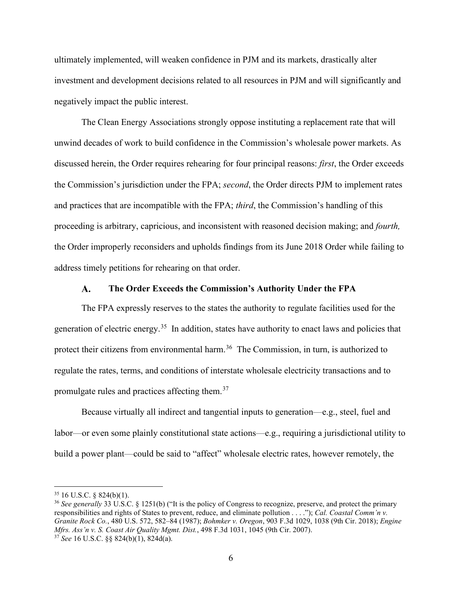ultimately implemented, will weaken confidence in PJM and its markets, drastically alter investment and development decisions related to all resources in PJM and will significantly and negatively impact the public interest.

The Clean Energy Associations strongly oppose instituting a replacement rate that will unwind decades of work to build confidence in the Commission's wholesale power markets. As discussed herein, the Order requires rehearing for four principal reasons: *first*, the Order exceeds the Commission's jurisdiction under the FPA; *second*, the Order directs PJM to implement rates and practices that are incompatible with the FPA; *third*, the Commission's handling of this proceeding is arbitrary, capricious, and inconsistent with reasoned decision making; and *fourth,*  the Order improperly reconsiders and upholds findings from its June 2018 Order while failing to address timely petitions for rehearing on that order.

#### A. **The Order Exceeds the Commission's Authority Under the FPA**

<span id="page-10-0"></span>The FPA expressly reserves to the states the authority to regulate facilities used for the generation of electric energy.[35](#page-10-1) In addition, states have authority to enact laws and policies that protect their citizens from environmental harm.<sup>[36](#page-10-2)</sup> The Commission, in turn, is authorized to regulate the rates, terms, and conditions of interstate wholesale electricity transactions and to promulgate rules and practices affecting them.[37](#page-10-3)

Because virtually all indirect and tangential inputs to generation—e.g., steel, fuel and labor—or even some plainly constitutional state actions—e.g., requiring a jurisdictional utility to build a power plant—could be said to "affect" wholesale electric rates, however remotely, the

<span id="page-10-1"></span> $35$  16 U.S.C. § 824(b)(1).

<span id="page-10-3"></span><span id="page-10-2"></span><sup>36</sup> *See generally* 33 U.S.C. § 1251(b) ("It is the policy of Congress to recognize, preserve, and protect the primary responsibilities and rights of States to prevent, reduce, and eliminate pollution . . . ."); *Cal. Coastal Comm'n v. Granite Rock Co.*, 480 U.S. 572, 582–84 (1987); *Bohmker v. Oregon*, 903 F.3d 1029, 1038 (9th Cir. 2018); *Engine Mfrs. Ass'n v. S. Coast Air Quality Mgmt. Dist.*, 498 F.3d 1031, 1045 (9th Cir. 2007). 37 *See* 16 U.S.C. §§ 824(b)(1), 824d(a).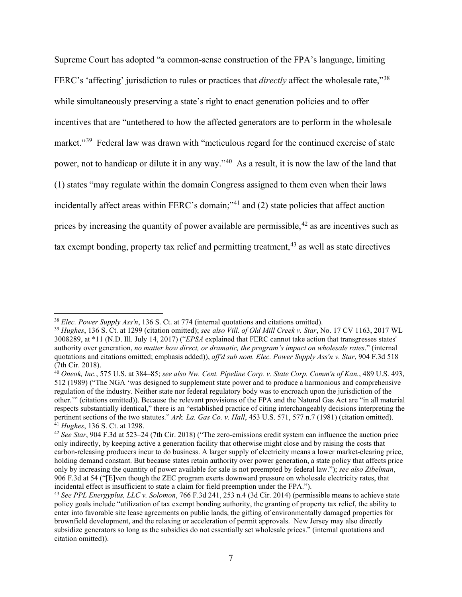Supreme Court has adopted "a common-sense construction of the FPA's language, limiting FERC's 'affecting' jurisdiction to rules or practices that *directly* affect the wholesale rate,"[38](#page-11-0) while simultaneously preserving a state's right to enact generation policies and to offer incentives that are "untethered to how the affected generators are to perform in the wholesale market."<sup>[39](#page-11-1)</sup> Federal law was drawn with "meticulous regard for the continued exercise of state power, not to handicap or dilute it in any way."[40](#page-11-2) As a result, it is now the law of the land that (1) states "may regulate within the domain Congress assigned to them even when their laws incidentally affect areas within FERC's domain;"<sup>[41](#page-11-3)</sup> and  $(2)$  state policies that affect auction prices by increasing the quantity of power available are permissible,  $42$  as are incentives such as tax exempt bonding, property tax relief and permitting treatment,  $43$  as well as state directives

<span id="page-11-1"></span><span id="page-11-0"></span><sup>&</sup>lt;sup>38</sup> Elec. Power Supply Ass'n, 136 S. Ct. at 774 (internal quotations and citations omitted).<br><sup>39</sup> Hughes, 136 S. Ct. at 1299 (citation omitted); see also Vill. of Old Mill Creek v. Star, No. 17 CV 1163, 2017 WL 3008289, at \*11 (N.D. Ill. July 14, 2017) ("*EPSA* explained that FERC cannot take action that transgresses states' authority over generation, *no matter how direct, or dramatic, the program's impact on wholesale rates*." (internal quotations and citations omitted; emphasis added)), *aff'd sub nom. Elec. Power Supply Ass'n v. Star*, 904 F.3d 518 (7th Cir. 2018).

<span id="page-11-2"></span><sup>40</sup> *Oneok, Inc.*, 575 U.S. at 384–85; *see also Nw. Cent. Pipeline Corp. v. State Corp. Comm'n of Kan.*, 489 U.S. 493, 512 (1989) ("The NGA 'was designed to supplement state power and to produce a harmonious and comprehensive regulation of the industry. Neither state nor federal regulatory body was to encroach upon the jurisdiction of the other.'" (citations omitted)). Because the relevant provisions of the FPA and the Natural Gas Act are "in all material respects substantially identical," there is an "established practice of citing interchangeably decisions interpreting the pertinent sections of the two statutes." *Ark. La. Gas Co. v. Hall*, 453 U.S. 571, 577 n.7 (1981) (citation omitted). <sup>41</sup> *Hughes*, 136 S. Ct. at 1298.

<span id="page-11-4"></span><span id="page-11-3"></span><sup>42</sup> *See Star*, 904 F.3d at 523–24 (7th Cir. 2018) ("The zero-emissions credit system can influence the auction price only indirectly, by keeping active a generation facility that otherwise might close and by raising the costs that carbon-releasing producers incur to do business. A larger supply of electricity means a lower market-clearing price, holding demand constant. But because states retain authority over power generation, a state policy that affects price only by increasing the quantity of power available for sale is not preempted by federal law."); *see also Zibelman*, 906 F.3d at 54 ("[E]ven though the ZEC program exerts downward pressure on wholesale electricity rates, that incidental effect is insufficient to state a claim for field preemption under the FPA.").

<span id="page-11-5"></span><sup>43</sup> *See PPL Energyplus, LLC v. Solomon*, 766 F.3d 241, 253 n.4 (3d Cir. 2014) (permissible means to achieve state policy goals include "utilization of tax exempt bonding authority, the granting of property tax relief, the ability to enter into favorable site lease agreements on public lands, the gifting of environmentally damaged properties for brownfield development, and the relaxing or acceleration of permit approvals. New Jersey may also directly subsidize generators so long as the subsidies do not essentially set wholesale prices." (internal quotations and citation omitted)).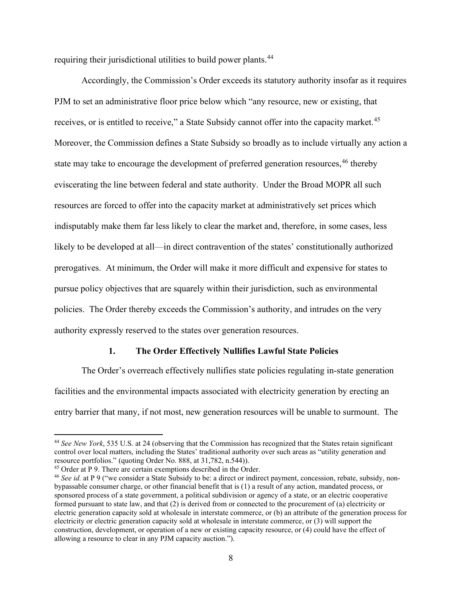requiring their jurisdictional utilities to build power plants.<sup>44</sup>

Accordingly, the Commission's Order exceeds its statutory authority insofar as it requires PJM to set an administrative floor price below which "any resource, new or existing, that receives, or is entitled to receive," a State Subsidy cannot offer into the capacity market.<sup>[45](#page-12-2)</sup> Moreover, the Commission defines a State Subsidy so broadly as to include virtually any action a state may take to encourage the development of preferred generation resources,<sup>[46](#page-12-3)</sup> thereby eviscerating the line between federal and state authority. Under the Broad MOPR all such resources are forced to offer into the capacity market at administratively set prices which indisputably make them far less likely to clear the market and, therefore, in some cases, less likely to be developed at all—in direct contravention of the states' constitutionally authorized prerogatives. At minimum, the Order will make it more difficult and expensive for states to pursue policy objectives that are squarely within their jurisdiction, such as environmental policies. The Order thereby exceeds the Commission's authority, and intrudes on the very authority expressly reserved to the states over generation resources.

#### **1. The Order Effectively Nullifies Lawful State Policies**

<span id="page-12-0"></span>The Order's overreach effectively nullifies state policies regulating in-state generation facilities and the environmental impacts associated with electricity generation by erecting an entry barrier that many, if not most, new generation resources will be unable to surmount. The

<span id="page-12-1"></span><sup>44</sup> *See New York*, 535 U.S. at 24 (observing that the Commission has recognized that the States retain significant control over local matters, including the States' traditional authority over such areas as "utility generation and resource portfolios." (quoting Order No. 888, at 31,782, n.544)).<br><sup>45</sup> Order at P 9. There are certain exemptions described in the Order.

<span id="page-12-2"></span>

<span id="page-12-3"></span><sup>&</sup>lt;sup>46</sup> See id. at P 9 ("we consider a State Subsidy to be: a direct or indirect payment, concession, rebate, subsidy, nonbypassable consumer charge, or other financial benefit that is (1) a result of any action, mandated process, or sponsored process of a state government, a political subdivision or agency of a state, or an electric cooperative formed pursuant to state law, and that (2) is derived from or connected to the procurement of (a) electricity or electric generation capacity sold at wholesale in interstate commerce, or (b) an attribute of the generation process for electricity or electric generation capacity sold at wholesale in interstate commerce, or (3) will support the construction, development, or operation of a new or existing capacity resource, or (4) could have the effect of allowing a resource to clear in any PJM capacity auction.").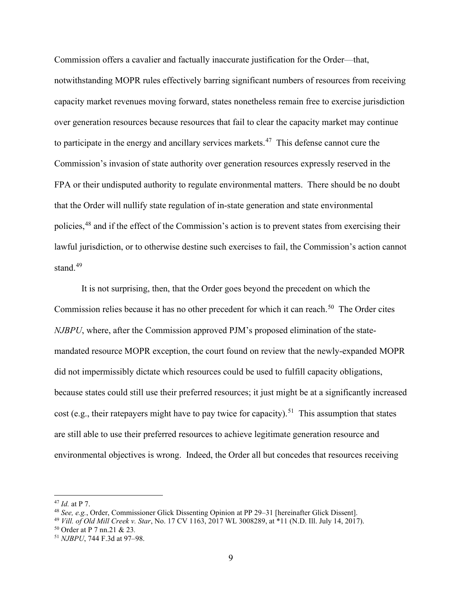Commission offers a cavalier and factually inaccurate justification for the Order—that, notwithstanding MOPR rules effectively barring significant numbers of resources from receiving capacity market revenues moving forward, states nonetheless remain free to exercise jurisdiction over generation resources because resources that fail to clear the capacity market may continue to participate in the energy and ancillary services markets.<sup>[47](#page-13-0)</sup> This defense cannot cure the Commission's invasion of state authority over generation resources expressly reserved in the FPA or their undisputed authority to regulate environmental matters. There should be no doubt that the Order will nullify state regulation of in-state generation and state environmental policies,<sup>[48](#page-13-1)</sup> and if the effect of the Commission's action is to prevent states from exercising their lawful jurisdiction, or to otherwise destine such exercises to fail, the Commission's action cannot stand. $49$ 

It is not surprising, then, that the Order goes beyond the precedent on which the Commission relies because it has no other precedent for which it can reach.<sup>50</sup> The Order cites *NJBPU*, where, after the Commission approved PJM's proposed elimination of the statemandated resource MOPR exception, the court found on review that the newly-expanded MOPR did not impermissibly dictate which resources could be used to fulfill capacity obligations, because states could still use their preferred resources; it just might be at a significantly increased cost (e.g., their ratepayers might have to pay twice for capacity).<sup>51</sup> This assumption that states are still able to use their preferred resources to achieve legitimate generation resource and environmental objectives is wrong. Indeed, the Order all but concedes that resources receiving

<span id="page-13-0"></span><sup>47</sup> *Id.* at P 7.

<span id="page-13-1"></span><sup>48</sup> *See, e.g.*, Order, Commissioner Glick Dissenting Opinion at PP 29–31 [hereinafter Glick Dissent].

<span id="page-13-2"></span><sup>49</sup> *Vill. of Old Mill Creek v. Star*, No. 17 CV 1163, 2017 WL 3008289, at \*11 (N.D. Ill. July 14, 2017).

<span id="page-13-3"></span><sup>50</sup> Order at P 7 nn.21 & 23*.*

<span id="page-13-4"></span><sup>51</sup> *NJBPU*, 744 F.3d at 97–98.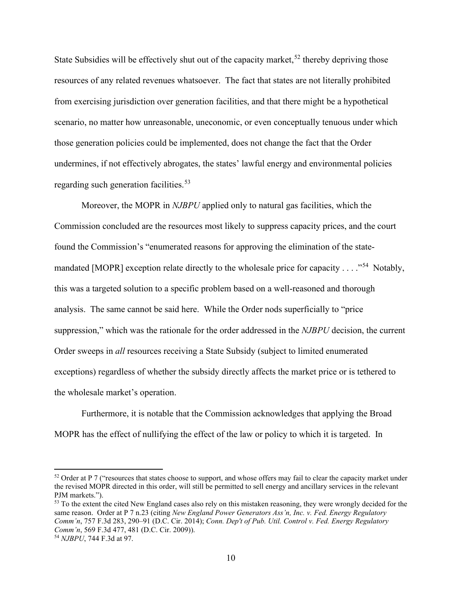State Subsidies will be effectively shut out of the capacity market,  $52$  thereby depriving those resources of any related revenues whatsoever. The fact that states are not literally prohibited from exercising jurisdiction over generation facilities, and that there might be a hypothetical scenario, no matter how unreasonable, uneconomic, or even conceptually tenuous under which those generation policies could be implemented, does not change the fact that the Order undermines, if not effectively abrogates, the states' lawful energy and environmental policies regarding such generation facilities.<sup>53</sup>

Moreover, the MOPR in *NJBPU* applied only to natural gas facilities, which the Commission concluded are the resources most likely to suppress capacity prices, and the court found the Commission's "enumerated reasons for approving the elimination of the statemandated [MOPR] exception relate directly to the wholesale price for capacity  $\dots$ <sup>54</sup> Notably, this was a targeted solution to a specific problem based on a well-reasoned and thorough analysis. The same cannot be said here. While the Order nods superficially to "price suppression," which was the rationale for the order addressed in the *NJBPU* decision, the current Order sweeps in *all* resources receiving a State Subsidy (subject to limited enumerated exceptions) regardless of whether the subsidy directly affects the market price or is tethered to the wholesale market's operation.

Furthermore, it is notable that the Commission acknowledges that applying the Broad MOPR has the effect of nullifying the effect of the law or policy to which it is targeted. In

<span id="page-14-0"></span> $52$  Order at P 7 ("resources that states choose to support, and whose offers may fail to clear the capacity market under the revised MOPR directed in this order, will still be permitted to sell energy and ancillary services in the relevant PJM markets.").

<span id="page-14-1"></span><sup>&</sup>lt;sup>53</sup> To the extent the cited New England cases also rely on this mistaken reasoning, they were wrongly decided for the same reason. Order at P 7 n.23 (citing *New England Power Generators Ass'n, Inc. v. Fed. Energy Regulatory Comm'n*, 757 F.3d 283, 290–91 (D.C. Cir. 2014); *Conn. Dep't of Pub. Util. Control v. Fed. Energy Regulatory Comm'n*, 569 F.3d 477, 481 (D.C. Cir. 2009)). 54 *NJBPU*, 744 F.3d at 97.

<span id="page-14-2"></span>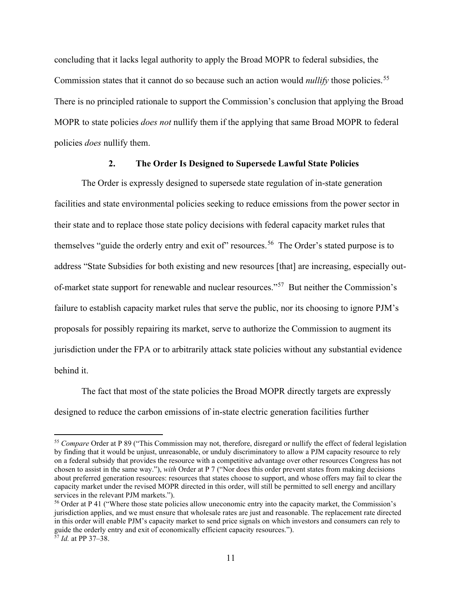concluding that it lacks legal authority to apply the Broad MOPR to federal subsidies, the Commission states that it cannot do so because such an action would *nullify* those policies.<sup>[55](#page-15-1)</sup> There is no principled rationale to support the Commission's conclusion that applying the Broad MOPR to state policies *does not* nullify them if the applying that same Broad MOPR to federal policies *does* nullify them.

#### **2. The Order Is Designed to Supersede Lawful State Policies**

<span id="page-15-0"></span>The Order is expressly designed to supersede state regulation of in-state generation facilities and state environmental policies seeking to reduce emissions from the power sector in their state and to replace those state policy decisions with federal capacity market rules that themselves "guide the orderly entry and exit of" resources.<sup>56</sup> The Order's stated purpose is to address "State Subsidies for both existing and new resources [that] are increasing, especially outof-market state support for renewable and nuclear resources."<sup>57</sup> But neither the Commission's failure to establish capacity market rules that serve the public, nor its choosing to ignore PJM's proposals for possibly repairing its market, serve to authorize the Commission to augment its jurisdiction under the FPA or to arbitrarily attack state policies without any substantial evidence behind it.

The fact that most of the state policies the Broad MOPR directly targets are expressly designed to reduce the carbon emissions of in-state electric generation facilities further

<span id="page-15-1"></span><sup>55</sup> *Compare* Order at P 89 ("This Commission may not, therefore, disregard or nullify the effect of federal legislation by finding that it would be unjust, unreasonable, or unduly discriminatory to allow a PJM capacity resource to rely on a federal subsidy that provides the resource with a competitive advantage over other resources Congress has not chosen to assist in the same way."), *with* Order at P 7 ("Nor does this order prevent states from making decisions about preferred generation resources: resources that states choose to support, and whose offers may fail to clear the capacity market under the revised MOPR directed in this order, will still be permitted to sell energy and ancillary services in the relevant PJM markets.").

<span id="page-15-3"></span><span id="page-15-2"></span><sup>&</sup>lt;sup>56</sup> Order at P 41 ("Where those state policies allow uneconomic entry into the capacity market, the Commission's jurisdiction applies, and we must ensure that wholesale rates are just and reasonable. The replacement rate directed in this order will enable PJM's capacity market to send price signals on which investors and consumers can rely to guide the orderly entry and exit of economically efficient capacity resources."). <sup>57</sup> *Id.* at PP 37–38.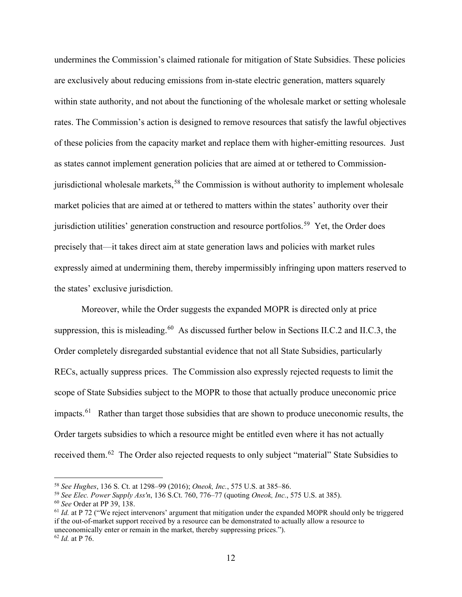undermines the Commission's claimed rationale for mitigation of State Subsidies. These policies are exclusively about reducing emissions from in-state electric generation, matters squarely within state authority, and not about the functioning of the wholesale market or setting wholesale rates. The Commission's action is designed to remove resources that satisfy the lawful objectives of these policies from the capacity market and replace them with higher-emitting resources. Just as states cannot implement generation policies that are aimed at or tethered to Commission-jurisdictional wholesale markets,<sup>[58](#page-16-0)</sup> the Commission is without authority to implement wholesale market policies that are aimed at or tethered to matters within the states' authority over their jurisdiction utilities' generation construction and resource portfolios.<sup>59</sup> Yet, the Order does precisely that—it takes direct aim at state generation laws and policies with market rules expressly aimed at undermining them, thereby impermissibly infringing upon matters reserved to the states' exclusive jurisdiction.

Moreover, while the Order suggests the expanded MOPR is directed only at price suppression, this is misleading.<sup>[60](#page-16-2)</sup> As discussed further below in Sections II.C.2 and II.C.3, the Order completely disregarded substantial evidence that not all State Subsidies, particularly RECs, actually suppress prices. The Commission also expressly rejected requests to limit the scope of State Subsidies subject to the MOPR to those that actually produce uneconomic price impacts.<sup>[61](#page-16-3)</sup> Rather than target those subsidies that are shown to produce uneconomic results, the Order targets subsidies to which a resource might be entitled even where it has not actually received them.<sup>[62](#page-16-4)</sup> The Order also rejected requests to only subject "material" State Subsidies to

<span id="page-16-0"></span><sup>58</sup> *See Hughes*, 136 S. Ct. at 1298–99 (2016); *Oneok, Inc.*, 575 U.S. at 385–86.

<span id="page-16-1"></span><sup>59</sup> *See Elec. Power Supply Ass'n*, 136 S.Ct. 760, 776–77 (quoting *Oneok, Inc.*, 575 U.S. at 385). 60 *See* Order at PP 39, 138.

<span id="page-16-2"></span>

<span id="page-16-4"></span><span id="page-16-3"></span><sup>&</sup>lt;sup>61</sup> *Id.* at P 72 ("We reject intervenors' argument that mitigation under the expanded MOPR should only be triggered if the out-of-market support received by a resource can be demonstrated to actually allow a resource to uneconomically enter or remain in the market, thereby suppressing prices."). <sup>62</sup> *Id.* at P 76.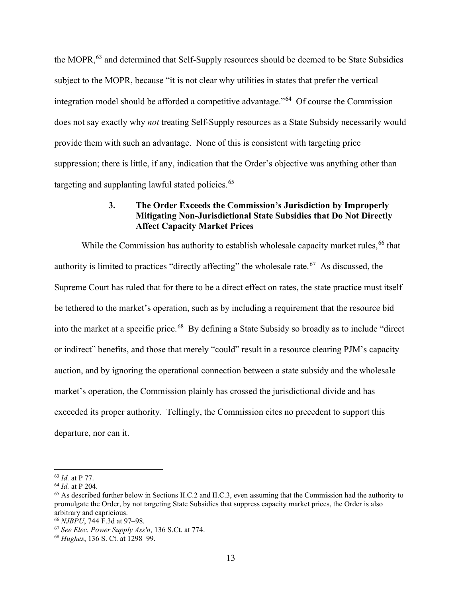the MOPR,<sup>[63](#page-17-1)</sup> and determined that Self-Supply resources should be deemed to be State Subsidies subject to the MOPR, because "it is not clear why utilities in states that prefer the vertical integration model should be afforded a competitive advantage."[64](#page-17-2) Of course the Commission does not say exactly why *not* treating Self-Supply resources as a State Subsidy necessarily would provide them with such an advantage. None of this is consistent with targeting price suppression; there is little, if any, indication that the Order's objective was anything other than targeting and supplanting lawful stated policies.<sup>[65](#page-17-3)</sup>

### **3. The Order Exceeds the Commission's Jurisdiction by Improperly Mitigating Non-Jurisdictional State Subsidies that Do Not Directly Affect Capacity Market Prices**

<span id="page-17-0"></span>While the Commission has authority to establish wholesale capacity market rules, <sup>[66](#page-17-4)</sup> that authority is limited to practices "directly affecting" the wholesale rate.<sup>67</sup> As discussed, the Supreme Court has ruled that for there to be a direct effect on rates, the state practice must itself be tethered to the market's operation, such as by including a requirement that the resource bid into the market at a specific price.<sup>68</sup> By defining a State Subsidy so broadly as to include "direct" or indirect" benefits, and those that merely "could" result in a resource clearing PJM's capacity auction, and by ignoring the operational connection between a state subsidy and the wholesale market's operation, the Commission plainly has crossed the jurisdictional divide and has exceeded its proper authority. Tellingly, the Commission cites no precedent to support this departure, nor can it.

<span id="page-17-2"></span><span id="page-17-1"></span><sup>63</sup> *Id.* at P 77. 64 *Id.* at P 204.

<span id="page-17-3"></span><sup>65</sup> As described further below in Sections II.C.2 and II.C.3, even assuming that the Commission had the authority to promulgate the Order, by not targeting State Subsidies that suppress capacity market prices, the Order is also arbitrary and capricious.<br><sup>66</sup> NJBPU, 744 F.3d at 97–98.

<span id="page-17-6"></span><span id="page-17-5"></span><span id="page-17-4"></span><sup>66</sup> *NJBPU*, 744 F.3d at 97–98. 67 *See Elec. Power Supply Ass'n*, 136 S.Ct. at 774. 68 *Hughes*, 136 S. Ct. at 1298–99.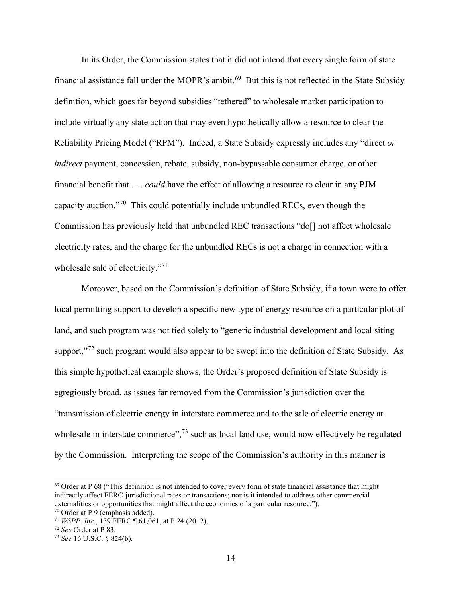In its Order, the Commission states that it did not intend that every single form of state financial assistance fall under the MOPR's ambit.<sup>69</sup> But this is not reflected in the State Subsidy definition, which goes far beyond subsidies "tethered" to wholesale market participation to include virtually any state action that may even hypothetically allow a resource to clear the Reliability Pricing Model ("RPM"). Indeed, a State Subsidy expressly includes any "direct *or indirect* payment, concession, rebate, subsidy, non-bypassable consumer charge, or other financial benefit that . . . *could* have the effect of allowing a resource to clear in any PJM capacity auction."[70](#page-18-1) This could potentially include unbundled RECs, even though the Commission has previously held that unbundled REC transactions "do[] not affect wholesale electricity rates, and the charge for the unbundled RECs is not a charge in connection with a wholesale sale of electricity."<sup>71</sup>

Moreover, based on the Commission's definition of State Subsidy, if a town were to offer local permitting support to develop a specific new type of energy resource on a particular plot of land, and such program was not tied solely to "generic industrial development and local siting support,"<sup>[72](#page-18-3)</sup> such program would also appear to be swept into the definition of State Subsidy. As this simple hypothetical example shows, the Order's proposed definition of State Subsidy is egregiously broad, as issues far removed from the Commission's jurisdiction over the "transmission of electric energy in interstate commerce and to the sale of electric energy at wholesale in interstate commerce",  $73$  such as local land use, would now effectively be regulated by the Commission. Interpreting the scope of the Commission's authority in this manner is

<span id="page-18-0"></span> $69$  Order at P 68 ("This definition is not intended to cover every form of state financial assistance that might indirectly affect FERC-jurisdictional rates or transactions; nor is it intended to address other commercial externalities or opportunities that might affect the economics of a particular resource.").

<span id="page-18-1"></span><sup>70</sup> Order at P 9 (emphasis added).

<span id="page-18-2"></span><sup>71</sup> *WSPP, Inc.*, 139 FERC ¶ 61,061, at P 24 (2012).

<span id="page-18-3"></span><sup>72</sup> *See* Order at P 83.

<span id="page-18-4"></span><sup>73</sup> *See* 16 U.S.C. § 824(b).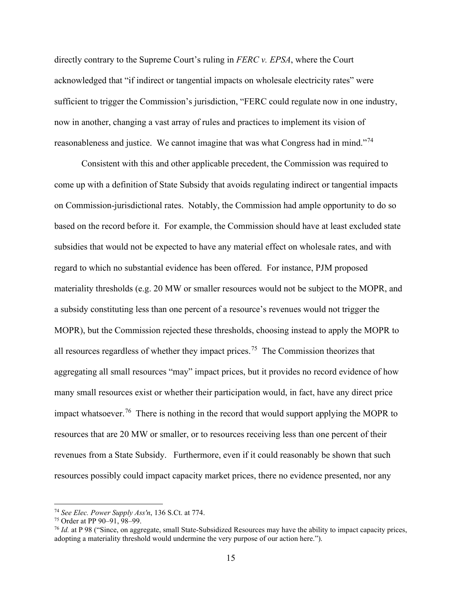directly contrary to the Supreme Court's ruling in *FERC v. EPSA*, where the Court acknowledged that "if indirect or tangential impacts on wholesale electricity rates" were sufficient to trigger the Commission's jurisdiction, "FERC could regulate now in one industry, now in another, changing a vast array of rules and practices to implement its vision of reasonableness and justice. We cannot imagine that was what Congress had in mind."[74](#page-19-0)

Consistent with this and other applicable precedent, the Commission was required to come up with a definition of State Subsidy that avoids regulating indirect or tangential impacts on Commission-jurisdictional rates. Notably, the Commission had ample opportunity to do so based on the record before it. For example, the Commission should have at least excluded state subsidies that would not be expected to have any material effect on wholesale rates, and with regard to which no substantial evidence has been offered. For instance, PJM proposed materiality thresholds (e.g. 20 MW or smaller resources would not be subject to the MOPR, and a subsidy constituting less than one percent of a resource's revenues would not trigger the MOPR), but the Commission rejected these thresholds, choosing instead to apply the MOPR to all resources regardless of whether they impact prices.<sup>[75](#page-19-1)</sup> The Commission theorizes that aggregating all small resources "may" impact prices, but it provides no record evidence of how many small resources exist or whether their participation would, in fact, have any direct price impact whatsoever.<sup>[76](#page-19-2)</sup> There is nothing in the record that would support applying the MOPR to resources that are 20 MW or smaller, or to resources receiving less than one percent of their revenues from a State Subsidy. Furthermore, even if it could reasonably be shown that such resources possibly could impact capacity market prices, there no evidence presented, nor any

<span id="page-19-0"></span><sup>74</sup> *See Elec. Power Supply Ass'n*, 136 S.Ct. at 774.

<span id="page-19-1"></span><sup>75</sup> Order at PP 90–91, 98–99.

<span id="page-19-2"></span><sup>&</sup>lt;sup>76</sup> *Id.* at P 98 ("Since, on aggregate, small State-Subsidized Resources may have the ability to impact capacity prices, adopting a materiality threshold would undermine the very purpose of our action here.").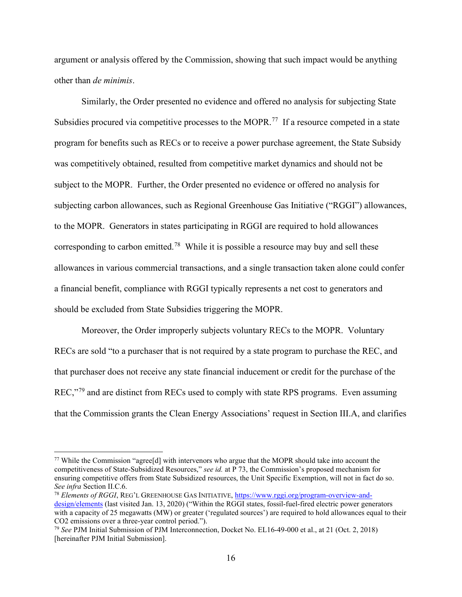argument or analysis offered by the Commission, showing that such impact would be anything other than *de minimis*.

Similarly, the Order presented no evidence and offered no analysis for subjecting State Subsidies procured via competitive processes to the MOPR.<sup>77</sup> If a resource competed in a state program for benefits such as RECs or to receive a power purchase agreement, the State Subsidy was competitively obtained, resulted from competitive market dynamics and should not be subject to the MOPR. Further, the Order presented no evidence or offered no analysis for subjecting carbon allowances, such as Regional Greenhouse Gas Initiative ("RGGI") allowances, to the MOPR. Generators in states participating in RGGI are required to hold allowances corresponding to carbon emitted.[78](#page-20-1) While it is possible a resource may buy and sell these allowances in various commercial transactions, and a single transaction taken alone could confer a financial benefit, compliance with RGGI typically represents a net cost to generators and should be excluded from State Subsidies triggering the MOPR.

Moreover, the Order improperly subjects voluntary RECs to the MOPR. Voluntary RECs are sold "to a purchaser that is not required by a state program to purchase the REC, and that purchaser does not receive any state financial inducement or credit for the purchase of the REC,"<sup>[79](#page-20-2)</sup> and are distinct from RECs used to comply with state RPS programs. Even assuming that the Commission grants the Clean Energy Associations' request in Section III.A, and clarifies

<span id="page-20-0"></span><sup>77</sup> While the Commission "agree[d] with intervenors who argue that the MOPR should take into account the competitiveness of State-Subsidized Resources," *see id.* at P 73, the Commission's proposed mechanism for ensuring competitive offers from State Subsidized resources, the Unit Specific Exemption, will not in fact do so. *See infra* Section II.C.6.<br><sup>78</sup> *Elements of RGGI*, REG'L GREENHOUSE GAS INITIATIVE, [https://www.rggi.org/program-overview-and-](https://www.rggi.org/program-overview-and-design/elements)

<span id="page-20-1"></span>[design/elements](https://www.rggi.org/program-overview-and-design/elements) (last visited Jan. 13, 2020) ("Within the RGGI states, fossil-fuel-fired electric power generators with a capacity of 25 megawatts (MW) or greater ('regulated sources') are required to hold allowances equal to their CO2 emissions over a three-year control period.").

<span id="page-20-2"></span><sup>79</sup> *See* PJM Initial Submission of PJM Interconnection, Docket No. EL16-49-000 et al., at 21 (Oct. 2, 2018) [hereinafter PJM Initial Submission].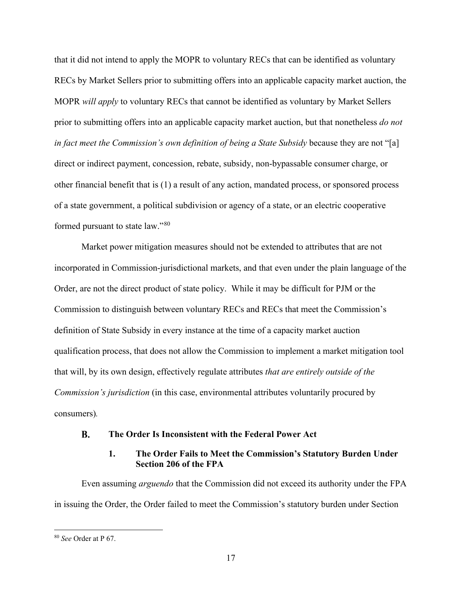that it did not intend to apply the MOPR to voluntary RECs that can be identified as voluntary RECs by Market Sellers prior to submitting offers into an applicable capacity market auction, the MOPR *will apply* to voluntary RECs that cannot be identified as voluntary by Market Sellers prior to submitting offers into an applicable capacity market auction, but that nonetheless *do not in fact meet the Commission's own definition of being a State Subsidy* because they are not "[a] direct or indirect payment, concession, rebate, subsidy, non-bypassable consumer charge, or other financial benefit that is (1) a result of any action, mandated process, or sponsored process of a state government, a political subdivision or agency of a state, or an electric cooperative formed pursuant to state law."[80](#page-21-2) 

Market power mitigation measures should not be extended to attributes that are not incorporated in Commission-jurisdictional markets, and that even under the plain language of the Order, are not the direct product of state policy. While it may be difficult for PJM or the Commission to distinguish between voluntary RECs and RECs that meet the Commission's definition of State Subsidy in every instance at the time of a capacity market auction qualification process, that does not allow the Commission to implement a market mitigation tool that will, by its own design, effectively regulate attributes *that are entirely outside of the Commission's jurisdiction* (in this case, environmental attributes voluntarily procured by consumers)*.* 

#### <span id="page-21-0"></span>**The Order Is Inconsistent with the Federal Power Act**  $\mathbf{R}$ .

### **1. The Order Fails to Meet the Commission's Statutory Burden Under Section 206 of the FPA**

<span id="page-21-1"></span>Even assuming *arguendo* that the Commission did not exceed its authority under the FPA in issuing the Order, the Order failed to meet the Commission's statutory burden under Section

<span id="page-21-2"></span><sup>80</sup> *See* Order at P 67.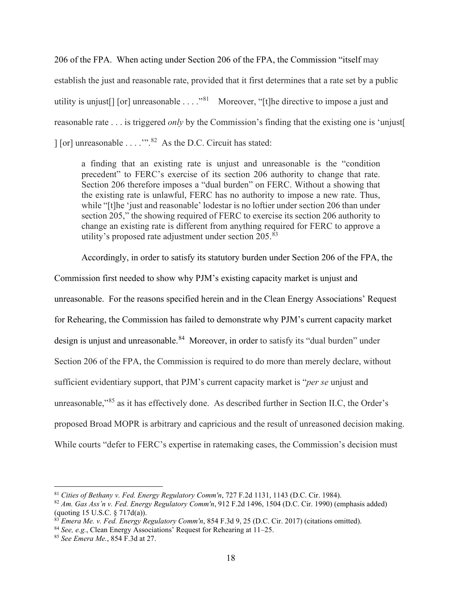206 of the FPA. When acting under Section 206 of the FPA, the Commission "itself may

establish the just and reasonable rate, provided that it first determines that a rate set by a public utility is unjust [] [or] unreasonable  $\dots$  .  $"^{81}$  $"^{81}$  $"^{81}$  Moreover, "[t] he directive to impose a just and reasonable rate . . . is triggered *only* by the Commission's finding that the existing one is 'unjust[ ] [or] unreasonable . . . .'".[82](#page-22-1) As the D.C. Circuit has stated:

a finding that an existing rate is unjust and unreasonable is the "condition precedent" to FERC's exercise of its section 206 authority to change that rate. Section 206 therefore imposes a "dual burden" on FERC. Without a showing that the existing rate is unlawful, FERC has no authority to impose a new rate. Thus, while "[t]he 'just and reasonable' lodestar is no loftier under section 206 than under section 205," the showing required of FERC to exercise its section 206 authority to change an existing rate is different from anything required for FERC to approve a utility's proposed rate adjustment under section  $205.^{83}$  $205.^{83}$  $205.^{83}$ 

Accordingly, in order to satisfy its statutory burden under Section 206 of the FPA, the

Commission first needed to show why PJM's existing capacity market is unjust and unreasonable. For the reasons specified herein and in the Clean Energy Associations' Request for Rehearing, the Commission has failed to demonstrate why PJM's current capacity market design is unjust and unreasonable.<sup>84</sup> Moreover, in order to satisfy its "dual burden" under Section 206 of the FPA, the Commission is required to do more than merely declare, without sufficient evidentiary support, that PJM's current capacity market is "*per se* unjust and unreasonable,"[85](#page-22-4) as it has effectively done. As described further in Section II.C, the Order's proposed Broad MOPR is arbitrary and capricious and the result of unreasoned decision making. While courts "defer to FERC's expertise in ratemaking cases, the Commission's decision must

<span id="page-22-0"></span><sup>81</sup> *Cities of Bethany v. Fed. Energy Regulatory Comm'n*, 727 F.2d 1131, 1143 (D.C. Cir. 1984).

<span id="page-22-1"></span><sup>82</sup> *[Am. Gas Ass'n v. Fed. Energy Regulatory Comm'n](https://1.next.westlaw.com/Link/Document/FullText?findType=Y&serNum=1990125041&pubNum=0000350&originatingDoc=Ia7ce1d90234811e7815ea6969ee18a03&refType=RP&fi=co_pp_sp_350_1504&originationContext=document&transitionType=DocumentItem&contextData=(sc.UserEnteredCitation)#co_pp_sp_350_1504)*, 912 F.2d 1496, 1504 (D.C. Cir. 1990) (emphasis added) (quoting [15 U.S.C. § 717d\(a\)\)](https://1.next.westlaw.com/Link/Document/FullText?findType=L&pubNum=1000546&cite=15USCAS717D&originatingDoc=Ia7ce1d90234811e7815ea6969ee18a03&refType=RB&originationContext=document&transitionType=DocumentItem&contextData=(sc.UserEnteredCitation)#co_pp_8b3b0000958a4).

<span id="page-22-2"></span><sup>83</sup> *Emera Me. v. Fed. Energy Regulatory Comm'n*, 854 F.3d 9, 25 (D.C. Cir. 2017) (citations omitted).

<span id="page-22-4"></span><span id="page-22-3"></span><sup>84</sup> *See, e.g.*, Clean Energy Associations' Request for Rehearing at 11–25. 85 *See Emera Me.*, 854 F.3d at 27.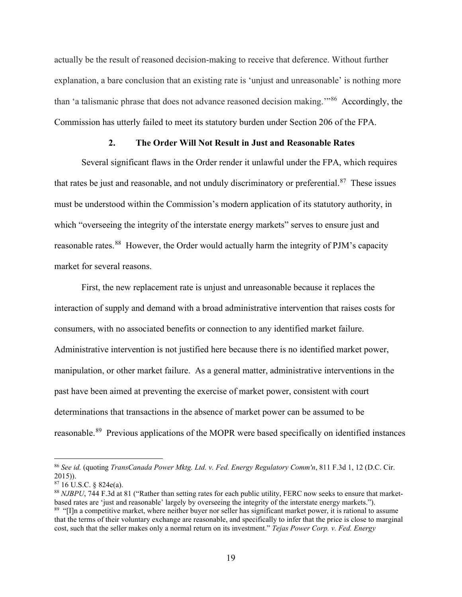actually be the result of reasoned decision-making to receive that deference. Without further explanation, a bare conclusion that an existing rate is 'unjust and unreasonable' is nothing more than 'a talismanic phrase that does not advance reasoned decision making.<sup>"86</sup> Accordingly, the Commission has utterly failed to meet its statutory burden under Section 206 of the FPA.

### **2. The Order Will Not Result in Just and Reasonable Rates**

<span id="page-23-0"></span>Several significant flaws in the Order render it unlawful under the FPA, which requires that rates be just and reasonable, and not unduly discriminatory or preferential.<sup>87</sup> These issues must be understood within the Commission's modern application of its statutory authority, in which "overseeing the integrity of the interstate energy markets" serves to ensure just and reasonable rates.<sup>88</sup> However, the Order would actually harm the integrity of PJM's capacity market for several reasons.

First, the new replacement rate is unjust and unreasonable because it replaces the interaction of supply and demand with a broad administrative intervention that raises costs for consumers, with no associated benefits or connection to any identified market failure. Administrative intervention is not justified here because there is no identified market power, manipulation, or other market failure. As a general matter, administrative interventions in the past have been aimed at preventing the exercise of market power, consistent with court determinations that transactions in the absence of market power can be assumed to be reasonable.<sup>[89](#page-23-4)</sup> Previous applications of the MOPR were based specifically on identified instances

<span id="page-23-1"></span><sup>86</sup> *See id.* (quoting *TransCanada Power Mktg. Ltd. v. Fed. [Energy Regulatory Comm'n](https://1.next.westlaw.com/Document/I59a96b5aa8da11e5b86bd602cb8781fa/View/FullText.html?originationContext=docHeader&contextData=(sc.DocLink)&transitionType=Document&needToInjectTerms=False&docSource=470db733449a44a9abcfe5a6be6f0b6b)*, 811 F.3d 1, 12 (D.C. Cir. 2015)).

<span id="page-23-2"></span> $8716$  U.S.C. § 824e(a).

<span id="page-23-4"></span><span id="page-23-3"></span><sup>88</sup> *NJBPU*, 744 F.3d at 81 ("Rather than setting rates for each public utility, FERC now seeks to ensure that marketbased rates are 'just and reasonable' largely by overseeing the integrity of the interstate energy markets."). <sup>89</sup> "[I]n a competitive market, where neither buyer nor seller has significant market power, it is rational to assume that the terms of their voluntary exchange are reasonable, and specifically to infer that the price is close to marginal cost, such that the seller makes only a normal return on its investment." *Tejas Power Corp. v. Fed. Energy*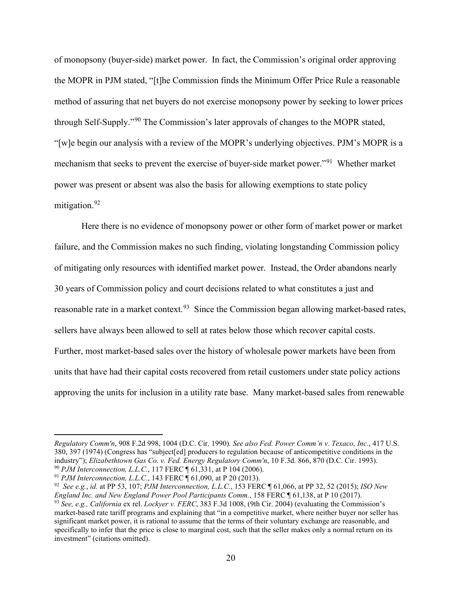of monopsony (buyer-side) market power. In fact, the Commission's original order approving the MOPR in PJM stated, "[t]he Commission finds the Minimum Offer Price Rule a reasonable method of assuring that net buyers do not exercise monopsony power by seeking to lower prices through Self-Supply."<sup>[90](#page-24-0)</sup> The Commission's later approvals of changes to the MOPR stated, "[w]e begin our analysis with a review of the MOPR's underlying objectives. PJM's MOPR is a mechanism that seeks to prevent the exercise of buyer-side market power."[91](#page-24-1) Whether market power was present or absent was also the basis for allowing exemptions to state policy mitigation.<sup>92</sup>

Here there is no evidence of monopsony power or other form of market power or market failure, and the Commission makes no such finding, violating longstanding Commission policy of mitigating only resources with identified market power. Instead, the Order abandons nearly 30 years of Commission policy and court decisions related to what constitutes a just and reasonable rate in a market context.<sup>[93](#page-24-3)</sup> Since the Commission began allowing market-based rates, sellers have always been allowed to sell at rates below those which recover capital costs. Further, most market-based sales over the history of wholesale power markets have been from units that have had their capital costs recovered from retail customers under state policy actions approving the units for inclusion in a utility rate base. Many market-based sales from renewable

*Regulatory Comm'n*, 908 F.2d 998, 1004 (D.C. Cir. 1990). *See also Fed. Power Comm'n v. Texaco, Inc.*, 417 U.S. 380, 397 (1974) (Congress has "subject[ed] producers to regulation because of anticompetitive conditions in the industry"); *Elizabethtown Gas Co. v. Fed. Energy Regulatory Comm'n*, 10 F.3d. 866, 870 (D.C. Cir. 1993). <sup>90</sup> *PJM Interconnection, L.L.C.*, 117 FERC ¶ 61,331, at P 104 (2006).

<span id="page-24-1"></span><span id="page-24-0"></span><sup>91</sup> *PJM Interconnection, L.L.C.*, 143 FERC ¶ 61,090, at P 20 (2013).

<span id="page-24-2"></span><sup>92</sup> *See e.g.*, *id.* at PP 53, 107; *PJM Interconnection, L.L.C.*, 153 FERC ¶ 61,066, at PP 32, 52 (2015); *ISO New England Inc. and New England Power Pool Participants Comm.*, 158 FERC ¶ 61,138, at P 10 (2017).

<span id="page-24-3"></span><sup>93</sup> *See, e.g., California* ex rel. *Lockyer v. FERC*, 383 F.3d 1008, (9th Cir. 2004) (evaluating the Commission's market-based rate tariff programs and explaining that "in a competitive market, where neither buyer nor seller has significant market power, it is rational to assume that the terms of their voluntary exchange are reasonable, and specifically to infer that the price is close to marginal cost, such that the seller makes only a normal return on its investment" (citations omitted).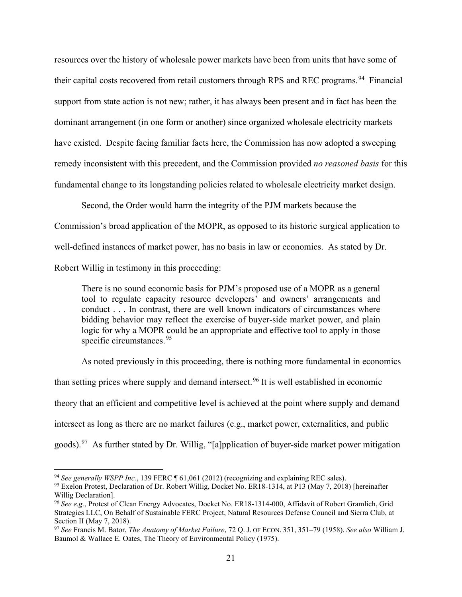resources over the history of wholesale power markets have been from units that have some of their capital costs recovered from retail customers through RPS and REC programs.<sup>[94](#page-25-0)</sup> Financial support from state action is not new; rather, it has always been present and in fact has been the dominant arrangement (in one form or another) since organized wholesale electricity markets have existed. Despite facing familiar facts here, the Commission has now adopted a sweeping remedy inconsistent with this precedent, and the Commission provided *no reasoned basis* for this fundamental change to its longstanding policies related to wholesale electricity market design.

Second, the Order would harm the integrity of the PJM markets because the Commission's broad application of the MOPR, as opposed to its historic surgical application to well-defined instances of market power, has no basis in law or economics. As stated by Dr. Robert Willig in testimony in this proceeding:

There is no sound economic basis for PJM's proposed use of a MOPR as a general tool to regulate capacity resource developers' and owners' arrangements and conduct . . . In contrast, there are well known indicators of circumstances where bidding behavior may reflect the exercise of buyer-side market power, and plain logic for why a MOPR could be an appropriate and effective tool to apply in those specific circumstances.<sup>[95](#page-25-1)</sup>

As noted previously in this proceeding, there is nothing more fundamental in economics

than setting prices where supply and demand intersect.<sup>[96](#page-25-2)</sup> It is well established in economic theory that an efficient and competitive level is achieved at the point where supply and demand intersect as long as there are no market failures (e.g., market power, externalities, and public goods).<sup>[97](#page-25-3)</sup> As further stated by Dr. Willig, "[a]pplication of buyer-side market power mitigation

<span id="page-25-0"></span><sup>94</sup> *See generally WSPP Inc.*, 139 FERC ¶ 61,061 (2012) (recognizing and explaining REC sales).

<span id="page-25-1"></span><sup>&</sup>lt;sup>95</sup> Exelon Protest, Declaration of Dr. Robert Willig, Docket No. ER18-1314, at P13 (May 7, 2018) [hereinafter Willig Declaration].

<span id="page-25-2"></span><sup>96</sup> *See e.g.*, Protest of Clean Energy Advocates, Docket No. ER18-1314-000, Affidavit of Robert Gramlich, Grid Strategies LLC, On Behalf of Sustainable FERC Project, Natural Resources Defense Council and Sierra Club, at Section II (May 7, 2018).

<span id="page-25-3"></span><sup>97</sup> *See* Francis M. Bator, *The Anatomy of Market Failure*, 72 Q. J. OF ECON. 351, 351–79 (1958). *See also* William J. Baumol & Wallace E. Oates, The Theory of Environmental Policy (1975).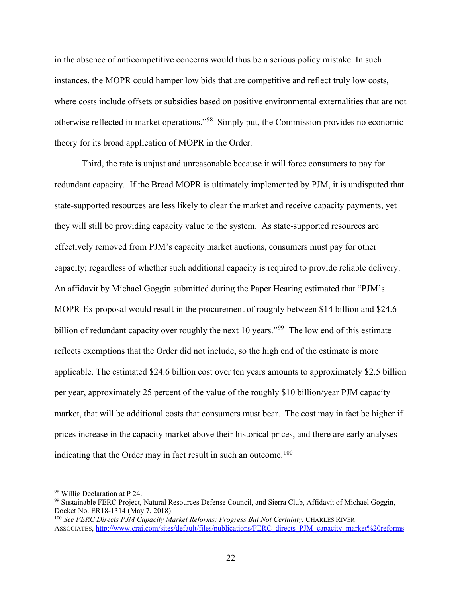in the absence of anticompetitive concerns would thus be a serious policy mistake. In such instances, the MOPR could hamper low bids that are competitive and reflect truly low costs, where costs include offsets or subsidies based on positive environmental externalities that are not otherwise reflected in market operations."[98](#page-26-0) Simply put, the Commission provides no economic theory for its broad application of MOPR in the Order.

Third, the rate is unjust and unreasonable because it will force consumers to pay for redundant capacity. If the Broad MOPR is ultimately implemented by PJM, it is undisputed that state-supported resources are less likely to clear the market and receive capacity payments, yet they will still be providing capacity value to the system. As state-supported resources are effectively removed from PJM's capacity market auctions, consumers must pay for other capacity; regardless of whether such additional capacity is required to provide reliable delivery. An affidavit by Michael Goggin submitted during the Paper Hearing estimated that "PJM's MOPR-Ex proposal would result in the procurement of roughly between \$14 billion and \$24.6 billion of redundant capacity over roughly the next 10 years."<sup>99</sup> The low end of this estimate reflects exemptions that the Order did not include, so the high end of the estimate is more applicable. The estimated \$24.6 billion cost over ten years amounts to approximately \$2.5 billion per year, approximately 25 percent of the value of the roughly \$10 billion/year PJM capacity market, that will be additional costs that consumers must bear. The cost may in fact be higher if prices increase in the capacity market above their historical prices, and there are early analyses indicating that the Order may in fact result in such an outcome.<sup>100</sup>

<span id="page-26-0"></span><sup>98</sup> Willig Declaration at P 24.

<span id="page-26-1"></span><sup>99</sup> Sustainable FERC Project, Natural Resources Defense Council, and Sierra Club, Affidavit of Michael Goggin, Docket No. ER18-1314 (May 7, 2018).

<span id="page-26-2"></span><sup>100</sup> *See FERC Directs PJM Capacity Market Reforms: Progress But Not Certainty*, CHARLES RIVER ASSOCIATES, [http://www.crai.com/sites/default/files/publications/FERC\\_directs\\_PJM\\_capacity\\_market%20reforms](http://www.crai.com/sites/default/files/publications/FERC_directs_PJM_capacity_market%20reforms_%20December_2019_CRA.pdf)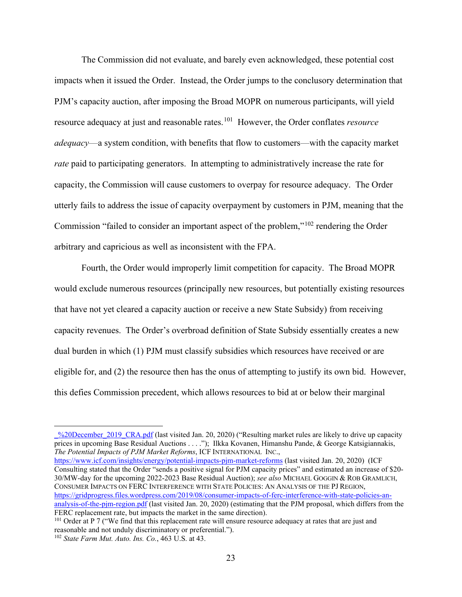The Commission did not evaluate, and barely even acknowledged, these potential cost impacts when it issued the Order. Instead, the Order jumps to the conclusory determination that PJM's capacity auction, after imposing the Broad MOPR on numerous participants, will yield resource adequacy at just and reasonable rates.[101](#page-27-0) However, the Order conflates *resource adequacy*—a system condition, with benefits that flow to customers—with the capacity market *rate* paid to participating generators. In attempting to administratively increase the rate for capacity, the Commission will cause customers to overpay for resource adequacy. The Order utterly fails to address the issue of capacity overpayment by customers in PJM, meaning that the Commission "failed to consider an important aspect of the problem,"[102](#page-27-1) rendering the Order arbitrary and capricious as well as inconsistent with the FPA.

Fourth, the Order would improperly limit competition for capacity. The Broad MOPR would exclude numerous resources (principally new resources, but potentially existing resources that have not yet cleared a capacity auction or receive a new State Subsidy) from receiving capacity revenues. The Order's overbroad definition of State Subsidy essentially creates a new dual burden in which (1) PJM must classify subsidies which resources have received or are eligible for, and (2) the resource then has the onus of attempting to justify its own bid. However, this defies Commission precedent, which allows resources to bid at or below their marginal

[https://www.icf.com/insights/energy/potential-impacts-](https://www.icf.com/insights/energy/potential-impacts-pjm-market-reforms)pjm-market-reforms (last visited Jan. 20, 2020) (ICF Consulting stated that the Order "sends a positive signal for PJM capacity prices" and estimated an increase of \$20- 30/MW-day for the upcoming 2022-2023 Base Residual Auction); *see also* MICHAEL GOGGIN & ROB GRAMLICH, CONSUMER IMPACTS ON FERC INTERFERENCE WITH STATE POLICIES: AN ANALYSIS OF THE PJ REGION, [https://gridprogress.files.wordpress.com/2019/08/consumer-impacts-of-ferc-interference-with-state-policies-an](https://gridprogress.files.wordpress.com/2019/08/consumer-impacts-of-ferc-interference-with-state-policies-an-analysis-of-the-pjm-region.pdf)[analysis-of-the-](https://gridprogress.files.wordpress.com/2019/08/consumer-impacts-of-ferc-interference-with-state-policies-an-analysis-of-the-pjm-region.pdf)pjm-region.pdf (last visited Jan. 20, 2020) (estimating that the PJM proposal, which differs from the FERC replacement rate, but impacts the market in the same direction).

[\\_%20December\\_2019\\_CRA.pdf](http://www.crai.com/sites/default/files/publications/FERC_directs_PJM_capacity_market%20reforms_%20December_2019_CRA.pdf) (last visited Jan. 20, 2020) ("Resulting market rules are likely to drive up capacity prices in upcoming Base Residual Auctions . . . ."); Ilkka Kovanen, Himanshu Pande, & George Katsigiannakis, *The Potential Impacts of PJM Market Reforms*, ICF INTERNATIONAL INC.,

<span id="page-27-0"></span><sup>&</sup>lt;sup>101</sup> Order at P 7 ("We find that this replacement rate will ensure resource adequacy at rates that are just and reasonable and not unduly discriminatory or preferential.").

<span id="page-27-1"></span><sup>102</sup> *State Farm Mut. Auto. Ins. Co.*, 463 U.S. at 43.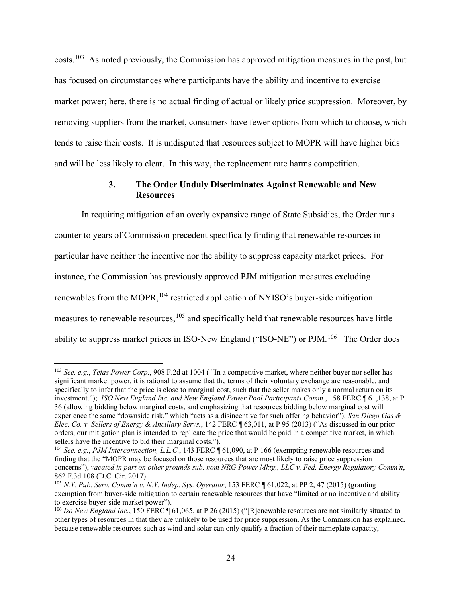costs.[103](#page-28-1) As noted previously, the Commission has approved mitigation measures in the past, but has focused on circumstances where participants have the ability and incentive to exercise market power; here, there is no actual finding of actual or likely price suppression. Moreover, by removing suppliers from the market, consumers have fewer options from which to choose, which tends to raise their costs. It is undisputed that resources subject to MOPR will have higher bids and will be less likely to clear. In this way, the replacement rate harms competition.

## **3. The Order Unduly Discriminates Against Renewable and New Resources**

<span id="page-28-0"></span>In requiring mitigation of an overly expansive range of State Subsidies, the Order runs counter to years of Commission precedent specifically finding that renewable resources in particular have neither the incentive nor the ability to suppress capacity market prices. For instance, the Commission has previously approved PJM mitigation measures excluding renewables from the MOPR,<sup>[104](#page-28-2)</sup> restricted application of NYISO's buyer-side mitigation measures to renewable resources,<sup>[105](#page-28-3)</sup> and specifically held that renewable resources have little ability to suppress market prices in ISO-New England ("ISO-NE") or PJM.<sup>106</sup> The Order does

<span id="page-28-1"></span><sup>103</sup> *See, e.g.*, *Tejas Power Corp.*, 908 F.2d at 1004 ( "In a competitive market, where neither buyer nor seller has significant market power, it is rational to assume that the terms of their voluntary exchange are reasonable, and specifically to infer that the price is close to marginal cost, such that the seller makes only a normal return on its investment."); *ISO New England Inc. and New England Power Pool Participants Comm.*, 158 FERC ¶ 61,138, at P 36 (allowing bidding below marginal costs, and emphasizing that resources bidding below marginal cost will experience the same "downside risk," which "acts as a disincentive for such offering behavior"); *San Diego Gas & Elec. Co. v. Sellers of Energy & Ancillary Servs.*, 142 FERC ¶ 63,011, at P 95 (2013) ("As discussed in our prior orders, our mitigation plan is intended to replicate the price that would be paid in a competitive market, in which sellers have the incentive to bid their marginal costs.").

<span id="page-28-2"></span><sup>104</sup> *See, e.g.*, *PJM Interconnection, L.L.C*., 143 FERC ¶ 61,090, at P 166 (exempting renewable resources and finding that the "MOPR may be focused on those resources that are most likely to raise price suppression concerns"), *vacated in part on other grounds sub. nom NRG Power Mktg., LLC v. Fed. Energy Regulatory Comm'n*, 862 F.3d 108 (D.C. Cir. 2017).

<span id="page-28-3"></span><sup>105</sup> *N.Y. Pub. Serv. Comm'n v. N.Y. Indep. Sys. Operator*, 153 FERC ¶ 61,022, at PP 2, 47 (2015) (granting exemption from buyer-side mitigation to certain renewable resources that have "limited or no incentive and ability to exercise buyer-side market power").

<span id="page-28-4"></span><sup>&</sup>lt;sup>106</sup> *Iso New England Inc.*, 150 FERC [ 61,065, at P 26 (2015) ("[R]enewable resources are not similarly situated to other types of resources in that they are unlikely to be used for price suppression. As the Commission has explained, because renewable resources such as wind and solar can only qualify a fraction of their nameplate capacity,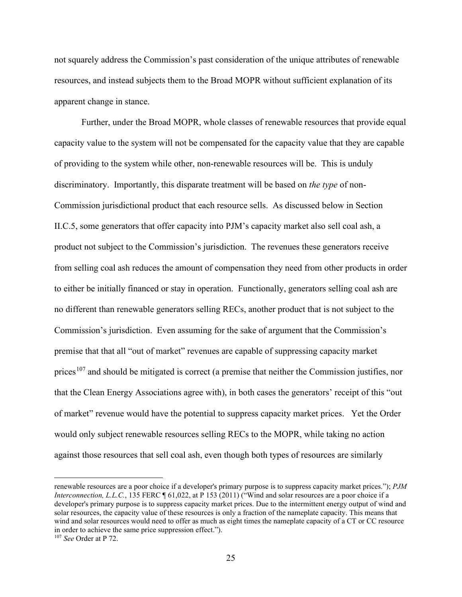not squarely address the Commission's past consideration of the unique attributes of renewable resources, and instead subjects them to the Broad MOPR without sufficient explanation of its apparent change in stance.

Further, under the Broad MOPR, whole classes of renewable resources that provide equal capacity value to the system will not be compensated for the capacity value that they are capable of providing to the system while other, non-renewable resources will be. This is unduly discriminatory. Importantly, this disparate treatment will be based on *the type* of non-Commission jurisdictional product that each resource sells. As discussed below in Section II.C.5, some generators that offer capacity into PJM's capacity market also sell coal ash, a product not subject to the Commission's jurisdiction. The revenues these generators receive from selling coal ash reduces the amount of compensation they need from other products in order to either be initially financed or stay in operation. Functionally, generators selling coal ash are no different than renewable generators selling RECs, another product that is not subject to the Commission's jurisdiction. Even assuming for the sake of argument that the Commission's premise that that all "out of market" revenues are capable of suppressing capacity market prices<sup>[107](#page-29-0)</sup> and should be mitigated is correct (a premise that neither the Commission justifies, nor that the Clean Energy Associations agree with), in both cases the generators' receipt of this "out of market" revenue would have the potential to suppress capacity market prices. Yet the Order would only subject renewable resources selling RECs to the MOPR, while taking no action against those resources that sell coal ash, even though both types of resources are similarly

renewable resources are a poor choice if a developer's primary purpose is to suppress capacity market prices."); *PJM Interconnection, L.L.C.*, 135 FERC ¶ 61,022, at P 153 (2011) ("Wind and solar resources are a poor choice if a developer's primary purpose is to suppress capacity market prices. Due to the intermittent energy output of wind and solar resources, the capacity value of these resources is only a fraction of the nameplate capacity. This means that wind and solar resources would need to offer as much as eight times the nameplate capacity of a CT or CC resource in order to achieve the same price suppression effect."). 107 *See* Order at P 72.

<span id="page-29-0"></span>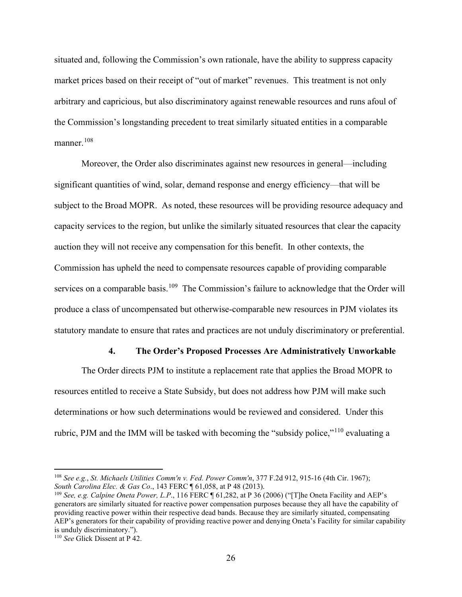situated and, following the Commission's own rationale, have the ability to suppress capacity market prices based on their receipt of "out of market" revenues. This treatment is not only arbitrary and capricious, but also discriminatory against renewable resources and runs afoul of the Commission's longstanding precedent to treat similarly situated entities in a comparable manner. [108](#page-30-1)

Moreover, the Order also discriminates against new resources in general—including significant quantities of wind, solar, demand response and energy efficiency—that will be subject to the Broad MOPR. As noted, these resources will be providing resource adequacy and capacity services to the region, but unlike the similarly situated resources that clear the capacity auction they will not receive any compensation for this benefit. In other contexts, the Commission has upheld the need to compensate resources capable of providing comparable services on a comparable basis.<sup>109</sup> The Commission's failure to acknowledge that the Order will produce a class of uncompensated but otherwise-comparable new resources in PJM violates its statutory mandate to ensure that rates and practices are not unduly discriminatory or preferential.

#### **4. The Order's Proposed Processes Are Administratively Unworkable**

<span id="page-30-0"></span>The Order directs PJM to institute a replacement rate that applies the Broad MOPR to resources entitled to receive a State Subsidy, but does not address how PJM will make such determinations or how such determinations would be reviewed and considered. Under this rubric, PJM and the IMM will be tasked with becoming the "subsidy police,"[110](#page-30-3) evaluating a

<span id="page-30-1"></span><sup>108</sup> *See e.g.*, *St. Michaels Utilities Comm'n v. Fed. Power Comm'n*, 377 F.2d 912, 915-16 (4th Cir. 1967); *[South Carolina Elec. & Gas Co](https://1.next.westlaw.com/Link/Document/FullText?findType=Y&serNum=2030392283&pubNum=0000920&originatingDoc=I821c4137852911e490d4edf60ce7d742&refType=CA&originationContext=document&transitionType=DocumentItem&contextData=(sc.Search))*., 143 FERC ¶ 61,058, at P 48 (2013).

<span id="page-30-2"></span><sup>109</sup> *See, e.g. Calpine Oneta Power, L.P*., 116 FERC ¶ 61,282, at P 36 (2006) ("[T]he Oneta Facility and AEP's generators are similarly situated for reactive power compensation purposes because they all have the capability of providing reactive power within their respective dead bands. Because they are similarly situated, compensating AEP's generators for their capability of providing reactive power and denying Oneta's Facility for similar capability is unduly discriminatory.").

<span id="page-30-3"></span><sup>110</sup> *See* Glick Dissent at P 42.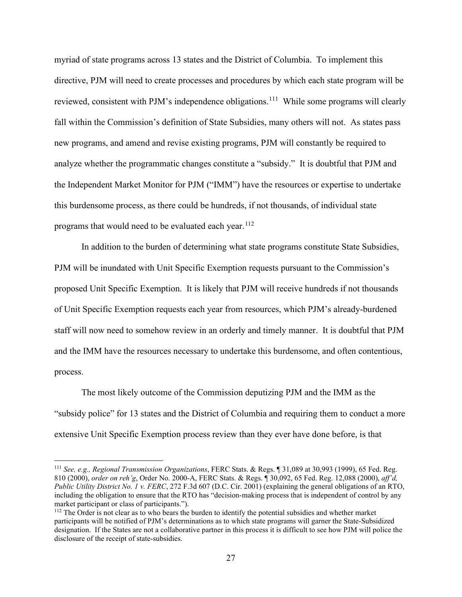myriad of state programs across 13 states and the District of Columbia. To implement this directive, PJM will need to create processes and procedures by which each state program will be reviewed, consistent with PJM's independence obligations.<sup>[111](#page-31-0)</sup> While some programs will clearly fall within the Commission's definition of State Subsidies, many others will not. As states pass new programs, and amend and revise existing programs, PJM will constantly be required to analyze whether the programmatic changes constitute a "subsidy." It is doubtful that PJM and the Independent Market Monitor for PJM ("IMM") have the resources or expertise to undertake this burdensome process, as there could be hundreds, if not thousands, of individual state programs that would need to be evaluated each year.  $112$ 

In addition to the burden of determining what state programs constitute State Subsidies, PJM will be inundated with Unit Specific Exemption requests pursuant to the Commission's proposed Unit Specific Exemption. It is likely that PJM will receive hundreds if not thousands of Unit Specific Exemption requests each year from resources, which PJM's already-burdened staff will now need to somehow review in an orderly and timely manner. It is doubtful that PJM and the IMM have the resources necessary to undertake this burdensome, and often contentious, process.

The most likely outcome of the Commission deputizing PJM and the IMM as the "subsidy police" for 13 states and the District of Columbia and requiring them to conduct a more extensive Unit Specific Exemption process review than they ever have done before, is that

<span id="page-31-0"></span><sup>111</sup> *See, e.g., Regional Transmission Organizations*, FERC Stats. & Regs. ¶ 31,089 at 30,993 (1999), 65 Fed. Reg. 810 (2000), *order on reh'g*, Order No. 2000-A, FERC Stats. & Regs. ¶ 30,092, 65 Fed. Reg. 12,088 (2000), *aff'd, Public Utility District No. 1 v. FERC*, 272 F.3d 607 (D.C. Cir. 2001) (explaining the general obligations of an RTO, including the obligation to ensure that the RTO has "decision-making process that is independent of control by any market participant or class of participants.").

<span id="page-31-1"></span><sup>112</sup> The Order is not clear as to who bears the burden to identify the potential subsidies and whether market participants will be notified of PJM's determinations as to which state programs will garner the State-Subsidized designation. If the States are not a collaborative partner in this process it is difficult to see how PJM will police the disclosure of the receipt of state-subsidies.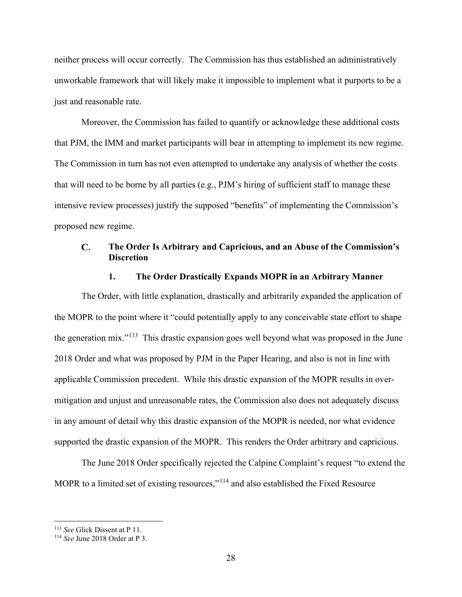neither process will occur correctly. The Commission has thus established an administratively unworkable framework that will likely make it impossible to implement what it purports to be a just and reasonable rate.

Moreover, the Commission has failed to quantify or acknowledge these additional costs that PJM, the IMM and market participants will bear in attempting to implement its new regime. The Commission in turn has not even attempted to undertake any analysis of whether the costs that will need to be borne by all parties (e.g., PJM's hiring of sufficient staff to manage these intensive review processes) justify the supposed "benefits" of implementing the Commission's proposed new regime.

#### <span id="page-32-0"></span> $\mathbf{C}$ . **The Order Is Arbitrary and Capricious, and an Abuse of the Commission's Discretion**

#### **1. The Order Drastically Expands MOPR in an Arbitrary Manner**

<span id="page-32-1"></span>The Order, with little explanation, drastically and arbitrarily expanded the application of the MOPR to the point where it "could potentially apply to any conceivable state effort to shape the generation mix."[113](#page-32-2) This drastic expansion goes well beyond what was proposed in the June 2018 Order and what was proposed by PJM in the Paper Hearing, and also is not in line with applicable Commission precedent. While this drastic expansion of the MOPR results in overmitigation and unjust and unreasonable rates, the Commission also does not adequately discuss in any amount of detail why this drastic expansion of the MOPR is needed, nor what evidence supported the drastic expansion of the MOPR. This renders the Order arbitrary and capricious.

The June 2018 Order specifically rejected the Calpine Complaint's request "to extend the MOPR to a limited set of existing resources,"<sup>[114](#page-32-3)</sup> and also established the Fixed Resource

<span id="page-32-3"></span><span id="page-32-2"></span><sup>113</sup> *See* Glick Dissent at P 11. 114 *See* June 2018 Order at P 3.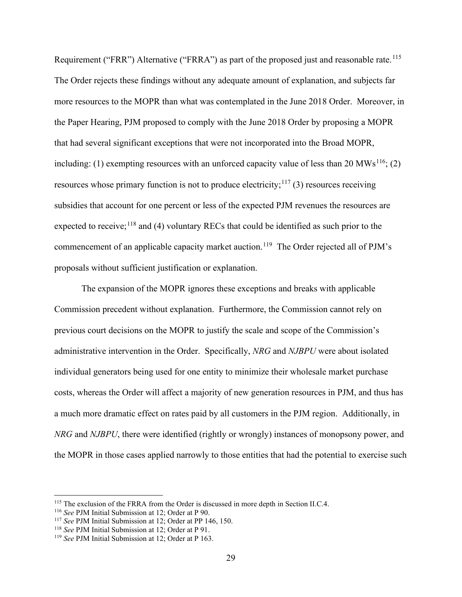Requirement ("FRR") Alternative ("FRRA") as part of the proposed just and reasonable rate.<sup>[115](#page-33-0)</sup> The Order rejects these findings without any adequate amount of explanation, and subjects far more resources to the MOPR than what was contemplated in the June 2018 Order. Moreover, in the Paper Hearing, PJM proposed to comply with the June 2018 Order by proposing a MOPR that had several significant exceptions that were not incorporated into the Broad MOPR, including: (1) exempting resources with an unforced capacity value of less than 20  $MWs^{116}$ ; (2) resources whose primary function is not to produce electricity;  $117$  (3) resources receiving subsidies that account for one percent or less of the expected PJM revenues the resources are expected to receive;<sup>[118](#page-33-3)</sup> and (4) voluntary RECs that could be identified as such prior to the commencement of an applicable capacity market auction.<sup>119</sup> The Order rejected all of PJM's proposals without sufficient justification or explanation.

The expansion of the MOPR ignores these exceptions and breaks with applicable Commission precedent without explanation. Furthermore, the Commission cannot rely on previous court decisions on the MOPR to justify the scale and scope of the Commission's administrative intervention in the Order. Specifically, *NRG* and *NJBPU* were about isolated individual generators being used for one entity to minimize their wholesale market purchase costs, whereas the Order will affect a majority of new generation resources in PJM, and thus has a much more dramatic effect on rates paid by all customers in the PJM region. Additionally, in *NRG* and *NJBPU*, there were identified (rightly or wrongly) instances of monopsony power, and the MOPR in those cases applied narrowly to those entities that had the potential to exercise such

<span id="page-33-0"></span><sup>&</sup>lt;sup>115</sup> The exclusion of the FRRA from the Order is discussed in more depth in Section II.C.4.<br><sup>116</sup> *See* PJM Initial Submission at 12; Order at PP 146, 150.<br><sup>117</sup> *See* PJM Initial Submission at 12; Order at PP 146, 150.

<span id="page-33-1"></span>

<span id="page-33-2"></span>

<span id="page-33-3"></span><sup>&</sup>lt;sup>118</sup> *See PJM Initial Submission at 12; Order at P 91.* 

<span id="page-33-4"></span><sup>119</sup> *See* PJM Initial Submission at 12; Order at P 163.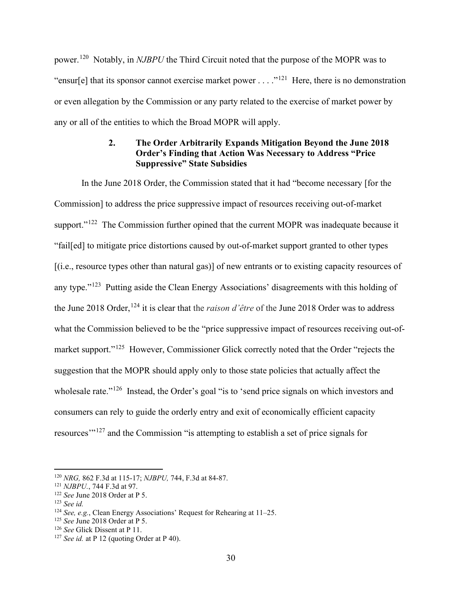power.[120](#page-34-1) Notably, in *NJBPU* the Third Circuit noted that the purpose of the MOPR was to "ensur[e] that its sponsor cannot exercise market power . . . ."<sup>[121](#page-34-2)</sup> Here, there is no demonstration or even allegation by the Commission or any party related to the exercise of market power by any or all of the entities to which the Broad MOPR will apply.

## **2. The Order Arbitrarily Expands Mitigation Beyond the June 2018 Order's Finding that Action Was Necessary to Address "Price Suppressive" State Subsidies**

<span id="page-34-0"></span>In the June 2018 Order, the Commission stated that it had "become necessary [for the Commission] to address the price suppressive impact of resources receiving out-of-market support."<sup>[122](#page-34-3)</sup> The Commission further opined that the current MOPR was inadequate because it "fail[ed] to mitigate price distortions caused by out-of-market support granted to other types [(i.e., resource types other than natural gas)] of new entrants or to existing capacity resources of any type."<sup>[123](#page-34-4)</sup> Putting aside the Clean Energy Associations' disagreements with this holding of the June 2018 Order, <sup>[124](#page-34-5)</sup> it is clear that the *raison d'être* of the June 2018 Order was to address what the Commission believed to be the "price suppressive impact of resources receiving out-of-market support."<sup>[125](#page-34-6)</sup> However, Commissioner Glick correctly noted that the Order "rejects the suggestion that the MOPR should apply only to those state policies that actually affect the wholesale rate."<sup>[126](#page-34-7)</sup> Instead, the Order's goal "is to 'send price signals on which investors and consumers can rely to guide the orderly entry and exit of economically efficient capacity resources'"<sup>[127](#page-34-8)</sup> and the Commission "is attempting to establish a set of price signals for

<span id="page-34-1"></span><sup>120</sup> *NRG,* 862 F.3d at 115-17; *NJBPU,* 744, F.3d at 84-87.

<span id="page-34-2"></span><sup>121</sup> *NJBPU.*, 744 F.3d at 97.

<span id="page-34-3"></span><sup>122</sup> *See* June 2018 Order at P 5.

<span id="page-34-4"></span><sup>123</sup> *See id.*

<span id="page-34-5"></span><sup>124</sup> *See, e.g.*, Clean Energy Associations' Request for Rehearing at 11–25.

<span id="page-34-6"></span><sup>&</sup>lt;sup>125</sup> *See June 2018 Order at P 5.*<br><sup>126</sup> *See Glick Dissent at P 11.* 

<span id="page-34-7"></span>

<span id="page-34-8"></span> $127$  *See id.* at P 12 (quoting Order at P 40).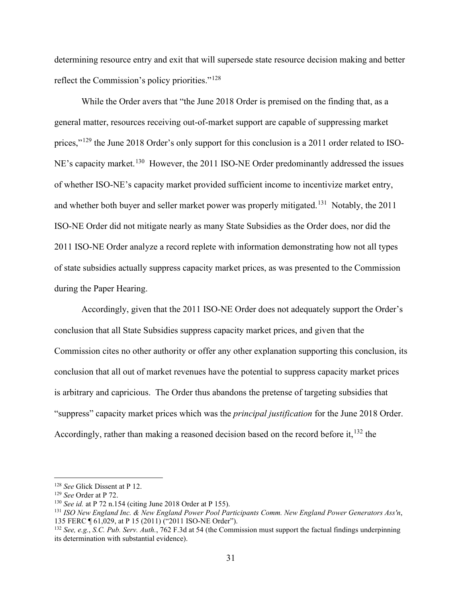determining resource entry and exit that will supersede state resource decision making and better reflect the Commission's policy priorities."[128](#page-35-0)

While the Order avers that "the June 2018 Order is premised on the finding that, as a general matter, resources receiving out-of-market support are capable of suppressing market prices,"<sup>[129](#page-35-1)</sup> the June 2018 Order's only support for this conclusion is a 2011 order related to ISO-NE's capacity market.<sup>130</sup> However, the 2011 ISO-NE Order predominantly addressed the issues of whether ISO-NE's capacity market provided sufficient income to incentivize market entry, and whether both buyer and seller market power was properly mitigated.<sup>131</sup> Notably, the 2011 ISO-NE Order did not mitigate nearly as many State Subsidies as the Order does, nor did the 2011 ISO-NE Order analyze a record replete with information demonstrating how not all types of state subsidies actually suppress capacity market prices, as was presented to the Commission during the Paper Hearing.

Accordingly, given that the 2011 ISO-NE Order does not adequately support the Order's conclusion that all State Subsidies suppress capacity market prices, and given that the Commission cites no other authority or offer any other explanation supporting this conclusion, its conclusion that all out of market revenues have the potential to suppress capacity market prices is arbitrary and capricious. The Order thus abandons the pretense of targeting subsidies that "suppress" capacity market prices which was the *principal justification* for the June 2018 Order. Accordingly, rather than making a reasoned decision based on the record before it,  $^{132}$  $^{132}$  $^{132}$  the

<span id="page-35-0"></span><sup>128</sup> *See* Glick Dissent at P 12. 129 *See* Order at P 72.

<span id="page-35-1"></span>

<span id="page-35-2"></span><sup>130</sup> *See id.* at P 72 n.154 (citing June 2018 Order at P 155).

<span id="page-35-3"></span><sup>131</sup> *ISO New England Inc. & New England Power Pool Participants Comm. New England Power Generators Ass'n*, 135 FERC ¶ 61,029, at P 15 (2011) ("2011 ISO-NE Order").

<span id="page-35-4"></span><sup>132</sup> *See, e.g.*, *S.C. Pub. Serv. Auth.*, 762 F.3d at 54 (the Commission must support the factual findings underpinning its determination with substantial evidence).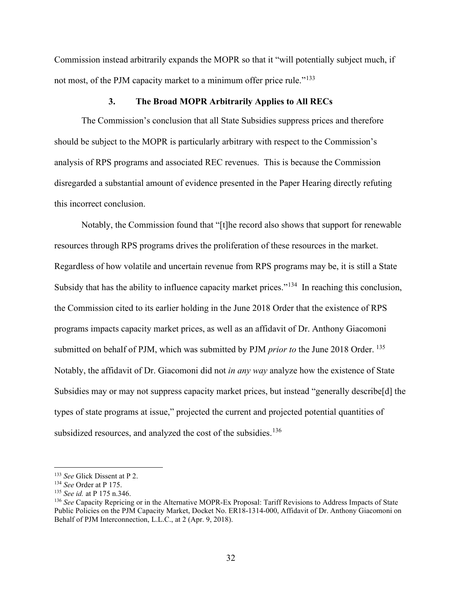Commission instead arbitrarily expands the MOPR so that it "will potentially subject much, if not most, of the PJM capacity market to a minimum offer price rule."<sup>133</sup>

#### **3. The Broad MOPR Arbitrarily Applies to All RECs**

<span id="page-36-0"></span>The Commission's conclusion that all State Subsidies suppress prices and therefore should be subject to the MOPR is particularly arbitrary with respect to the Commission's analysis of RPS programs and associated REC revenues. This is because the Commission disregarded a substantial amount of evidence presented in the Paper Hearing directly refuting this incorrect conclusion.

Notably, the Commission found that "[t]he record also shows that support for renewable resources through RPS programs drives the proliferation of these resources in the market. Regardless of how volatile and uncertain revenue from RPS programs may be, it is still a State Subsidy that has the ability to influence capacity market prices."<sup>[134](#page-36-2)</sup> In reaching this conclusion, the Commission cited to its earlier holding in the June 2018 Order that the existence of RPS programs impacts capacity market prices, as well as an affidavit of Dr. Anthony Giacomoni submitted on behalf of PJM, which was submitted by PJM *prior to* the June 2018 Order. [135](#page-36-3)  Notably, the affidavit of Dr. Giacomoni did not *in any way* analyze how the existence of State Subsidies may or may not suppress capacity market prices, but instead "generally describe[d] the types of state programs at issue," projected the current and projected potential quantities of subsidized resources, and analyzed the cost of the subsidies.<sup>[136](#page-36-4)</sup>

<span id="page-36-1"></span><sup>133</sup> *See* Glick Dissent at P 2. 134 *See* Order at P 175.

<span id="page-36-2"></span>

<span id="page-36-3"></span><sup>135</sup> *See id.* at P 175 n.346.

<span id="page-36-4"></span><sup>136</sup> *See* Capacity Repricing or in the Alternative MOPR-Ex Proposal: Tariff Revisions to Address Impacts of State Public Policies on the PJM Capacity Market, Docket No. ER18-1314-000, Affidavit of Dr. Anthony Giacomoni on Behalf of PJM Interconnection, L.L.C., at 2 (Apr. 9, 2018).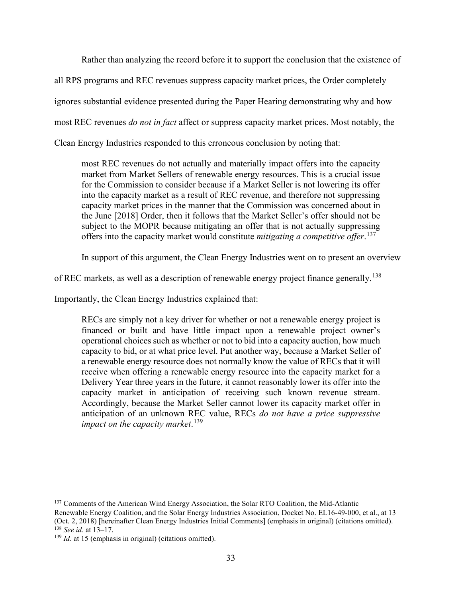Rather than analyzing the record before it to support the conclusion that the existence of

all RPS programs and REC revenues suppress capacity market prices, the Order completely

ignores substantial evidence presented during the Paper Hearing demonstrating why and how

most REC revenues *do not in fact* affect or suppress capacity market prices. Most notably, the

Clean Energy Industries responded to this erroneous conclusion by noting that:

most REC revenues do not actually and materially impact offers into the capacity market from Market Sellers of renewable energy resources. This is a crucial issue for the Commission to consider because if a Market Seller is not lowering its offer into the capacity market as a result of REC revenue, and therefore not suppressing capacity market prices in the manner that the Commission was concerned about in the June [2018] Order, then it follows that the Market Seller's offer should not be subject to the MOPR because mitigating an offer that is not actually suppressing offers into the capacity market would constitute *mitigating a competitive offer*. [137](#page-37-0)

In support of this argument, the Clean Energy Industries went on to present an overview

of REC markets, as well as a description of renewable energy project finance generally.<sup>138</sup>

Importantly, the Clean Energy Industries explained that:

RECs are simply not a key driver for whether or not a renewable energy project is financed or built and have little impact upon a renewable project owner's operational choices such as whether or not to bid into a capacity auction, how much capacity to bid, or at what price level. Put another way, because a Market Seller of a renewable energy resource does not normally know the value of RECs that it will receive when offering a renewable energy resource into the capacity market for a Delivery Year three years in the future, it cannot reasonably lower its offer into the capacity market in anticipation of receiving such known revenue stream. Accordingly, because the Market Seller cannot lower its capacity market offer in anticipation of an unknown REC value, RECs *do not have a price suppressive impact on the capacity market*. [139](#page-37-2)

<span id="page-37-0"></span><sup>&</sup>lt;sup>137</sup> Comments of the American Wind Energy Association, the Solar RTO Coalition, the Mid-Atlantic Renewable Energy Coalition, and the Solar Energy Industries Association, Docket No. EL16-49-000, et al., at 13 (Oct. 2, 2018) [hereinafter Clean Energy Industries Initial Comments] (emphasis in original) (citations omitted). <sup>138</sup> *See id.* at 13–17.

<span id="page-37-2"></span><span id="page-37-1"></span><sup>&</sup>lt;sup>139</sup> *Id.* at 15 (emphasis in original) (citations omitted).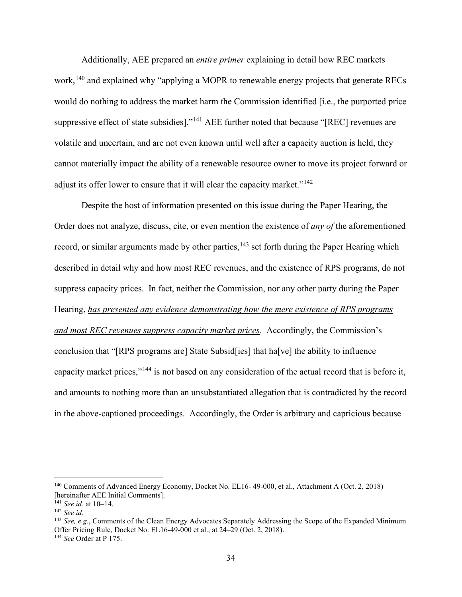Additionally, AEE prepared an *entire primer* explaining in detail how REC markets work,<sup>[140](#page-38-0)</sup> and explained why "applying a MOPR to renewable energy projects that generate RECs would do nothing to address the market harm the Commission identified [i.e., the purported price suppressive effect of state subsidies]."<sup>[141](#page-38-1)</sup> AEE further noted that because "[REC] revenues are volatile and uncertain, and are not even known until well after a capacity auction is held, they cannot materially impact the ability of a renewable resource owner to move its project forward or adjust its offer lower to ensure that it will clear the capacity market."<sup>[142](#page-38-2)</sup>

Despite the host of information presented on this issue during the Paper Hearing, the Order does not analyze, discuss, cite, or even mention the existence of *any of* the aforementioned record, or similar arguments made by other parties, $143$  set forth during the Paper Hearing which described in detail why and how most REC revenues, and the existence of RPS programs, do not suppress capacity prices. In fact, neither the Commission, nor any other party during the Paper Hearing, *has presented any evidence demonstrating how the mere existence of RPS programs and most REC revenues suppress capacity market prices*. Accordingly, the Commission's conclusion that "[RPS programs are] State Subsid[ies] that ha[ve] the ability to influence capacity market prices,"[144](#page-38-4) is not based on any consideration of the actual record that is before it, and amounts to nothing more than an unsubstantiated allegation that is contradicted by the record in the above-captioned proceedings. Accordingly, the Order is arbitrary and capricious because

<span id="page-38-0"></span><sup>140</sup> Comments of Advanced Energy Economy, Docket No. EL16- 49-000, et al., Attachment A (Oct. 2, 2018) [hereinafter AEE Initial Comments]. 141 *See id.* at 10–14.

<span id="page-38-1"></span>

<span id="page-38-2"></span><sup>142</sup> *See id.*

<span id="page-38-3"></span><sup>143</sup> *See, e.g.*, Comments of the Clean Energy Advocates Separately Addressing the Scope of the Expanded Minimum Offer Pricing Rule, Docket No. EL16-49-000 et al., at 24–29 (Oct. 2, 2018).

<span id="page-38-4"></span><sup>144</sup> *See* Order at P 175.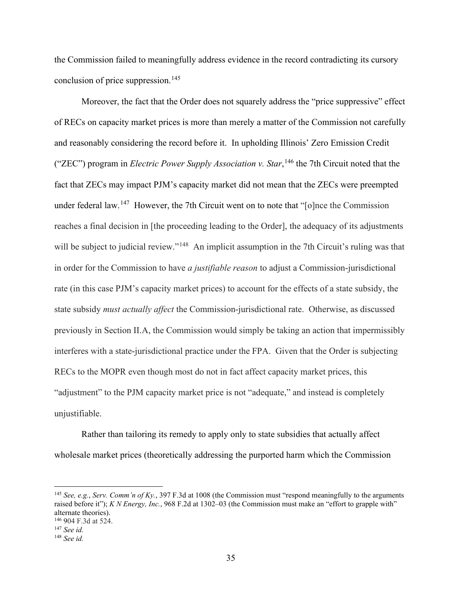the Commission failed to meaningfully address evidence in the record contradicting its cursory conclusion of price suppression. [145](#page-39-0)

Moreover, the fact that the Order does not squarely address the "price suppressive" effect of RECs on capacity market prices is more than merely a matter of the Commission not carefully and reasonably considering the record before it. In upholding Illinois' Zero Emission Credit ("ZEC") program in *Electric Power Supply Association v. Star*, [146](#page-39-1) the 7th Circuit noted that the fact that ZECs may impact PJM's capacity market did not mean that the ZECs were preempted under federal law.<sup>147</sup> However, the 7th Circuit went on to note that "[o]nce the Commission reaches a final decision in [the proceeding leading to the Order], the adequacy of its adjustments will be subject to judicial review."<sup>[148](#page-39-3)</sup> An implicit assumption in the 7th Circuit's ruling was that in order for the Commission to have *a justifiable reason* to adjust a Commission-jurisdictional rate (in this case PJM's capacity market prices) to account for the effects of a state subsidy, the state subsidy *must actually affect* the Commission-jurisdictional rate. Otherwise, as discussed previously in Section II.A, the Commission would simply be taking an action that impermissibly interferes with a state-jurisdictional practice under the FPA. Given that the Order is subjecting RECs to the MOPR even though most do not in fact affect capacity market prices, this "adjustment" to the PJM capacity market price is not "adequate," and instead is completely unjustifiable.

Rather than tailoring its remedy to apply only to state subsidies that actually affect wholesale market prices (theoretically addressing the purported harm which the Commission

<span id="page-39-0"></span><sup>145</sup> *See, e.g.*, *Serv. Comm'n of Ky.*, 397 F.3d at 1008 (the Commission must "respond meaningfully to the arguments raised before it"); *K N Energy, Inc.*, 968 F.2d at 1302–03 (the Commission must make an "effort to grapple with" alternate theories). <sup>146</sup> 904 F.3d at 524.

<span id="page-39-2"></span><span id="page-39-1"></span><sup>147</sup> *See id.*

<span id="page-39-3"></span><sup>148</sup> *See id.*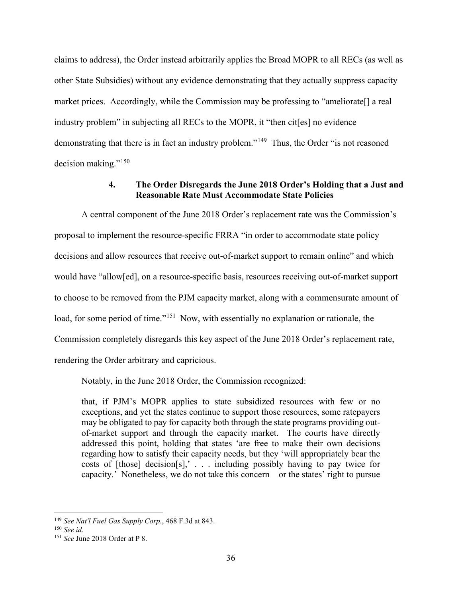claims to address), the Order instead arbitrarily applies the Broad MOPR to all RECs (as well as other State Subsidies) without any evidence demonstrating that they actually suppress capacity market prices. Accordingly, while the Commission may be professing to "ameliorate[] a real industry problem" in subjecting all RECs to the MOPR, it "then cit[es] no evidence demonstrating that there is in fact an industry problem."<sup>149</sup> Thus, the Order "is not reasoned decision making."[150](#page-40-2)

### **4. The Order Disregards the June 2018 Order's Holding that a Just and Reasonable Rate Must Accommodate State Policies**

<span id="page-40-0"></span>A central component of the June 2018 Order's replacement rate was the Commission's proposal to implement the resource-specific FRRA "in order to accommodate state policy decisions and allow resources that receive out-of-market support to remain online" and which would have "allow[ed], on a resource-specific basis, resources receiving out-of-market support to choose to be removed from the PJM capacity market, along with a commensurate amount of load, for some period of time."<sup>[151](#page-40-3)</sup> Now, with essentially no explanation or rationale, the Commission completely disregards this key aspect of the June 2018 Order's replacement rate, rendering the Order arbitrary and capricious.

Notably, in the June 2018 Order, the Commission recognized:

that, if PJM's MOPR applies to state subsidized resources with few or no exceptions, and yet the states continue to support those resources, some ratepayers may be obligated to pay for capacity both through the state programs providing outof-market support and through the capacity market. The courts have directly addressed this point, holding that states 'are free to make their own decisions regarding how to satisfy their capacity needs, but they 'will appropriately bear the costs of  $[those]$  decision $[s]$ ,  $\ldots$  including possibly having to pay twice for capacity.' Nonetheless, we do not take this concern—or the states' right to pursue

<span id="page-40-2"></span><span id="page-40-1"></span><sup>149</sup> *See Nat'l Fuel Gas Supply Corp.*, 468 F.3d at 843. 150 *See id.*

<span id="page-40-3"></span><sup>151</sup> *See* June 2018 Order at P 8.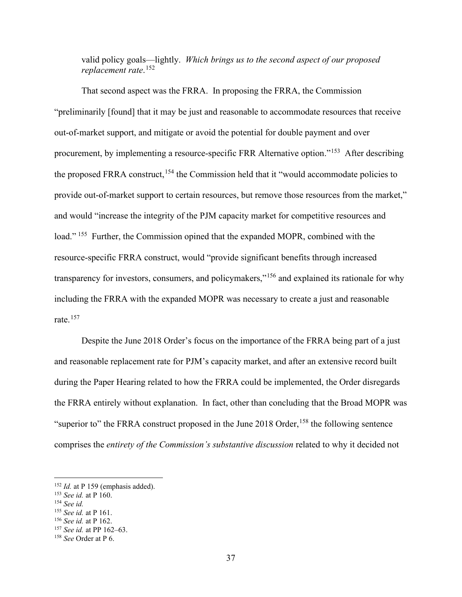valid policy goals—lightly. *Which brings us to the second aspect of our proposed replacement rate*. [152](#page-41-0)

That second aspect was the FRRA. In proposing the FRRA, the Commission "preliminarily [found] that it may be just and reasonable to accommodate resources that receive out-of-market support, and mitigate or avoid the potential for double payment and over procurement, by implementing a resource-specific FRR Alternative option."[153](#page-41-1) After describing the proposed FRRA construct,<sup>[154](#page-41-2)</sup> the Commission held that it "would accommodate policies to provide out-of-market support to certain resources, but remove those resources from the market," and would "increase the integrity of the PJM capacity market for competitive resources and load." <sup>155</sup> Further, the Commission opined that the expanded MOPR, combined with the resource-specific FRRA construct, would "provide significant benefits through increased transparency for investors, consumers, and policymakers,"[156](#page-41-4) and explained its rationale for why including the FRRA with the expanded MOPR was necessary to create a just and reasonable rate. $157$ 

Despite the June 2018 Order's focus on the importance of the FRRA being part of a just and reasonable replacement rate for PJM's capacity market, and after an extensive record built during the Paper Hearing related to how the FRRA could be implemented, the Order disregards the FRRA entirely without explanation. In fact, other than concluding that the Broad MOPR was "superior to" the FRRA construct proposed in the June 2018 Order,  $158$  the following sentence comprises the *entirety of the Commission's substantive discussion* related to why it decided not

<span id="page-41-0"></span><sup>&</sup>lt;sup>152</sup> *Id.* at P 159 (emphasis added).

<span id="page-41-1"></span><sup>153</sup> *See id.* at P 160.

<span id="page-41-3"></span><span id="page-41-2"></span><sup>&</sup>lt;sup>154</sup> *See id.*<br><sup>155</sup> *See id.* at P 161.

<span id="page-41-5"></span><span id="page-41-4"></span><sup>&</sup>lt;sup>156</sup> *See id.* at P 162.<br><sup>157</sup> *See id.* at PP 162–63.<br><sup>158</sup> *See* Order at P 6.

<span id="page-41-6"></span>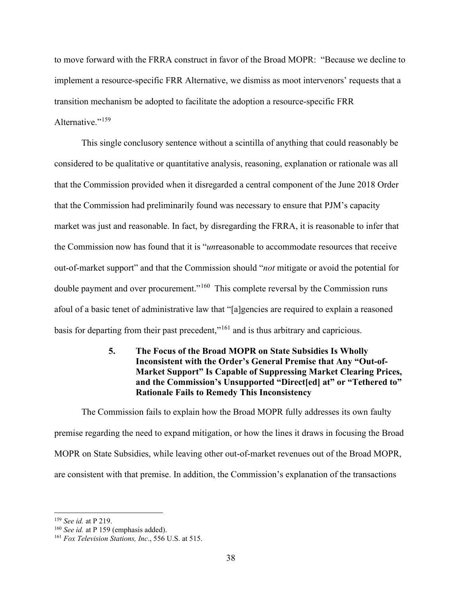to move forward with the FRRA construct in favor of the Broad MOPR: "Because we decline to implement a resource-specific FRR Alternative, we dismiss as moot intervenors' requests that a transition mechanism be adopted to facilitate the adoption a resource-specific FRR Alternative."<sup>[159](#page-42-1)</sup>

This single conclusory sentence without a scintilla of anything that could reasonably be considered to be qualitative or quantitative analysis, reasoning, explanation or rationale was all that the Commission provided when it disregarded a central component of the June 2018 Order that the Commission had preliminarily found was necessary to ensure that PJM's capacity market was just and reasonable. In fact, by disregarding the FRRA, it is reasonable to infer that the Commission now has found that it is "*un*reasonable to accommodate resources that receive out-of-market support" and that the Commission should "*not* mitigate or avoid the potential for double payment and over procurement."<sup>[160](#page-42-2)</sup> This complete reversal by the Commission runs afoul of a basic tenet of administrative law that "[a]gencies are required to explain a reasoned basis for departing from their past precedent,"<sup>[161](#page-42-3)</sup> and is thus arbitrary and capricious.

## <span id="page-42-0"></span>**5. The Focus of the Broad MOPR on State Subsidies Is Wholly Inconsistent with the Order's General Premise that Any "Out-of-Market Support" Is Capable of Suppressing Market Clearing Prices, and the Commission's Unsupported "Direct[ed] at" or "Tethered to" Rationale Fails to Remedy This Inconsistency**

The Commission fails to explain how the Broad MOPR fully addresses its own faulty premise regarding the need to expand mitigation, or how the lines it draws in focusing the Broad MOPR on State Subsidies, while leaving other out-of-market revenues out of the Broad MOPR, are consistent with that premise. In addition, the Commission's explanation of the transactions

<span id="page-42-3"></span><span id="page-42-2"></span>

<span id="page-42-1"></span><sup>&</sup>lt;sup>159</sup> *See id.* at P 219.<br><sup>160</sup> *See id.* at P 159 (emphasis added). <sup>161</sup> *Fox Television Stations, Inc.*, 556 U.S. at 515.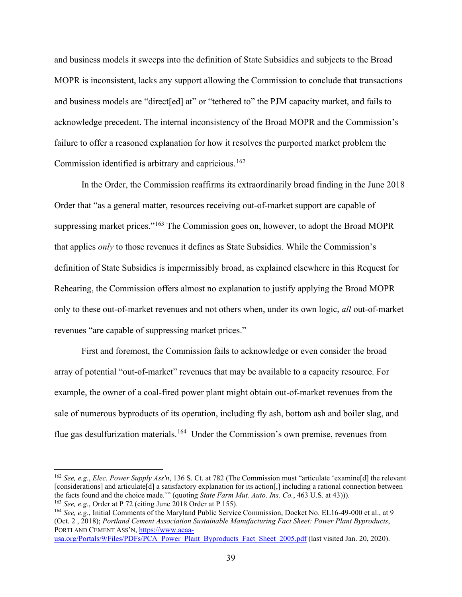and business models it sweeps into the definition of State Subsidies and subjects to the Broad MOPR is inconsistent, lacks any support allowing the Commission to conclude that transactions and business models are "direct[ed] at" or "tethered to" the PJM capacity market, and fails to acknowledge precedent. The internal inconsistency of the Broad MOPR and the Commission's failure to offer a reasoned explanation for how it resolves the purported market problem the Commission identified is arbitrary and capricious.<sup>[162](#page-43-0)</sup>

In the Order, the Commission reaffirms its extraordinarily broad finding in the June 2018 Order that "as a general matter, resources receiving out-of-market support are capable of suppressing market prices."<sup>[163](#page-43-1)</sup> The Commission goes on, however, to adopt the Broad MOPR that applies *only* to those revenues it defines as State Subsidies. While the Commission's definition of State Subsidies is impermissibly broad, as explained elsewhere in this Request for Rehearing, the Commission offers almost no explanation to justify applying the Broad MOPR only to these out-of-market revenues and not others when, under its own logic, *all* out-of-market revenues "are capable of suppressing market prices."

First and foremost, the Commission fails to acknowledge or even consider the broad array of potential "out-of-market" revenues that may be available to a capacity resource. For example, the owner of a coal-fired power plant might obtain out-of-market revenues from the sale of numerous byproducts of its operation, including fly ash, bottom ash and boiler slag, and flue gas desulfurization materials.<sup>[164](#page-43-2)</sup> Under the Commission's own premise, revenues from

<span id="page-43-0"></span><sup>162</sup> *See, e.g.*, *Elec. Power Supply Ass'n*, 136 S. Ct. at 782 (The Commission must "articulate 'examine[d] the relevant [considerations] and articulate[d] a satisfactory explanation for its action[,] including a rational connection between the facts found and the choice made.'" (quoting *State Farm Mut. Auto. Ins. Co.*, 463 U.S. at 43))). <sup>163</sup> *See, e.g.*, Order at P 72 (citing June 2018 Order at P 155).

<span id="page-43-2"></span><span id="page-43-1"></span><sup>164</sup> *See, e.g.*, Initial Comments of the Maryland Public Service Commission, Docket No. EL16-49-000 et al., at 9 (Oct. 2 , 2018); *Portland Cement Association Sustainable Manufacturing Fact Sheet: Power Plant Byproducts*, PORTLAND CEMENT ASS'N, [https://www.acaa-](https://www.acaa-usa.org/Portals/9/Files/PDFs/PCA_Power_Plant_Byproducts_Fact_Sheet_2005.pdf)

[usa.org/Portals/9/Files/PDFs/PCA\\_Power\\_Plant\\_Byproducts\\_Fact\\_Sheet\\_2005.pdf](https://www.acaa-usa.org/Portals/9/Files/PDFs/PCA_Power_Plant_Byproducts_Fact_Sheet_2005.pdf) (last visited Jan. 20, 2020).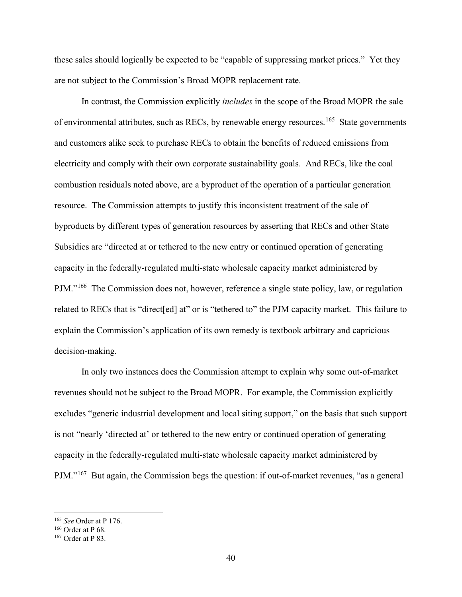these sales should logically be expected to be "capable of suppressing market prices." Yet they are not subject to the Commission's Broad MOPR replacement rate.

In contrast, the Commission explicitly *includes* in the scope of the Broad MOPR the sale of environmental attributes, such as RECs, by renewable energy resources.<sup>[165](#page-44-0)</sup> State governments and customers alike seek to purchase RECs to obtain the benefits of reduced emissions from electricity and comply with their own corporate sustainability goals. And RECs, like the coal combustion residuals noted above, are a byproduct of the operation of a particular generation resource. The Commission attempts to justify this inconsistent treatment of the sale of byproducts by different types of generation resources by asserting that RECs and other State Subsidies are "directed at or tethered to the new entry or continued operation of generating capacity in the federally-regulated multi-state wholesale capacity market administered by PJM."[166](#page-44-1) The Commission does not, however, reference a single state policy, law, or regulation related to RECs that is "direct[ed] at" or is "tethered to" the PJM capacity market. This failure to explain the Commission's application of its own remedy is textbook arbitrary and capricious decision-making.

In only two instances does the Commission attempt to explain why some out-of-market revenues should not be subject to the Broad MOPR. For example, the Commission explicitly excludes "generic industrial development and local siting support," on the basis that such support is not "nearly 'directed at' or tethered to the new entry or continued operation of generating capacity in the federally-regulated multi-state wholesale capacity market administered by PJM."[167](#page-44-2) But again, the Commission begs the question: if out-of-market revenues, "as a general

<span id="page-44-0"></span><sup>165</sup> *See* Order at P 176.

<span id="page-44-1"></span> $166$  Order at P 68.

<span id="page-44-2"></span><sup>167</sup> Order at P 83.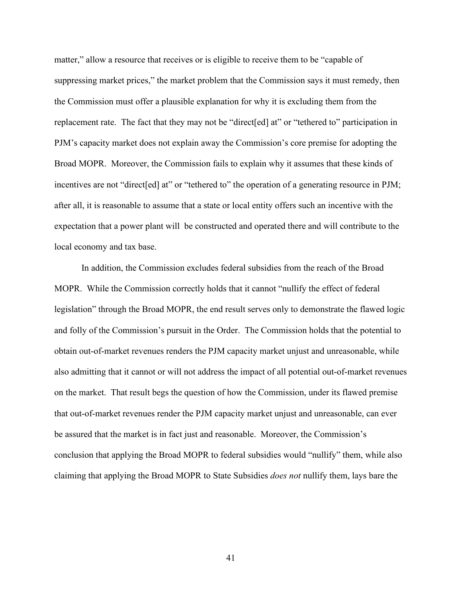matter," allow a resource that receives or is eligible to receive them to be "capable of suppressing market prices," the market problem that the Commission says it must remedy, then the Commission must offer a plausible explanation for why it is excluding them from the replacement rate. The fact that they may not be "direct[ed] at" or "tethered to" participation in PJM's capacity market does not explain away the Commission's core premise for adopting the Broad MOPR. Moreover, the Commission fails to explain why it assumes that these kinds of incentives are not "direct [ed] at" or "tethered to" the operation of a generating resource in PJM; after all, it is reasonable to assume that a state or local entity offers such an incentive with the expectation that a power plant will be constructed and operated there and will contribute to the local economy and tax base.

In addition, the Commission excludes federal subsidies from the reach of the Broad MOPR. While the Commission correctly holds that it cannot "nullify the effect of federal legislation" through the Broad MOPR, the end result serves only to demonstrate the flawed logic and folly of the Commission's pursuit in the Order. The Commission holds that the potential to obtain out-of-market revenues renders the PJM capacity market unjust and unreasonable, while also admitting that it cannot or will not address the impact of all potential out-of-market revenues on the market. That result begs the question of how the Commission, under its flawed premise that out-of-market revenues render the PJM capacity market unjust and unreasonable, can ever be assured that the market is in fact just and reasonable. Moreover, the Commission's conclusion that applying the Broad MOPR to federal subsidies would "nullify" them, while also claiming that applying the Broad MOPR to State Subsidies *does not* nullify them, lays bare the

41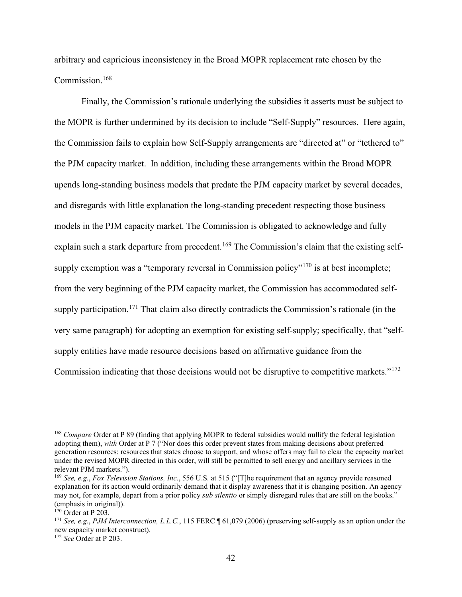arbitrary and capricious inconsistency in the Broad MOPR replacement rate chosen by the Commission.[168](#page-46-0)

Finally, the Commission's rationale underlying the subsidies it asserts must be subject to the MOPR is further undermined by its decision to include "Self-Supply" resources. Here again, the Commission fails to explain how Self-Supply arrangements are "directed at" or "tethered to" the PJM capacity market. In addition, including these arrangements within the Broad MOPR upends long-standing business models that predate the PJM capacity market by several decades, and disregards with little explanation the long-standing precedent respecting those business models in the PJM capacity market. The Commission is obligated to acknowledge and fully explain such a stark departure from precedent.<sup>[169](#page-46-1)</sup> The Commission's claim that the existing self-supply exemption was a "temporary reversal in Commission policy"<sup>[170](#page-46-2)</sup> is at best incomplete; from the very beginning of the PJM capacity market, the Commission has accommodated self-supply participation.<sup>[171](#page-46-3)</sup> That claim also directly contradicts the Commission's rationale (in the very same paragraph) for adopting an exemption for existing self-supply; specifically, that "selfsupply entities have made resource decisions based on affirmative guidance from the Commission indicating that those decisions would not be disruptive to competitive markets."<sup>[172](#page-46-4)</sup>

<span id="page-46-0"></span><sup>&</sup>lt;sup>168</sup> Compare Order at P 89 (finding that applying MOPR to federal subsidies would nullify the federal legislation adopting them), *with* Order at P 7 ("Nor does this order prevent states from making decisions about preferred generation resources: resources that states choose to support, and whose offers may fail to clear the capacity market under the revised MOPR directed in this order, will still be permitted to sell energy and ancillary services in the relevant PJM markets.").

<span id="page-46-1"></span><sup>169</sup> *See, e.g.*, *Fox Television Stations, Inc.*, 556 U.S. at 515 ("[T]he requirement that an agency provide reasoned explanation for its action would ordinarily demand that it display awareness that it is changing position. An agency may not, for example, depart from a prior policy *sub silentio* or simply disregard rules that are still on the books." (emphasis in original)).

<span id="page-46-2"></span> $170$  Order at P 203.

<span id="page-46-3"></span><sup>171</sup> *See, e.g.*, *PJM Interconnection, L.L.C.*, 115 FERC ¶ 61,079 (2006) (preserving self-supply as an option under the new capacity market construct).

<span id="page-46-4"></span><sup>172</sup> *See* Order at P 203.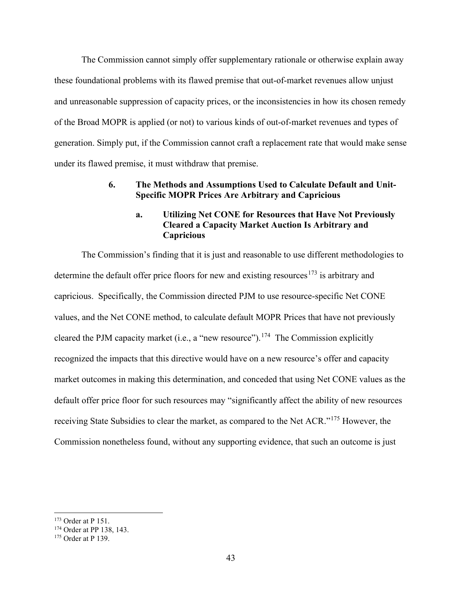The Commission cannot simply offer supplementary rationale or otherwise explain away these foundational problems with its flawed premise that out-of-market revenues allow unjust and unreasonable suppression of capacity prices, or the inconsistencies in how its chosen remedy of the Broad MOPR is applied (or not) to various kinds of out-of-market revenues and types of generation. Simply put, if the Commission cannot craft a replacement rate that would make sense under its flawed premise, it must withdraw that premise.

#### <span id="page-47-0"></span>**6. The Methods and Assumptions Used to Calculate Default and Unit-Specific MOPR Prices Are Arbitrary and Capricious**

### **a. Utilizing Net CONE for Resources that Have Not Previously Cleared a Capacity Market Auction Is Arbitrary and Capricious**

The Commission's finding that it is just and reasonable to use different methodologies to determine the default offer price floors for new and existing resources<sup>[173](#page-47-1)</sup> is arbitrary and capricious. Specifically, the Commission directed PJM to use resource-specific Net CONE values, and the Net CONE method, to calculate default MOPR Prices that have not previously cleared the PJM capacity market (i.e., a "new resource").<sup>174</sup> The Commission explicitly recognized the impacts that this directive would have on a new resource's offer and capacity market outcomes in making this determination, and conceded that using Net CONE values as the default offer price floor for such resources may "significantly affect the ability of new resources receiving State Subsidies to clear the market, as compared to the Net ACR."[175](#page-47-3) However, the Commission nonetheless found, without any supporting evidence, that such an outcome is just

<span id="page-47-1"></span><sup>173</sup> Order at P 151.

<span id="page-47-2"></span><sup>&</sup>lt;sup>174</sup> Order at PP 138, 143.

<span id="page-47-3"></span><sup>175</sup> Order at P 139.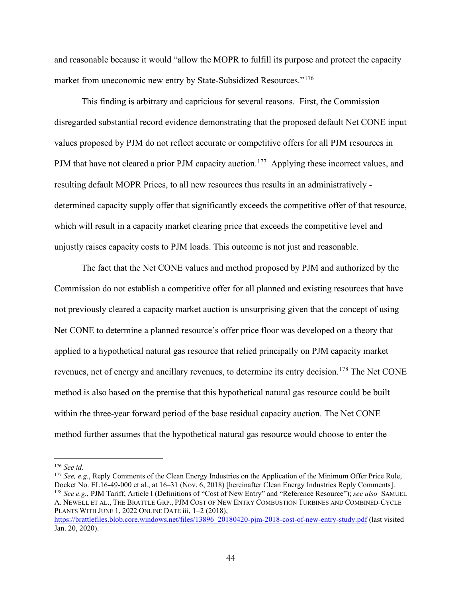and reasonable because it would "allow the MOPR to fulfill its purpose and protect the capacity market from uneconomic new entry by State-Subsidized Resources."<sup>[176](#page-48-0)</sup>

This finding is arbitrary and capricious for several reasons. First, the Commission disregarded substantial record evidence demonstrating that the proposed default Net CONE input values proposed by PJM do not reflect accurate or competitive offers for all PJM resources in PJM that have not cleared a prior PJM capacity auction.<sup>[177](#page-48-1)</sup> Applying these incorrect values, and resulting default MOPR Prices, to all new resources thus results in an administratively determined capacity supply offer that significantly exceeds the competitive offer of that resource, which will result in a capacity market clearing price that exceeds the competitive level and unjustly raises capacity costs to PJM loads. This outcome is not just and reasonable.

The fact that the Net CONE values and method proposed by PJM and authorized by the Commission do not establish a competitive offer for all planned and existing resources that have not previously cleared a capacity market auction is unsurprising given that the concept of using Net CONE to determine a planned resource's offer price floor was developed on a theory that applied to a hypothetical natural gas resource that relied principally on PJM capacity market revenues, net of energy and ancillary revenues, to determine its entry decision.<sup>[178](#page-48-2)</sup> The Net CONE method is also based on the premise that this hypothetical natural gas resource could be built within the three-year forward period of the base residual capacity auction. The Net CONE method further assumes that the hypothetical natural gas resource would choose to enter the

<span id="page-48-0"></span><sup>176</sup> *See id.* 

<span id="page-48-2"></span><span id="page-48-1"></span><sup>177</sup> *See, e.g.*, Reply Comments of the Clean Energy Industries on the Application of the Minimum Offer Price Rule, Docket No. EL16-49-000 et al., at 16–31 (Nov. 6, 2018) [hereinafter Clean Energy Industries Reply Comments]. <sup>178</sup> *See e.g.*, PJM Tariff, Article I (Definitions of "Cost of New Entry" and "Reference Resource"); *see also* SAMUEL A. NEWELL ET AL., THE BRATTLE GRP., PJM COST OF NEW ENTRY COMBUSTION TURBINES AND COMBINED-CYCLE PLANTS WITH JUNE 1, 2022 ONLINE DATE iii, 1–2 (2018),

[https://brattlefiles.blob.core.windows.net/files/13896\\_20180420-](https://brattlefiles.blob.core.windows.net/files/13896_20180420-pjm-2018-cost-of-new-entry-study.pdf)pjm-2018-cost-of-new-entry-study.pdf (last visited Jan. 20, 2020).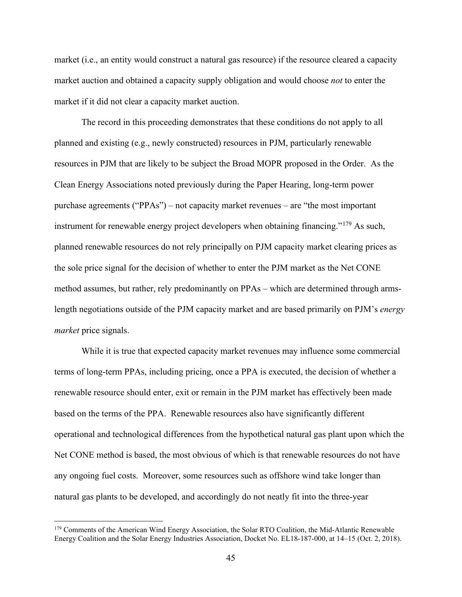market (i.e., an entity would construct a natural gas resource) if the resource cleared a capacity market auction and obtained a capacity supply obligation and would choose *not* to enter the market if it did not clear a capacity market auction.

The record in this proceeding demonstrates that these conditions do not apply to all planned and existing (e.g., newly constructed) resources in PJM, particularly renewable resources in PJM that are likely to be subject the Broad MOPR proposed in the Order. As the Clean Energy Associations noted previously during the Paper Hearing, long-term power purchase agreements ("PPAs") – not capacity market revenues – are "the most important instrument for renewable energy project developers when obtaining financing."<sup>[179](#page-49-0)</sup> As such, planned renewable resources do not rely principally on PJM capacity market clearing prices as the sole price signal for the decision of whether to enter the PJM market as the Net CONE method assumes, but rather, rely predominantly on PPAs – which are determined through armslength negotiations outside of the PJM capacity market and are based primarily on PJM's *energy market* price signals.

While it is true that expected capacity market revenues may influence some commercial terms of long-term PPAs, including pricing, once a PPA is executed, the decision of whether a renewable resource should enter, exit or remain in the PJM market has effectively been made based on the terms of the PPA. Renewable resources also have significantly different operational and technological differences from the hypothetical natural gas plant upon which the Net CONE method is based, the most obvious of which is that renewable resources do not have any ongoing fuel costs. Moreover, some resources such as offshore wind take longer than natural gas plants to be developed, and accordingly do not neatly fit into the three-year

<span id="page-49-0"></span><sup>&</sup>lt;sup>179</sup> Comments of the American Wind Energy Association, the Solar RTO Coalition, the Mid-Atlantic Renewable Energy Coalition and the Solar Energy Industries Association, Docket No. EL18-187-000, at 14–15 (Oct. 2, 2018).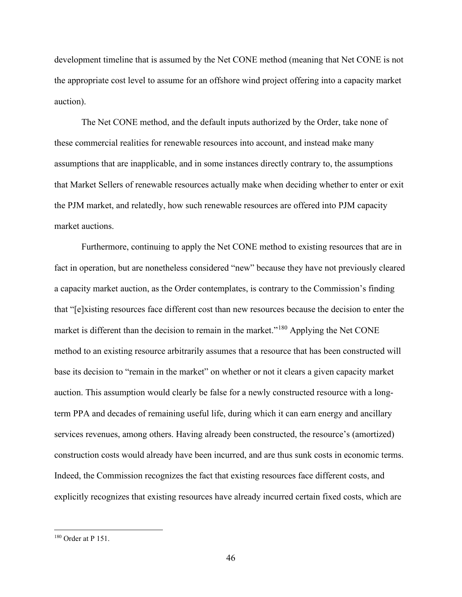development timeline that is assumed by the Net CONE method (meaning that Net CONE is not the appropriate cost level to assume for an offshore wind project offering into a capacity market auction).

The Net CONE method, and the default inputs authorized by the Order, take none of these commercial realities for renewable resources into account, and instead make many assumptions that are inapplicable, and in some instances directly contrary to, the assumptions that Market Sellers of renewable resources actually make when deciding whether to enter or exit the PJM market, and relatedly, how such renewable resources are offered into PJM capacity market auctions.

Furthermore, continuing to apply the Net CONE method to existing resources that are in fact in operation, but are nonetheless considered "new" because they have not previously cleared a capacity market auction, as the Order contemplates, is contrary to the Commission's finding that "[e]xisting resources face different cost than new resources because the decision to enter the market is different than the decision to remain in the market."<sup>[180](#page-50-0)</sup> Applying the Net CONE method to an existing resource arbitrarily assumes that a resource that has been constructed will base its decision to "remain in the market" on whether or not it clears a given capacity market auction. This assumption would clearly be false for a newly constructed resource with a longterm PPA and decades of remaining useful life, during which it can earn energy and ancillary services revenues, among others. Having already been constructed, the resource's (amortized) construction costs would already have been incurred, and are thus sunk costs in economic terms. Indeed, the Commission recognizes the fact that existing resources face different costs, and explicitly recognizes that existing resources have already incurred certain fixed costs, which are

<span id="page-50-0"></span><sup>180</sup> Order at P 151.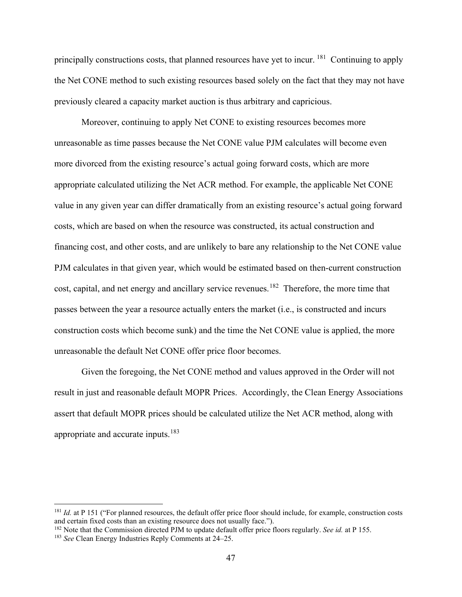principally constructions costs, that planned resources have yet to incur. [181](#page-51-0) Continuing to apply the Net CONE method to such existing resources based solely on the fact that they may not have previously cleared a capacity market auction is thus arbitrary and capricious.

Moreover, continuing to apply Net CONE to existing resources becomes more unreasonable as time passes because the Net CONE value PJM calculates will become even more divorced from the existing resource's actual going forward costs, which are more appropriate calculated utilizing the Net ACR method. For example, the applicable Net CONE value in any given year can differ dramatically from an existing resource's actual going forward costs, which are based on when the resource was constructed, its actual construction and financing cost, and other costs, and are unlikely to bare any relationship to the Net CONE value PJM calculates in that given year, which would be estimated based on then-current construction cost, capital, and net energy and ancillary service revenues.<sup>182</sup> Therefore, the more time that passes between the year a resource actually enters the market (i.e., is constructed and incurs construction costs which become sunk) and the time the Net CONE value is applied, the more unreasonable the default Net CONE offer price floor becomes.

Given the foregoing, the Net CONE method and values approved in the Order will not result in just and reasonable default MOPR Prices. Accordingly, the Clean Energy Associations assert that default MOPR prices should be calculated utilize the Net ACR method, along with appropriate and accurate inputs.<sup>[183](#page-51-2)</sup>

<span id="page-51-0"></span><sup>&</sup>lt;sup>181</sup> *Id.* at P 151 ("For planned resources, the default offer price floor should include, for example, construction costs and certain fixed costs than an existing resource does not usually face.").

<span id="page-51-1"></span><sup>182</sup> Note that the Commission directed PJM to update default offer price floors regularly. *See id.* at P 155.

<span id="page-51-2"></span><sup>183</sup> *See* Clean Energy Industries Reply Comments at 24–25.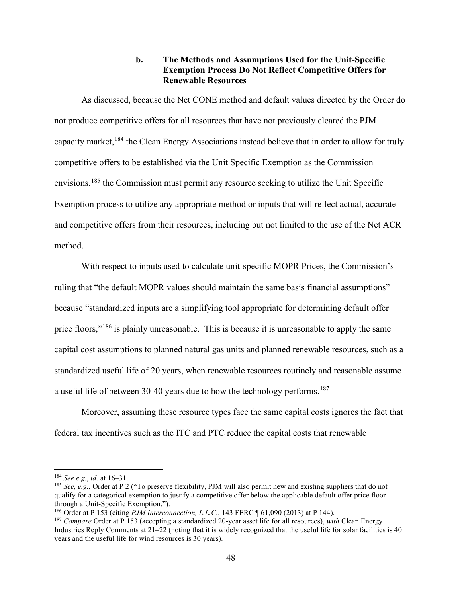### **b. The Methods and Assumptions Used for the Unit-Specific Exemption Process Do Not Reflect Competitive Offers for Renewable Resources**

As discussed, because the Net CONE method and default values directed by the Order do not produce competitive offers for all resources that have not previously cleared the PJM capacity market,  $184$  the Clean Energy Associations instead believe that in order to allow for truly competitive offers to be established via the Unit Specific Exemption as the Commission envisions,<sup>[185](#page-52-1)</sup> the Commission must permit any resource seeking to utilize the Unit Specific Exemption process to utilize any appropriate method or inputs that will reflect actual, accurate and competitive offers from their resources, including but not limited to the use of the Net ACR method.

With respect to inputs used to calculate unit-specific MOPR Prices, the Commission's ruling that "the default MOPR values should maintain the same basis financial assumptions" because "standardized inputs are a simplifying tool appropriate for determining default offer price floors,"<sup>[186](#page-52-2)</sup> is plainly unreasonable. This is because it is unreasonable to apply the same capital cost assumptions to planned natural gas units and planned renewable resources, such as a standardized useful life of 20 years, when renewable resources routinely and reasonable assume a useful life of between 30-40 years due to how the technology performs.<sup>[187](#page-52-3)</sup>

Moreover, assuming these resource types face the same capital costs ignores the fact that federal tax incentives such as the ITC and PTC reduce the capital costs that renewable

<span id="page-52-0"></span><sup>184</sup> *See e.g.*, *id.* at 16–31.

<span id="page-52-1"></span><sup>185</sup> *See, e.g.*, Order at P 2 ("To preserve flexibility, PJM will also permit new and existing suppliers that do not qualify for a categorical exemption to justify a competitive offer below the applicable default offer price floor through a Unit-Specific Exemption.").

<span id="page-52-2"></span><sup>186</sup> Order at P 153 (citing *PJM Interconnection, L.L.C.*, 143 FERC ¶ 61,090 (2013) at P 144).

<span id="page-52-3"></span><sup>187</sup> *Compare* Order at P 153 (accepting a standardized 20-year asset life for all resources), *with* Clean Energy Industries Reply Comments at 21–22 (noting that it is widely recognized that the useful life for solar facilities is 40 years and the useful life for wind resources is 30 years).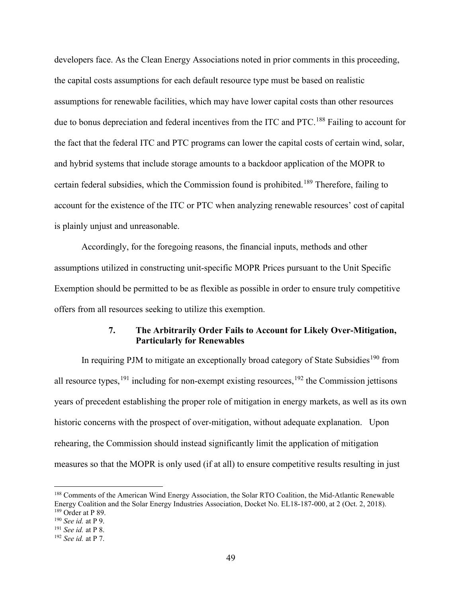developers face. As the Clean Energy Associations noted in prior comments in this proceeding, the capital costs assumptions for each default resource type must be based on realistic assumptions for renewable facilities, which may have lower capital costs than other resources due to bonus depreciation and federal incentives from the ITC and PTC.<sup>[188](#page-53-1)</sup> Failing to account for the fact that the federal ITC and PTC programs can lower the capital costs of certain wind, solar, and hybrid systems that include storage amounts to a backdoor application of the MOPR to certain federal subsidies, which the Commission found is prohibited.<sup>[189](#page-53-2)</sup> Therefore, failing to account for the existence of the ITC or PTC when analyzing renewable resources' cost of capital is plainly unjust and unreasonable.

Accordingly, for the foregoing reasons, the financial inputs, methods and other assumptions utilized in constructing unit-specific MOPR Prices pursuant to the Unit Specific Exemption should be permitted to be as flexible as possible in order to ensure truly competitive offers from all resources seeking to utilize this exemption.

### **7. The Arbitrarily Order Fails to Account for Likely Over-Mitigation, Particularly for Renewables**

<span id="page-53-0"></span>In requiring PJM to mitigate an exceptionally broad category of State Subsidies<sup>[190](#page-53-3)</sup> from all resource types,  $191$  including for non-exempt existing resources,  $192$  the Commission jettisons years of precedent establishing the proper role of mitigation in energy markets, as well as its own historic concerns with the prospect of over-mitigation, without adequate explanation. Upon rehearing, the Commission should instead significantly limit the application of mitigation measures so that the MOPR is only used (if at all) to ensure competitive results resulting in just

<span id="page-53-1"></span><sup>188</sup> Comments of the American Wind Energy Association, the Solar RTO Coalition, the Mid-Atlantic Renewable Energy Coalition and the Solar Energy Industries Association, Docket No. EL18-187-000, at 2 (Oct. 2, 2018). 189 Order at P 89.

<span id="page-53-3"></span><span id="page-53-2"></span><sup>190</sup> *See id.* at P 9.

<span id="page-53-4"></span><sup>191</sup> *See id.* at P 8.

<span id="page-53-5"></span><sup>192</sup> *See id.* at P 7.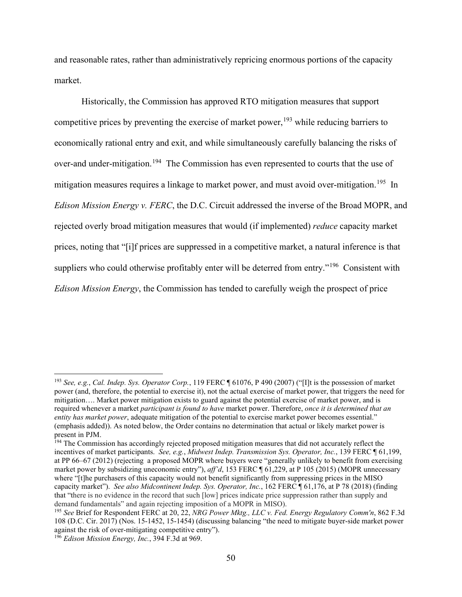and reasonable rates, rather than administratively repricing enormous portions of the capacity market.

Historically, the Commission has approved RTO mitigation measures that support competitive prices by preventing the exercise of market power,  $193$  while reducing barriers to economically rational entry and exit, and while simultaneously carefully balancing the risks of over-and under-mitigation.[194](#page-54-1) The Commission has even represented to courts that the use of mitigation measures requires a linkage to market power, and must avoid over-mitigation.<sup>195</sup> In *Edison Mission Energy v. FERC*, the D.C. Circuit addressed the inverse of the Broad MOPR, and rejected overly broad mitigation measures that would (if implemented) *reduce* capacity market prices, noting that "[i]f prices are suppressed in a competitive market, a natural inference is that suppliers who could otherwise profitably enter will be deterred from entry."<sup>[196](#page-54-3)</sup> Consistent with *Edison Mission Energy*, the Commission has tended to carefully weigh the prospect of price

<span id="page-54-0"></span><sup>193</sup> *See, e.g.*, *Cal. Indep. Sys. Operator Corp.*, 119 FERC ¶ 61076, P 490 (2007) ("[I]t is the possession of market power (and, therefore, the potential to exercise it), not the actual exercise of market power, that triggers the need for mitigation…. Market power mitigation exists to guard against the potential exercise of market power, and is required whenever a market *participant is found to have* market power. Therefore, *once it is determined that an entity has market power*, adequate mitigation of the potential to exercise market power becomes essential." (emphasis added)). As noted below, the Order contains no determination that actual or likely market power is present in PJM.

<span id="page-54-1"></span><sup>&</sup>lt;sup>194</sup> The Commission has accordingly rejected proposed mitigation measures that did not accurately reflect the incentives of market participants. *See, e.g.*, *Midwest Indep. Transmission Sys. Operator, Inc.*, 139 FERC ¶ 61,199, at PP 66–67 (2012) (rejecting a proposed MOPR where buyers were "generally unlikely to benefit from exercising market power by subsidizing uneconomic entry"), *aff'd*, 153 FERC ¶ 61,229, at P 105 (2015) (MOPR unnecessary where "[t]he purchasers of this capacity would not benefit significantly from suppressing prices in the MISO capacity market"). *See also Midcontinent Indep. Sys. Operator, Inc.*, 162 FERC ¶ 61,176, at P 78 (2018) (finding that "there is no evidence in the record that such [low] prices indicate price suppression rather than supply and demand fundamentals" and again rejecting imposition of a MOPR in MISO).

<span id="page-54-2"></span><sup>195</sup> *See* Brief for Respondent FERC at 20, 22, *NRG Power Mktg., LLC v. Fed. Energy Regulatory Comm'n*, 862 F.3d 108 (D.C. Cir. 2017) (Nos. 15-1452, 15-1454) (discussing balancing "the need to mitigate buyer-side market power against the risk of over-mitigating competitive entry").

<span id="page-54-3"></span><sup>196</sup> *Edison Mission Energy, Inc.*, 394 F.3d at 969.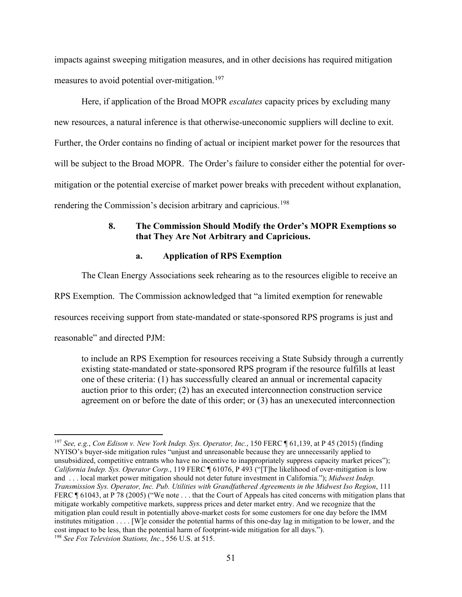impacts against sweeping mitigation measures, and in other decisions has required mitigation measures to avoid potential over-mitigation.<sup>[197](#page-55-1)</sup>

Here, if application of the Broad MOPR *escalates* capacity prices by excluding many new resources, a natural inference is that otherwise-uneconomic suppliers will decline to exit. Further, the Order contains no finding of actual or incipient market power for the resources that will be subject to the Broad MOPR. The Order's failure to consider either the potential for overmitigation or the potential exercise of market power breaks with precedent without explanation, rendering the Commission's decision arbitrary and capricious.<sup>[198](#page-55-2)</sup>

## <span id="page-55-0"></span>**8. The Commission Should Modify the Order's MOPR Exemptions so that They Are Not Arbitrary and Capricious.**

#### **a. Application of RPS Exemption**

The Clean Energy Associations seek rehearing as to the resources eligible to receive an

RPS Exemption. The Commission acknowledged that "a limited exemption for renewable

resources receiving support from state-mandated or state-sponsored RPS programs is just and

reasonable" and directed PJM:

to include an RPS Exemption for resources receiving a State Subsidy through a currently existing state-mandated or state-sponsored RPS program if the resource fulfills at least one of these criteria: (1) has successfully cleared an annual or incremental capacity auction prior to this order; (2) has an executed interconnection construction service agreement on or before the date of this order; or (3) has an unexecuted interconnection

<span id="page-55-2"></span><span id="page-55-1"></span><sup>197</sup> *See, e.g.*, *Con Edison v. New York Indep. Sys. Operator, Inc.*, 150 FERC ¶ 61,139, at P 45 (2015) (finding NYISO's buyer-side mitigation rules "unjust and unreasonable because they are unnecessarily applied to unsubsidized, competitive entrants who have no incentive to inappropriately suppress capacity market prices"); *California Indep. Sys. Operator Corp.*, 119 FERC ¶ 61076, P 493 ("[T]he likelihood of over-mitigation is low and . . . local market power mitigation should not deter future investment in California."); *Midwest Indep. Transmission Sys. Operator, Inc. Pub. Utilities with Grandfathered Agreements in the Midwest Iso Region*, 111 FERC ¶ 61043, at P 78 (2005) ("We note . . . that the Court of Appeals has cited concerns with mitigation plans that mitigate workably competitive markets, suppress prices and deter market entry. And we recognize that the mitigation plan could result in potentially above-market costs for some customers for one day before the IMM institutes mitigation . . . . [W]e consider the potential harms of this one-day lag in mitigation to be lower, and the cost impact to be less, than the potential harm of footprint-wide mitigation for all days."). <sup>198</sup> *See Fox Television Stations, Inc.*, 556 U.S. at 515.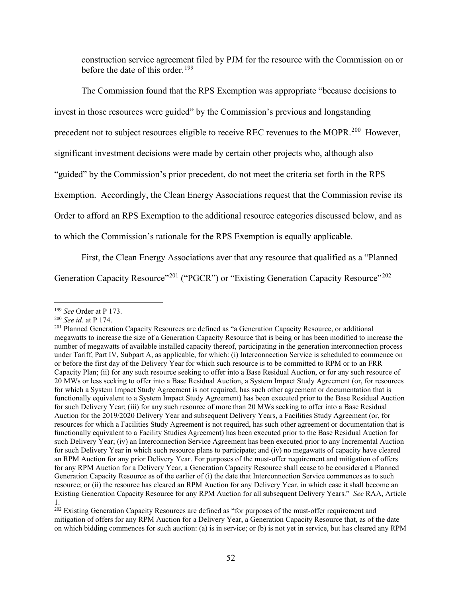construction service agreement filed by PJM for the resource with the Commission on or before the date of this order.<sup>[199](#page-56-0)</sup>

The Commission found that the RPS Exemption was appropriate "because decisions to invest in those resources were guided" by the Commission's previous and longstanding precedent not to subject resources eligible to receive REC revenues to the MOPR.<sup>[200](#page-56-1)</sup> However, significant investment decisions were made by certain other projects who, although also "guided" by the Commission's prior precedent, do not meet the criteria set forth in the RPS Exemption. Accordingly, the Clean Energy Associations request that the Commission revise its Order to afford an RPS Exemption to the additional resource categories discussed below, and as to which the Commission's rationale for the RPS Exemption is equally applicable.

First, the Clean Energy Associations aver that any resource that qualified as a "Planned

Generation Capacity Resource"<sup>[201](#page-56-2)</sup> ("PGCR") or "Existing Generation Capacity Resource"<sup>[202](#page-56-3)</sup>

<span id="page-56-0"></span><sup>199</sup> *See* Order at P 173.

<span id="page-56-1"></span><sup>200</sup> *See id.* at P 174.

<span id="page-56-2"></span><sup>201</sup> Planned Generation Capacity Resources are defined as "a Generation Capacity Resource, or additional megawatts to increase the size of a Generation Capacity Resource that is being or has been modified to increase the number of megawatts of available installed capacity thereof, participating in the generation interconnection process under Tariff, Part IV, Subpart A, as applicable, for which: (i) Interconnection Service is scheduled to commence on or before the first day of the Delivery Year for which such resource is to be committed to RPM or to an FRR Capacity Plan; (ii) for any such resource seeking to offer into a Base Residual Auction, or for any such resource of 20 MWs or less seeking to offer into a Base Residual Auction, a System Impact Study Agreement (or, for resources for which a System Impact Study Agreement is not required, has such other agreement or documentation that is functionally equivalent to a System Impact Study Agreement) has been executed prior to the Base Residual Auction for such Delivery Year; (iii) for any such resource of more than 20 MWs seeking to offer into a Base Residual Auction for the 2019/2020 Delivery Year and subsequent Delivery Years, a Facilities Study Agreement (or, for resources for which a Facilities Study Agreement is not required, has such other agreement or documentation that is functionally equivalent to a Facility Studies Agreement) has been executed prior to the Base Residual Auction for such Delivery Year; (iv) an Interconnection Service Agreement has been executed prior to any Incremental Auction for such Delivery Year in which such resource plans to participate; and (iv) no megawatts of capacity have cleared an RPM Auction for any prior Delivery Year. For purposes of the must-offer requirement and mitigation of offers for any RPM Auction for a Delivery Year, a Generation Capacity Resource shall cease to be considered a Planned Generation Capacity Resource as of the earlier of (i) the date that Interconnection Service commences as to such resource; or (ii) the resource has cleared an RPM Auction for any Delivery Year, in which case it shall become an Existing Generation Capacity Resource for any RPM Auction for all subsequent Delivery Years." *See* RAA, Article 1.

<span id="page-56-3"></span><sup>&</sup>lt;sup>202</sup> Existing Generation Capacity Resources are defined as "for purposes of the must-offer requirement and mitigation of offers for any RPM Auction for a Delivery Year, a Generation Capacity Resource that, as of the date on which bidding commences for such auction: (a) is in service; or (b) is not yet in service, but has cleared any RPM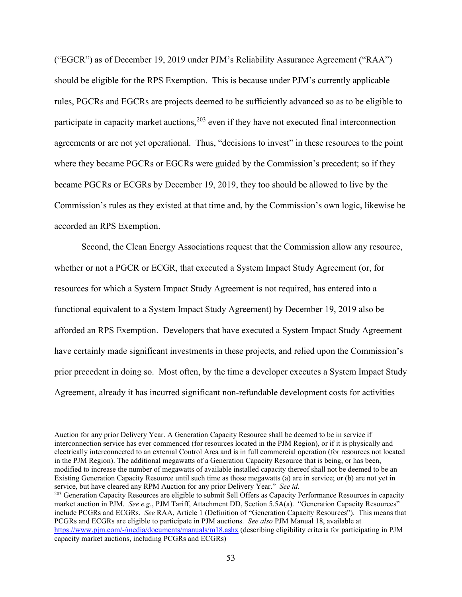("EGCR") as of December 19, 2019 under PJM's Reliability Assurance Agreement ("RAA") should be eligible for the RPS Exemption. This is because under PJM's currently applicable rules, PGCRs and EGCRs are projects deemed to be sufficiently advanced so as to be eligible to participate in capacity market auctions,  $203$  even if they have not executed final interconnection agreements or are not yet operational. Thus, "decisions to invest" in these resources to the point where they became PGCRs or EGCRs were guided by the Commission's precedent; so if they became PGCRs or ECGRs by December 19, 2019, they too should be allowed to live by the Commission's rules as they existed at that time and, by the Commission's own logic, likewise be accorded an RPS Exemption.

Second, the Clean Energy Associations request that the Commission allow any resource, whether or not a PGCR or ECGR, that executed a System Impact Study Agreement (or, for resources for which a System Impact Study Agreement is not required, has entered into a functional equivalent to a System Impact Study Agreement) by December 19, 2019 also be afforded an RPS Exemption. Developers that have executed a System Impact Study Agreement have certainly made significant investments in these projects, and relied upon the Commission's prior precedent in doing so. Most often, by the time a developer executes a System Impact Study Agreement, already it has incurred significant non-refundable development costs for activities

Auction for any prior Delivery Year. A Generation Capacity Resource shall be deemed to be in service if interconnection service has ever commenced (for resources located in the PJM Region), or if it is physically and electrically interconnected to an external Control Area and is in full commercial operation (for resources not located in the PJM Region). The additional megawatts of a Generation Capacity Resource that is being, or has been, modified to increase the number of megawatts of available installed capacity thereof shall not be deemed to be an Existing Generation Capacity Resource until such time as those megawatts (a) are in service; or (b) are not yet in service, but have cleared any RPM Auction for any prior Delivery Year." *See id.*

<span id="page-57-0"></span><sup>&</sup>lt;sup>203</sup> Generation Capacity Resources are eligible to submit Sell Offers as Capacity Performance Resources in capacity market auction in PJM. *See e.g.*, PJM Tariff, Attachment DD, Section 5.5A(a). "Generation Capacity Resources" include PCGRs and ECGRs. *See* RAA, Article 1 (Definition of "Generation Capacity Resources"). This means that PCGRs and ECGRs are eligible to participate in PJM auctions. *See also* PJM Manual 18, available at https://www.pjm.com/[-/media/documents/manuals/m18.ashx](https://www.pjm.com/-/media/documents/manuals/m18.ashx) (describing eligibility criteria for participating in PJM capacity market auctions, including PCGRs and ECGRs)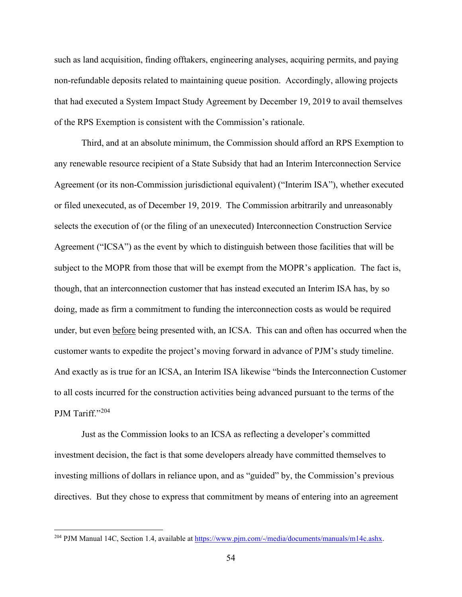such as land acquisition, finding offtakers, engineering analyses, acquiring permits, and paying non-refundable deposits related to maintaining queue position. Accordingly, allowing projects that had executed a System Impact Study Agreement by December 19, 2019 to avail themselves of the RPS Exemption is consistent with the Commission's rationale.

Third, and at an absolute minimum, the Commission should afford an RPS Exemption to any renewable resource recipient of a State Subsidy that had an Interim Interconnection Service Agreement (or its non-Commission jurisdictional equivalent) ("Interim ISA"), whether executed or filed unexecuted, as of December 19, 2019. The Commission arbitrarily and unreasonably selects the execution of (or the filing of an unexecuted) Interconnection Construction Service Agreement ("ICSA") as the event by which to distinguish between those facilities that will be subject to the MOPR from those that will be exempt from the MOPR's application. The fact is, though, that an interconnection customer that has instead executed an Interim ISA has, by so doing, made as firm a commitment to funding the interconnection costs as would be required under, but even before being presented with, an ICSA. This can and often has occurred when the customer wants to expedite the project's moving forward in advance of PJM's study timeline. And exactly as is true for an ICSA, an Interim ISA likewise "binds the Interconnection Customer to all costs incurred for the construction activities being advanced pursuant to the terms of the PJM Tariff."[204](#page-58-0)

Just as the Commission looks to an ICSA as reflecting a developer's committed investment decision, the fact is that some developers already have committed themselves to investing millions of dollars in reliance upon, and as "guided" by, the Commission's previous directives. But they chose to express that commitment by means of entering into an agreement

<span id="page-58-0"></span><sup>&</sup>lt;sup>204</sup> PJM Manual 14C, Section 1.4, available at https://www.pjm.com/[-/media/documents/manuals/m14c.ashx.](https://www.pjm.com/-/media/documents/manuals/m14c.ashx)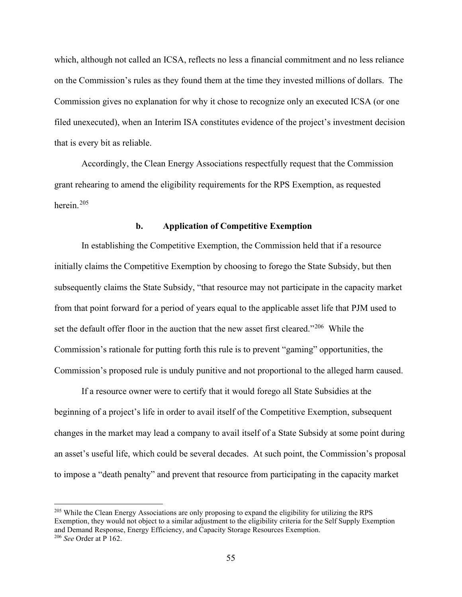which, although not called an ICSA, reflects no less a financial commitment and no less reliance on the Commission's rules as they found them at the time they invested millions of dollars. The Commission gives no explanation for why it chose to recognize only an executed ICSA (or one filed unexecuted), when an Interim ISA constitutes evidence of the project's investment decision that is every bit as reliable.

Accordingly, the Clean Energy Associations respectfully request that the Commission grant rehearing to amend the eligibility requirements for the RPS Exemption, as requested herein. [205](#page-59-0)

#### **b. Application of Competitive Exemption**

In establishing the Competitive Exemption, the Commission held that if a resource initially claims the Competitive Exemption by choosing to forego the State Subsidy, but then subsequently claims the State Subsidy, "that resource may not participate in the capacity market from that point forward for a period of years equal to the applicable asset life that PJM used to set the default offer floor in the auction that the new asset first cleared."<sup>[206](#page-59-1)</sup> While the Commission's rationale for putting forth this rule is to prevent "gaming" opportunities, the Commission's proposed rule is unduly punitive and not proportional to the alleged harm caused.

If a resource owner were to certify that it would forego all State Subsidies at the beginning of a project's life in order to avail itself of the Competitive Exemption, subsequent changes in the market may lead a company to avail itself of a State Subsidy at some point during an asset's useful life, which could be several decades. At such point, the Commission's proposal to impose a "death penalty" and prevent that resource from participating in the capacity market

<span id="page-59-1"></span><span id="page-59-0"></span><sup>&</sup>lt;sup>205</sup> While the Clean Energy Associations are only proposing to expand the eligibility for utilizing the RPS Exemption, they would not object to a similar adjustment to the eligibility criteria for the Self Supply Exemption and Demand Response, Energy Efficiency, and Capacity Storage Resources Exemption. <sup>206</sup> *See* Order at P 162.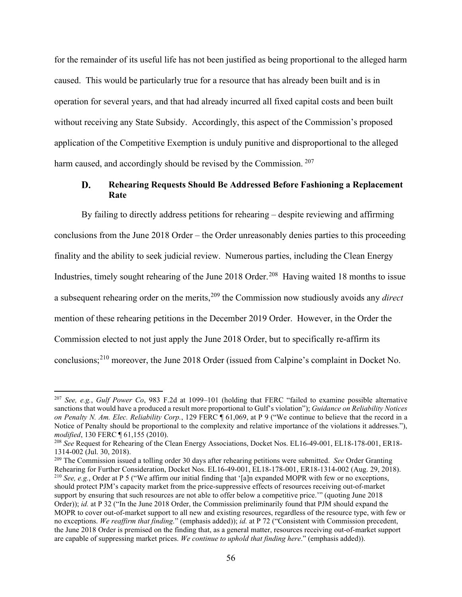for the remainder of its useful life has not been justified as being proportional to the alleged harm caused. This would be particularly true for a resource that has already been built and is in operation for several years, and that had already incurred all fixed capital costs and been built without receiving any State Subsidy. Accordingly, this aspect of the Commission's proposed application of the Competitive Exemption is unduly punitive and disproportional to the alleged harm caused, and accordingly should be revised by the Commission. <sup>[207](#page-60-1)</sup>

#### <span id="page-60-0"></span>D. **Rehearing Requests Should Be Addressed Before Fashioning a Replacement Rate**

By failing to directly address petitions for rehearing – despite reviewing and affirming conclusions from the June 2018 Order – the Order unreasonably denies parties to this proceeding finality and the ability to seek judicial review. Numerous parties, including the Clean Energy Industries, timely sought rehearing of the June 2018 Order.<sup>208</sup> Having waited 18 months to issue a subsequent rehearing order on the merits,[209](#page-60-3) the Commission now studiously avoids any *direct* mention of these rehearing petitions in the December 2019 Order. However, in the Order the Commission elected to not just apply the June 2018 Order, but to specifically re-affirm its conclusions;[210](#page-60-4) moreover, the June 2018 Order (issued from Calpine's complaint in Docket No.

<span id="page-60-4"></span><span id="page-60-3"></span><sup>209</sup> The Commission issued a tolling order 30 days after rehearing petitions were submitted. *See* Order Granting Rehearing for Further Consideration, Docket Nos. EL16-49-001, EL18-178-001, ER18-1314-002 (Aug. 29, 2018). <sup>210</sup> *See, e.g.*, Order at P 5 ("We affirm our initial finding that '[a]n expanded MOPR with few or no exceptions, should protect PJM's capacity market from the price-suppressive effects of resources receiving out-of-market support by ensuring that such resources are not able to offer below a competitive price.'" (quoting June 2018 Order)); *id.* at P 32 ("In the June 2018 Order, the Commission preliminarily found that PJM should expand the MOPR to cover out-of-market support to all new and existing resources, regardless of the resource type, with few or no exceptions. *We reaffirm that finding.*" (emphasis added)); *id.* at P 72 ("Consistent with Commission precedent, the June 2018 Order is premised on the finding that, as a general matter, resources receiving out-of-market support are capable of suppressing market prices. *We continue to uphold that finding here*." (emphasis added)).

<span id="page-60-1"></span><sup>207</sup> *See, e.g.*, *Gulf Power Co*, 983 F.2d at 1099–101 (holding that FERC "failed to examine possible alternative sanctions that would have a produced a result more proportional to Gulf's violation"); *Guidance on Reliability Notices on Penalty N. Am. Elec. Reliability Corp.*, 129 FERC ¶ 61,069, at P 9 ("We continue to believe that the record in a Notice of Penalty should be proportional to the complexity and relative importance of the violations it addresses."), *modified*, 130 FERC ¶ 61,155 (2010).

<span id="page-60-2"></span><sup>208</sup> *See* Request for Rehearing of the Clean Energy Associations, Docket Nos. EL16-49-001, EL18-178-001, ER18- 1314-002 (Jul. 30, 2018).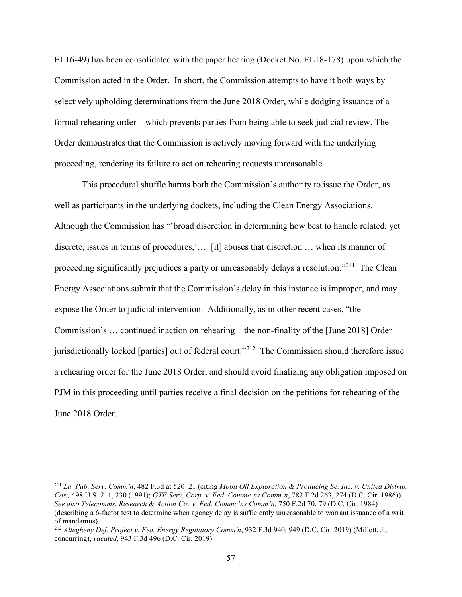EL16-49) has been consolidated with the paper hearing (Docket No. EL18-178) upon which the Commission acted in the Order. In short, the Commission attempts to have it both ways by selectively upholding determinations from the June 2018 Order, while dodging issuance of a formal rehearing order – which prevents parties from being able to seek judicial review. The Order demonstrates that the Commission is actively moving forward with the underlying proceeding, rendering its failure to act on rehearing requests unreasonable.

This procedural shuffle harms both the Commission's authority to issue the Order, as well as participants in the underlying dockets, including the Clean Energy Associations. Although the Commission has "'broad discretion in determining how best to handle related, yet discrete, issues in terms of procedures,'… [it] abuses that discretion … when its manner of proceeding significantly prejudices a party or unreasonably delays a resolution."<sup>[211](#page-61-0)</sup> The Clean Energy Associations submit that the Commission's delay in this instance is improper, and may expose the Order to judicial intervention. Additionally, as in other recent cases, "the Commission's … continued inaction on rehearing—the non-finality of the [June 2018] Order jurisdictionally locked [parties] out of federal court."<sup>212</sup> The Commission should therefore issue a rehearing order for the June 2018 Order, and should avoid finalizing any obligation imposed on PJM in this proceeding until parties receive a final decision on the petitions for rehearing of the June 2018 Order.

<span id="page-61-0"></span><sup>211</sup> *La. Pub. Serv. Comm'n*, 482 F.3d at 520–21 (citing *Mobil Oil Exploration & Producing Se. Inc. v. United Distrib. Cos.,* 498 U.S. 211, 230 (1991); *GTE Serv. Corp. v. Fed. Commc'ns Comm'n*, 782 F.2d 263, 274 (D.C. Cir. 1986)). *See also Telecomms. Research & Action Ctr. v. Fed. Commc'ns Comm'n*, 750 F.2d 70, 79 (D.C. Cir. 1984) (describing a 6-factor test to determine when agency delay is sufficiently unreasonable to warrant issuance of a writ of mandamus).

<span id="page-61-1"></span><sup>212</sup> *Allegheny Def. Project v. Fed. Energy Regulatory Comm'n*, 932 F.3d 940, 949 (D.C. Cir. 2019) (Millett, J., concurring), *vacated*, 943 F.3d 496 (D.C. Cir. 2019).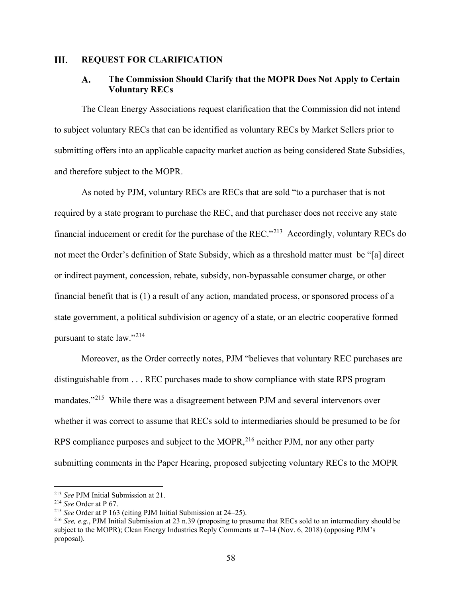#### <span id="page-62-1"></span><span id="page-62-0"></span>III. **REQUEST FOR CLARIFICATION**

#### **The Commission Should Clarify that the MOPR Does Not Apply to Certain**  A. **Voluntary RECs**

The Clean Energy Associations request clarification that the Commission did not intend to subject voluntary RECs that can be identified as voluntary RECs by Market Sellers prior to submitting offers into an applicable capacity market auction as being considered State Subsidies, and therefore subject to the MOPR.

As noted by PJM, voluntary RECs are RECs that are sold "to a purchaser that is not required by a state program to purchase the REC, and that purchaser does not receive any state financial inducement or credit for the purchase of the REC."[213](#page-62-2) Accordingly, voluntary RECs do not meet the Order's definition of State Subsidy, which as a threshold matter must be "[a] direct or indirect payment, concession, rebate, subsidy, non-bypassable consumer charge, or other financial benefit that is (1) a result of any action, mandated process, or sponsored process of a state government, a political subdivision or agency of a state, or an electric cooperative formed pursuant to state law."[214](#page-62-3)

Moreover, as the Order correctly notes, PJM "believes that voluntary REC purchases are distinguishable from . . . REC purchases made to show compliance with state RPS program mandates."<sup>[215](#page-62-4)</sup> While there was a disagreement between PJM and several intervenors over whether it was correct to assume that RECs sold to intermediaries should be presumed to be for RPS compliance purposes and subject to the MOPR,<sup>[216](#page-62-5)</sup> neither PJM, nor any other party submitting comments in the Paper Hearing, proposed subjecting voluntary RECs to the MOPR

<span id="page-62-2"></span><sup>213</sup> *See* PJM Initial Submission at 21. 214 *See* Order at P 67.

<span id="page-62-4"></span><span id="page-62-3"></span><sup>215</sup> *See* Order at P 163 (citing PJM Initial Submission at 24–25).

<span id="page-62-5"></span><sup>216</sup> *See, e.g.*, PJM Initial Submission at 23 n.39 (proposing to presume that RECs sold to an intermediary should be subject to the MOPR); Clean Energy Industries Reply Comments at 7–14 (Nov. 6, 2018) (opposing PJM's proposal).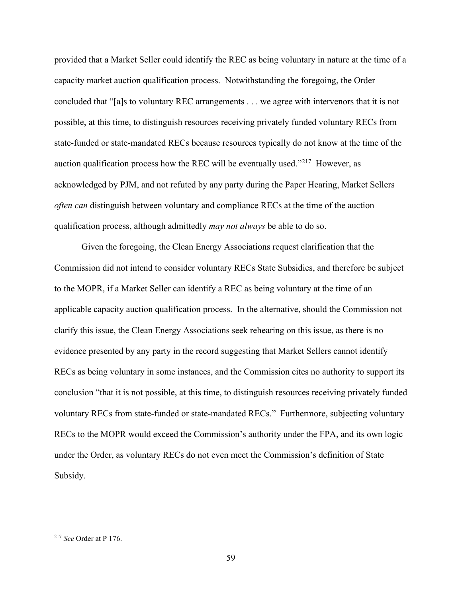provided that a Market Seller could identify the REC as being voluntary in nature at the time of a capacity market auction qualification process. Notwithstanding the foregoing, the Order concluded that "[a]s to voluntary REC arrangements . . . we agree with intervenors that it is not possible, at this time, to distinguish resources receiving privately funded voluntary RECs from state-funded or state-mandated RECs because resources typically do not know at the time of the auction qualification process how the REC will be eventually used."<sup>217</sup> However, as acknowledged by PJM, and not refuted by any party during the Paper Hearing, Market Sellers *often can* distinguish between voluntary and compliance RECs at the time of the auction qualification process, although admittedly *may not always* be able to do so.

Given the foregoing, the Clean Energy Associations request clarification that the Commission did not intend to consider voluntary RECs State Subsidies, and therefore be subject to the MOPR, if a Market Seller can identify a REC as being voluntary at the time of an applicable capacity auction qualification process. In the alternative, should the Commission not clarify this issue, the Clean Energy Associations seek rehearing on this issue, as there is no evidence presented by any party in the record suggesting that Market Sellers cannot identify RECs as being voluntary in some instances, and the Commission cites no authority to support its conclusion "that it is not possible, at this time, to distinguish resources receiving privately funded voluntary RECs from state-funded or state-mandated RECs." Furthermore, subjecting voluntary RECs to the MOPR would exceed the Commission's authority under the FPA, and its own logic under the Order, as voluntary RECs do not even meet the Commission's definition of State Subsidy.

<span id="page-63-0"></span><sup>217</sup> *See* Order at P 176.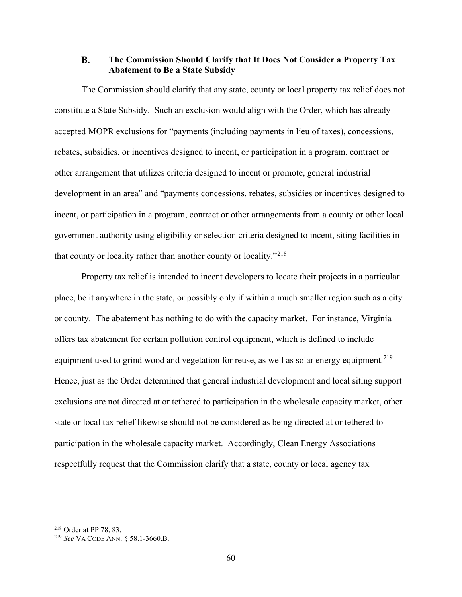#### <span id="page-64-0"></span>**B. The Commission Should Clarify that It Does Not Consider a Property Tax Abatement to Be a State Subsidy**

The Commission should clarify that any state, county or local property tax relief does not constitute a State Subsidy. Such an exclusion would align with the Order, which has already accepted MOPR exclusions for "payments (including payments in lieu of taxes), concessions, rebates, subsidies, or incentives designed to incent, or participation in a program, contract or other arrangement that utilizes criteria designed to incent or promote, general industrial development in an area" and "payments concessions, rebates, subsidies or incentives designed to incent, or participation in a program, contract or other arrangements from a county or other local government authority using eligibility or selection criteria designed to incent, siting facilities in that county or locality rather than another county or locality."[218](#page-64-1)

Property tax relief is intended to incent developers to locate their projects in a particular place, be it anywhere in the state, or possibly only if within a much smaller region such as a city or county. The abatement has nothing to do with the capacity market. For instance, Virginia offers tax abatement for certain pollution control equipment, which is defined to include equipment used to grind wood and vegetation for reuse, as well as solar energy equipment.<sup>219</sup> Hence, just as the Order determined that general industrial development and local siting support exclusions are not directed at or tethered to participation in the wholesale capacity market, other state or local tax relief likewise should not be considered as being directed at or tethered to participation in the wholesale capacity market. Accordingly, Clean Energy Associations respectfully request that the Commission clarify that a state, county or local agency tax

<span id="page-64-1"></span><sup>218</sup> Order at PP 78, 83.

<span id="page-64-2"></span><sup>219</sup> *See* VA CODE ANN. § 58.1-3660.B.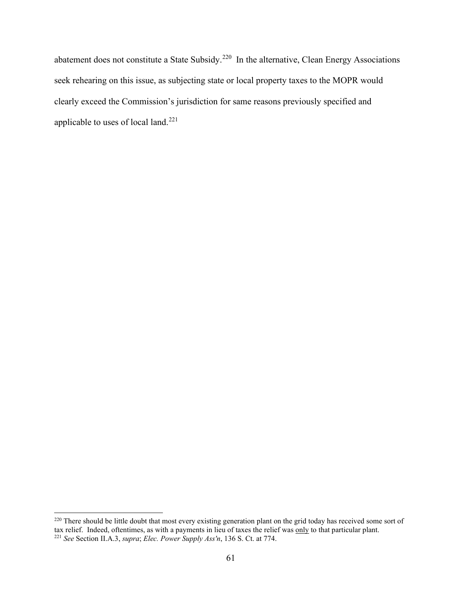<span id="page-65-0"></span>abatement does not constitute a State Subsidy.<sup>[220](#page-65-1)</sup> In the alternative, Clean Energy Associations seek rehearing on this issue, as subjecting state or local property taxes to the MOPR would clearly exceed the Commission's jurisdiction for same reasons previously specified and applicable to uses of local land.<sup>[221](#page-65-2)</sup>

<span id="page-65-2"></span><span id="page-65-1"></span><sup>&</sup>lt;sup>220</sup> There should be little doubt that most every existing generation plant on the grid today has received some sort of tax relief. Indeed, oftentimes, as with a payments in lieu of taxes the relief was only to that particular plant. <sup>221</sup> *See* Section II.A.3, *supra*; *Elec. Power Supply Ass'n*, 136 S. Ct. at 774.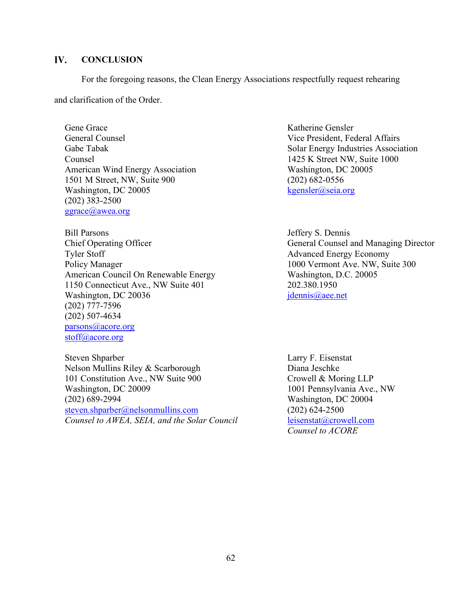#### IV. **CONCLUSION**

For the foregoing reasons, the Clean Energy Associations respectfully request rehearing

and clarification of the Order.

Gene Grace General Counsel Gabe Tabak Counsel American Wind Energy Association 1501 M Street, NW, Suite 900 Washington, DC 20005 (202) 383-2500 [ggrace@awea.org](mailto:ggrace@awea.org)

Bill Parsons Chief Operating Officer Tyler Stoff Policy Manager American Council On Renewable Energy 1150 Connecticut Ave., NW Suite 401 Washington, DC 20036 (202) 777-7596 (202) 507-4634 [parsons@acore.org](mailto:parsons@acore.org) [stoff@acore.org](mailto:stoff@acore.org)

Steven Shparber Nelson Mullins Riley & Scarborough 101 Constitution Ave., NW Suite 900 Washington, DC 20009 (202) 689-2994 [steven.shparber@nelsonmullins.com](mailto:steven.shparber@nelsonmullins.com) *Counsel to AWEA, SEIA, and the Solar Council*

Katherine Gensler Vice President, Federal Affairs Solar Energy Industries Association 1425 K Street NW, Suite 1000 Washington, DC 20005 (202) 682-0556 [kgensler@seia.org](mailto:kgensler@seia.org)

Jeffery S. Dennis General Counsel and Managing Director Advanced Energy Economy 1000 Vermont Ave. NW, Suite 300 Washington, D.C. 20005 202.380.1950 [jdennis@aee.net](mailto:jdennis@aee.net)

Larry F. Eisenstat Diana Jeschke Crowell & Moring LLP 1001 Pennsylvania Ave., NW Washington, DC 20004 (202) 624-2500 [leisenstat@crowell.com](mailto:leisenstat@crowell.com) *Counsel to ACORE*